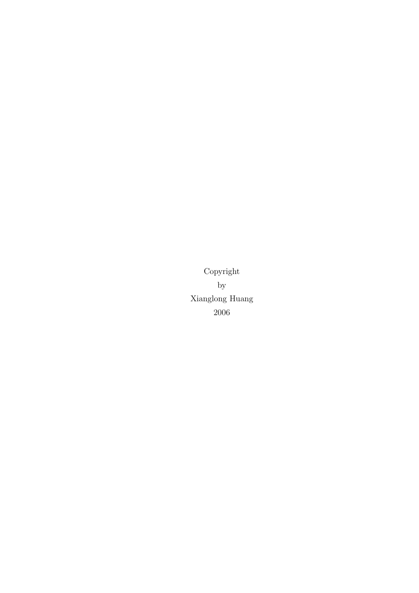Copyright by Xianglong Huang 2006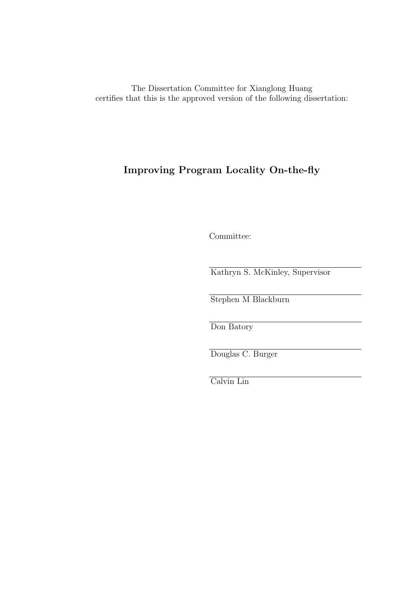The Dissertation Committee for Xianglong Huang certifies that this is the approved version of the following dissertation:

### Improving Program Locality On-the-fly

Committee:

Kathryn S. McKinley, Supervisor

Stephen M Blackburn

Don Batory

Douglas C. Burger

Calvin Lin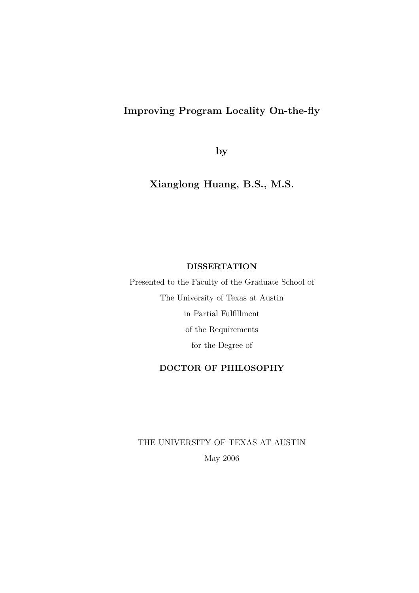### Improving Program Locality On-the-fly

by

Xianglong Huang, B.S., M.S.

#### DISSERTATION

Presented to the Faculty of the Graduate School of The University of Texas at Austin in Partial Fulfillment of the Requirements for the Degree of

#### DOCTOR OF PHILOSOPHY

THE UNIVERSITY OF TEXAS AT AUSTIN May 2006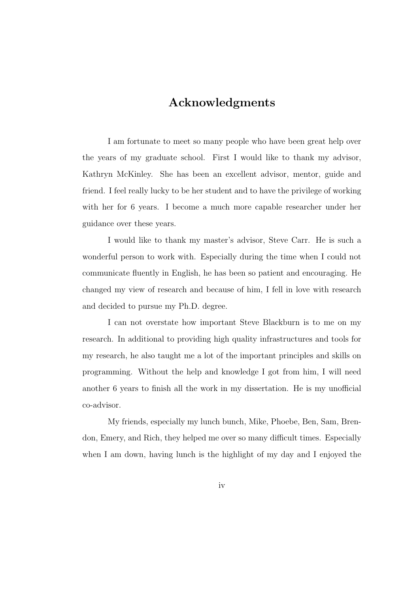### Acknowledgments

I am fortunate to meet so many people who have been great help over the years of my graduate school. First I would like to thank my advisor, Kathryn McKinley. She has been an excellent advisor, mentor, guide and friend. I feel really lucky to be her student and to have the privilege of working with her for 6 years. I become a much more capable researcher under her guidance over these years.

I would like to thank my master's advisor, Steve Carr. He is such a wonderful person to work with. Especially during the time when I could not communicate fluently in English, he has been so patient and encouraging. He changed my view of research and because of him, I fell in love with research and decided to pursue my Ph.D. degree.

I can not overstate how important Steve Blackburn is to me on my research. In additional to providing high quality infrastructures and tools for my research, he also taught me a lot of the important principles and skills on programming. Without the help and knowledge I got from him, I will need another 6 years to finish all the work in my dissertation. He is my unofficial co-advisor.

My friends, especially my lunch bunch, Mike, Phoebe, Ben, Sam, Brendon, Emery, and Rich, they helped me over so many difficult times. Especially when I am down, having lunch is the highlight of my day and I enjoyed the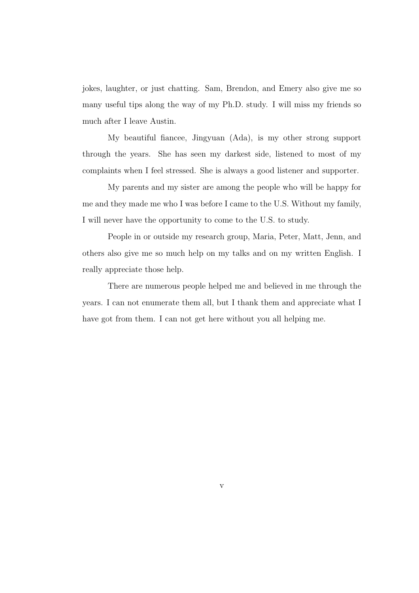jokes, laughter, or just chatting. Sam, Brendon, and Emery also give me so many useful tips along the way of my Ph.D. study. I will miss my friends so much after I leave Austin.

My beautiful fiancee, Jingyuan (Ada), is my other strong support through the years. She has seen my darkest side, listened to most of my complaints when I feel stressed. She is always a good listener and supporter.

My parents and my sister are among the people who will be happy for me and they made me who I was before I came to the U.S. Without my family, I will never have the opportunity to come to the U.S. to study.

People in or outside my research group, Maria, Peter, Matt, Jenn, and others also give me so much help on my talks and on my written English. I really appreciate those help.

There are numerous people helped me and believed in me through the years. I can not enumerate them all, but I thank them and appreciate what I have got from them. I can not get here without you all helping me.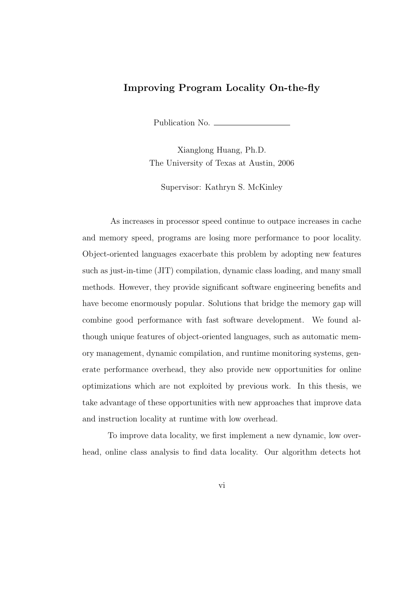#### Improving Program Locality On-the-fly

Publication No.

Xianglong Huang, Ph.D. The University of Texas at Austin, 2006

Supervisor: Kathryn S. McKinley

As increases in processor speed continue to outpace increases in cache and memory speed, programs are losing more performance to poor locality. Object-oriented languages exacerbate this problem by adopting new features such as just-in-time (JIT) compilation, dynamic class loading, and many small methods. However, they provide significant software engineering benefits and have become enormously popular. Solutions that bridge the memory gap will combine good performance with fast software development. We found although unique features of object-oriented languages, such as automatic memory management, dynamic compilation, and runtime monitoring systems, generate performance overhead, they also provide new opportunities for online optimizations which are not exploited by previous work. In this thesis, we take advantage of these opportunities with new approaches that improve data and instruction locality at runtime with low overhead.

To improve data locality, we first implement a new dynamic, low overhead, online class analysis to find data locality. Our algorithm detects hot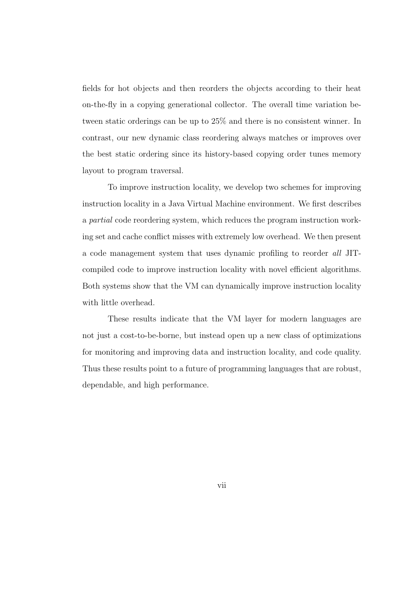fields for hot objects and then reorders the objects according to their heat on-the-fly in a copying generational collector. The overall time variation between static orderings can be up to 25% and there is no consistent winner. In contrast, our new dynamic class reordering always matches or improves over the best static ordering since its history-based copying order tunes memory layout to program traversal.

To improve instruction locality, we develop two schemes for improving instruction locality in a Java Virtual Machine environment. We first describes a partial code reordering system, which reduces the program instruction working set and cache conflict misses with extremely low overhead. We then present a code management system that uses dynamic profiling to reorder all JITcompiled code to improve instruction locality with novel efficient algorithms. Both systems show that the VM can dynamically improve instruction locality with little overhead.

These results indicate that the VM layer for modern languages are not just a cost-to-be-borne, but instead open up a new class of optimizations for monitoring and improving data and instruction locality, and code quality. Thus these results point to a future of programming languages that are robust, dependable, and high performance.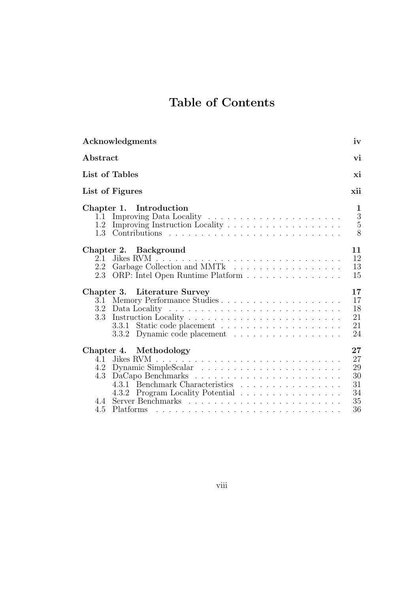# Table of Contents

| Acknowledgments                                                                                                                                                          | iv                                               |
|--------------------------------------------------------------------------------------------------------------------------------------------------------------------------|--------------------------------------------------|
| Abstract                                                                                                                                                                 | vi                                               |
| List of Tables                                                                                                                                                           | xi                                               |
| List of Figures                                                                                                                                                          | xii                                              |
| Chapter 1. Introduction<br>1.1<br>1.2<br>1.3                                                                                                                             | 1<br>$\sqrt{3}$<br>$\overline{5}$<br>8           |
| Chapter 2. Background<br>2.1<br>Garbage Collection and MMTk<br>2.2<br>ORP: Intel Open Runtime Platform<br>2.3                                                            | 11<br>12<br>13<br>15                             |
| Chapter 3. Literature Survey<br>3.1<br>3.2<br>3.3<br>3.3.1<br>Dynamic code placement<br>3.3.2                                                                            | 17<br>17<br>18<br>21<br>21<br>24                 |
| Chapter 4. Methodology<br>Jikes RVM<br>4.1<br>Dynamic SimpleScalar<br>4.2<br>4.3<br>4.3.1 Benchmark Characteristics<br>Program Locality Potential<br>4.3.2<br>4.4<br>4.5 | $27\,$<br>27<br>29<br>30<br>31<br>34<br>35<br>36 |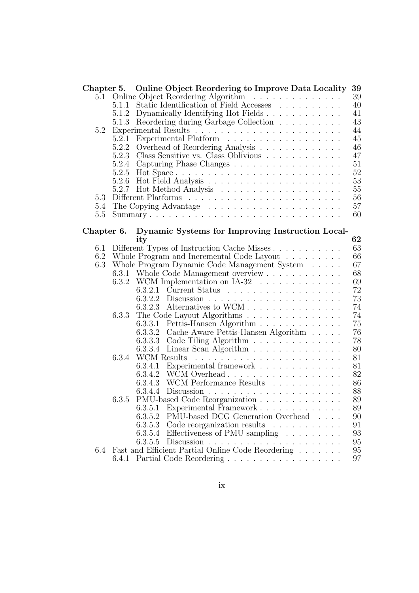|            |       | Chapter 5. Online Object Reordering to Improve Data Locality          | 39 |
|------------|-------|-----------------------------------------------------------------------|----|
| 5.1        |       | Online Object Reordering Algorithm                                    | 39 |
|            | 5.1.1 | Static Identification of Field Accesses                               | 40 |
|            | 5.1.2 | Dynamically Identifying Hot Fields                                    | 41 |
|            | 5.1.3 | Reordering during Garbage Collection $\hfill\ldots\ldots\ldots\ldots$ | 43 |
| 5.2        |       |                                                                       | 44 |
|            | 5.2.1 | Experimental Platform                                                 | 45 |
|            | 5.2.2 | Overhead of Reordering Analysis                                       | 46 |
|            | 5.2.3 |                                                                       | 47 |
|            | 5.2.4 | Capturing Phase Changes                                               | 51 |
|            | 5.2.5 |                                                                       | 52 |
|            | 5.2.6 |                                                                       | 53 |
|            | 5.2.7 |                                                                       | 55 |
| 5.3        |       |                                                                       | 56 |
| 5.4        |       |                                                                       | 57 |
| 5.5        |       |                                                                       | 60 |
|            |       |                                                                       |    |
| Chapter 6. |       | Dynamic Systems for Improving Instruction Local-                      |    |
|            |       | ity                                                                   | 62 |
| $6.1\,$    |       | Different Types of Instruction Cache Misses                           | 63 |
| 6.2        |       | Whole Program and Incremental Code Layout                             | 66 |
| 6.3        |       | Whole Program Dynamic Code Management System                          | 67 |
|            |       | 6.3.1 Whole Code Management overview                                  | 68 |
|            |       | 6.3.2 WCM Implementation on IA-32                                     | 69 |
|            |       | 6.3.2.1 Current Status                                                | 72 |
|            |       |                                                                       | 73 |
|            |       | Alternatives to WCM<br>6.3.2.3                                        | 74 |
|            | 6.3.3 | The Code Layout Algorithms                                            | 74 |
|            |       | 6.3.3.1<br>Pettis-Hansen Algorithm                                    | 75 |
|            |       | 6.3.3.2<br>Cache-Aware Pettis-Hansen Algorithm $\hfill\ldots\ldots$   | 76 |
|            |       | Code Tiling Algorithm<br>6.3.3.3                                      | 78 |
|            |       | 6.3.3.4<br>Linear Scan Algorithm $\ldots \ldots \ldots \ldots$        | 80 |
|            | 6.3.4 | WCM Results                                                           | 81 |
|            |       | 6.3.4.1 Experimental framework                                        | 81 |
|            |       |                                                                       | 82 |
|            |       | WCM Performance Results<br>6.3.4.3                                    | 86 |
|            |       | 6.3.4.4                                                               | 88 |
|            | 6.3.5 | PMU-based Code Reorganization                                         | 89 |
|            |       | 6.3.5.1 Experimental Framework                                        | 89 |
|            |       | PMU-based DCG Generation Overhead<br>6.3.5.2                          | 90 |
|            |       | 6.3.5.3 Code reorganization results                                   | 91 |
|            |       | 6.3.5.4 Effectiveness of PMU sampling                                 | 93 |
|            |       |                                                                       | 95 |
| 6.4        |       | Fast and Efficient Partial Online Code Reordering                     | 95 |
|            | 6.4.1 |                                                                       | 97 |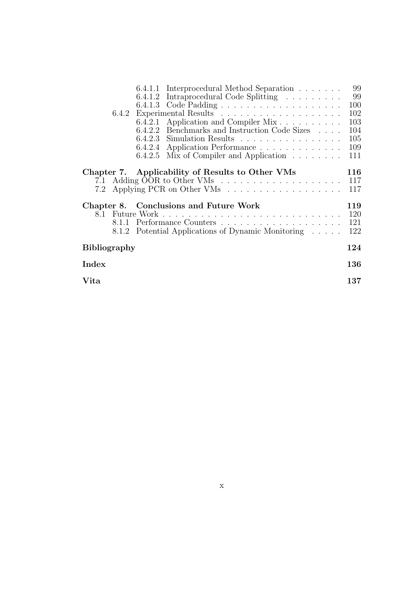|                     | 6.4.1.1 Interprocedural Method Separation             | 99  |
|---------------------|-------------------------------------------------------|-----|
|                     | 6.4.1.2 Intraprocedural Code Splitting                | 99  |
|                     |                                                       | 100 |
|                     |                                                       | 102 |
|                     | 6.4.2.1 Application and Compiler Mix                  | 103 |
|                     | 6.4.2.2 Benchmarks and Instruction Code Sizes         | 104 |
|                     | $6.4.2.3$ Simulation Results                          | 105 |
|                     | 6.4.2.4 Application Performance                       | 109 |
|                     | 6.4.2.5 Mix of Compiler and Application $\dots \dots$ | 111 |
|                     |                                                       |     |
| Chapter 7.          | Applicability of Results to Other VMs                 | 116 |
|                     |                                                       |     |
|                     |                                                       |     |
|                     | Chapter 8. Conclusions and Future Work                | 119 |
|                     |                                                       | 120 |
|                     |                                                       | 121 |
|                     | 8.1.2 Potential Applications of Dynamic Monitoring    | 122 |
|                     |                                                       | 124 |
| <b>Bibliography</b> |                                                       |     |
| Index               |                                                       | 136 |
|                     |                                                       |     |
| Vita                |                                                       | 137 |
|                     |                                                       |     |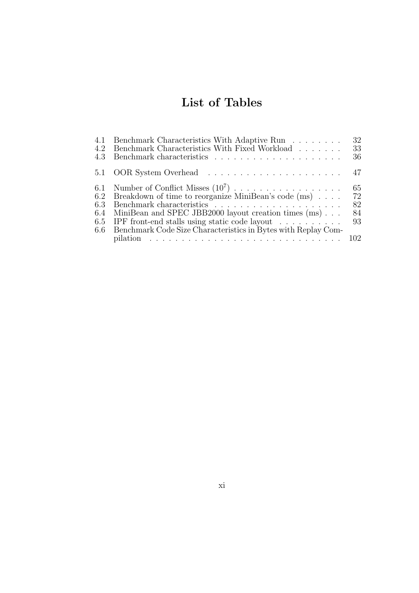# List of Tables

| 4.2<br>4.3               | 4.1 Benchmark Characteristics With Adaptive Run<br>Benchmark Characteristics With Fixed Workload                                                                                                                            | 32<br>33<br>36             |
|--------------------------|-----------------------------------------------------------------------------------------------------------------------------------------------------------------------------------------------------------------------------|----------------------------|
|                          |                                                                                                                                                                                                                             |                            |
| 6.2<br>6.3<br>6.4<br>6.5 | 6.1 Number of Conflict Misses $(10^7)$<br>Breakdown of time to reorganize MiniBean's code (ms)<br>MiniBean and SPEC JBB2000 layout creation times (ms)<br>IPF front-end stalls using static code layout $\dots \dots \dots$ | 65<br>72<br>82<br>84<br>93 |
| 6.6                      | Benchmark Code Size Characteristics in Bytes with Replay Com-<br>pilation $\ldots \ldots \ldots \ldots \ldots \ldots \ldots \ldots \ldots \ldots \ldots \ldots 102$                                                         |                            |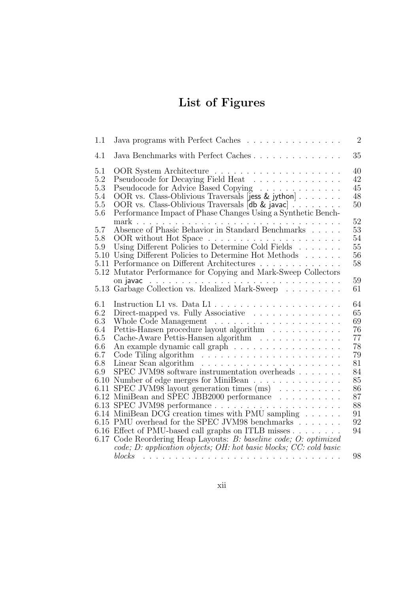# List of Figures

| 1.1                                                                         | Java programs with Perfect Caches                                                                                                                                                                                                                                                                                                                                                                                                                                                                                                                                                                                                                                                                                                                                                                                                | $\overline{2}$                                                                               |
|-----------------------------------------------------------------------------|----------------------------------------------------------------------------------------------------------------------------------------------------------------------------------------------------------------------------------------------------------------------------------------------------------------------------------------------------------------------------------------------------------------------------------------------------------------------------------------------------------------------------------------------------------------------------------------------------------------------------------------------------------------------------------------------------------------------------------------------------------------------------------------------------------------------------------|----------------------------------------------------------------------------------------------|
| 4.1                                                                         | Java Benchmarks with Perfect Caches                                                                                                                                                                                                                                                                                                                                                                                                                                                                                                                                                                                                                                                                                                                                                                                              | 35                                                                                           |
| 5.1<br>5.2<br>5.3<br>5.4<br>$5.5\,$<br>5.6                                  | Pseudocode for Decaying Field Heat<br>Pseudocode for Advice Based Copying<br>OOR vs. Class-Oblivious Traversals [jess & jython]<br>OOR vs. Class-Oblivious Traversals [db & javac]<br>Performance Impact of Phase Changes Using a Synthetic Bench-                                                                                                                                                                                                                                                                                                                                                                                                                                                                                                                                                                               | 40<br>42<br>45<br>48<br>50                                                                   |
| 5.7<br>5.8<br>5.9                                                           | Absence of Phasic Behavior in Standard Benchmarks<br>Using Different Policies to Determine Cold Fields<br>5.10 Using Different Policies to Determine Hot Methods<br>5.11 Performance on Different Architectures<br>5.12 Mutator Performance for Copying and Mark-Sweep Collectors                                                                                                                                                                                                                                                                                                                                                                                                                                                                                                                                                | 52<br>53<br>54<br>55<br>56<br>58                                                             |
|                                                                             | 5.13 Garbage Collection vs. Idealized Mark-Sweep                                                                                                                                                                                                                                                                                                                                                                                                                                                                                                                                                                                                                                                                                                                                                                                 | 59<br>61                                                                                     |
|                                                                             |                                                                                                                                                                                                                                                                                                                                                                                                                                                                                                                                                                                                                                                                                                                                                                                                                                  |                                                                                              |
| 6.1<br>6.2<br>6.3<br>6.4<br>6.5<br>6.6<br>6.7<br>6.8<br>6.9<br>6.10<br>6.11 | Instruction L1 vs. Data L1 $\dots \dots \dots \dots \dots \dots \dots \dots$<br>Direct-mapped vs. Fully Associative<br>Pettis-Hansen procedure layout algorithm<br>Cache-Aware Pettis-Hansen algorithm<br>An example dynamic call graph<br>Linear Scan algorithm $\ldots \ldots \ldots \ldots \ldots \ldots \ldots$<br>SPEC JVM98 software instrumentation overheads<br>Number of edge merges for MiniBean<br>SPEC JVM98 layout generation times $(ms)$<br>6.12 MiniBean and SPEC JBB2000 performance<br>6.14 MiniBean DCG creation times with PMU sampling $\ldots \ldots$<br>6.15 PMU overhead for the SPEC JVM98 benchmarks<br>6.16 Effect of PMU-based call graphs on ITLB misses<br>6.17 Code Reordering Heap Layouts: B: baseline code; O: optimized<br>code; D: application objects; OH: hot basic blocks; CC: cold basic | 64<br>65<br>69<br>76<br>77<br>78<br>79<br>81<br>84<br>85<br>86<br>87<br>88<br>91<br>92<br>94 |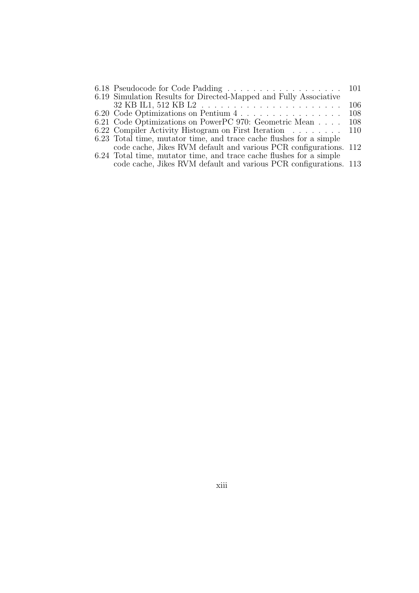| 6.18 Pseudocode for Code Padding 101                                |     |
|---------------------------------------------------------------------|-----|
| 6.19 Simulation Results for Directed-Mapped and Fully Associative   |     |
|                                                                     | 106 |
| 6.20 Code Optimizations on Pentium 4                                | 108 |
| 6.21 Code Optimizations on PowerPC 970: Geometric Mean              | 108 |
| 6.22 Compiler Activity Histogram on First Iteration 110             |     |
| 6.23 Total time, mutator time, and trace cache flushes for a simple |     |
| code cache, Jikes RVM default and various PCR configurations. 112   |     |
| 6.24 Total time, mutator time, and trace cache flushes for a simple |     |
| code cache, Jikes RVM default and various PCR configurations. 113   |     |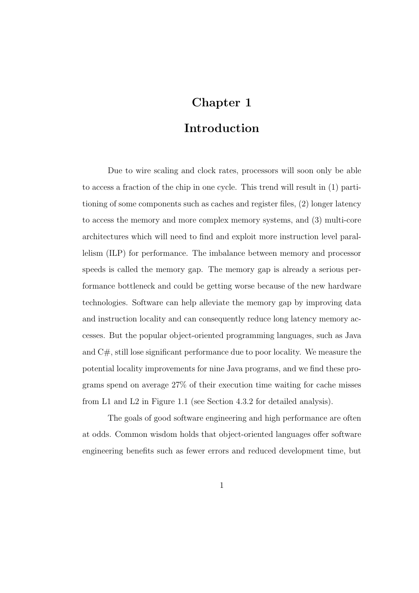### Chapter 1

### Introduction

Due to wire scaling and clock rates, processors will soon only be able to access a fraction of the chip in one cycle. This trend will result in (1) partitioning of some components such as caches and register files, (2) longer latency to access the memory and more complex memory systems, and (3) multi-core architectures which will need to find and exploit more instruction level parallelism (ILP) for performance. The imbalance between memory and processor speeds is called the memory gap. The memory gap is already a serious performance bottleneck and could be getting worse because of the new hardware technologies. Software can help alleviate the memory gap by improving data and instruction locality and can consequently reduce long latency memory accesses. But the popular object-oriented programming languages, such as Java and C#, still lose significant performance due to poor locality. We measure the potential locality improvements for nine Java programs, and we find these programs spend on average 27% of their execution time waiting for cache misses from L1 and L2 in Figure 1.1 (see Section 4.3.2 for detailed analysis).

The goals of good software engineering and high performance are often at odds. Common wisdom holds that object-oriented languages offer software engineering benefits such as fewer errors and reduced development time, but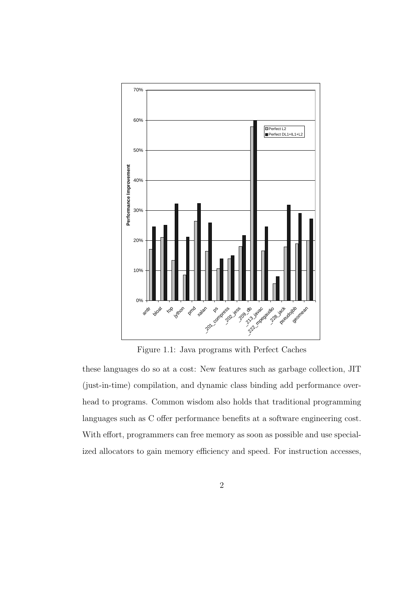

Figure 1.1: Java programs with Perfect Caches

these languages do so at a cost: New features such as garbage collection, JIT (just-in-time) compilation, and dynamic class binding add performance overhead to programs. Common wisdom also holds that traditional programming languages such as C offer performance benefits at a software engineering cost. With effort, programmers can free memory as soon as possible and use specialized allocators to gain memory efficiency and speed. For instruction accesses,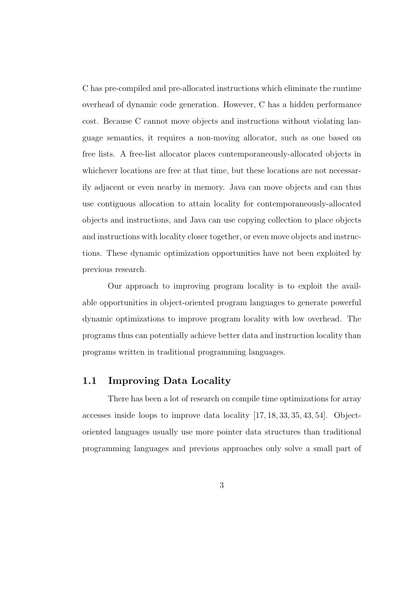C has pre-compiled and pre-allocated instructions which eliminate the runtime overhead of dynamic code generation. However, C has a hidden performance cost. Because C cannot move objects and instructions without violating language semantics, it requires a non-moving allocator, such as one based on free lists. A free-list allocator places contemporaneously-allocated objects in whichever locations are free at that time, but these locations are not necessarily adjacent or even nearby in memory. Java can move objects and can thus use contiguous allocation to attain locality for contemporaneously-allocated objects and instructions, and Java can use copying collection to place objects and instructions with locality closer together, or even move objects and instructions. These dynamic optimization opportunities have not been exploited by previous research.

Our approach to improving program locality is to exploit the available opportunities in object-oriented program languages to generate powerful dynamic optimizations to improve program locality with low overhead. The programs thus can potentially achieve better data and instruction locality than programs written in traditional programming languages.

#### 1.1 Improving Data Locality

There has been a lot of research on compile time optimizations for array accesses inside loops to improve data locality [17, 18, 33, 35, 43, 54]. Objectoriented languages usually use more pointer data structures than traditional programming languages and previous approaches only solve a small part of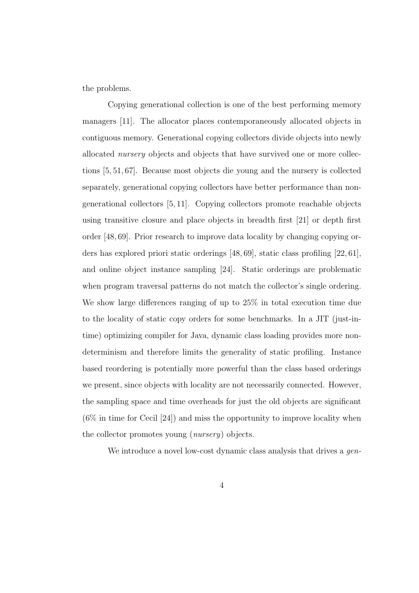the problems.

Copying generational collection is one of the best performing memory managers [11]. The allocator places contemporaneously allocated objects in contiguous memory. Generational copying collectors divide objects into newly allocated nursery objects and objects that have survived one or more collections [5, 51, 67]. Because most objects die young and the nursery is collected separately, generational copying collectors have better performance than nongenerational collectors [5, 11]. Copying collectors promote reachable objects using transitive closure and place objects in breadth first [21] or depth first order [48, 69]. Prior research to improve data locality by changing copying orders has explored priori static orderings [48, 69], static class profiling [22, 61], and online object instance sampling [24]. Static orderings are problematic when program traversal patterns do not match the collector's single ordering. We show large differences ranging of up to 25% in total execution time due to the locality of static copy orders for some benchmarks. In a JIT (just-intime) optimizing compiler for Java, dynamic class loading provides more nondeterminism and therefore limits the generality of static profiling. Instance based reordering is potentially more powerful than the class based orderings we present, since objects with locality are not necessarily connected. However, the sampling space and time overheads for just the old objects are significant (6% in time for Cecil [24]) and miss the opportunity to improve locality when the collector promotes young (nursery) objects.

We introduce a novel low-cost dynamic class analysis that drives a *gen*-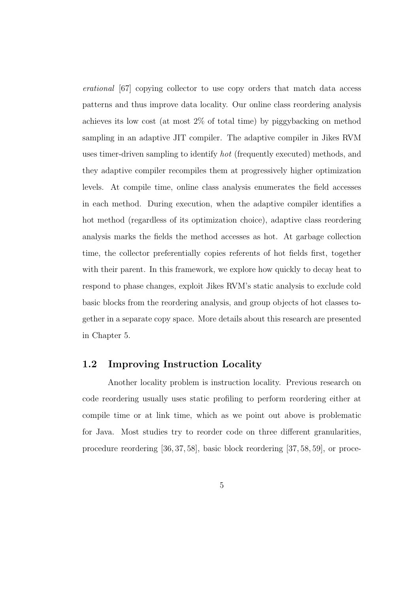erational [67] copying collector to use copy orders that match data access patterns and thus improve data locality. Our online class reordering analysis achieves its low cost (at most 2% of total time) by piggybacking on method sampling in an adaptive JIT compiler. The adaptive compiler in Jikes RVM uses timer-driven sampling to identify hot (frequently executed) methods, and they adaptive compiler recompiles them at progressively higher optimization levels. At compile time, online class analysis enumerates the field accesses in each method. During execution, when the adaptive compiler identifies a hot method (regardless of its optimization choice), adaptive class reordering analysis marks the fields the method accesses as hot. At garbage collection time, the collector preferentially copies referents of hot fields first, together with their parent. In this framework, we explore how quickly to decay heat to respond to phase changes, exploit Jikes RVM's static analysis to exclude cold basic blocks from the reordering analysis, and group objects of hot classes together in a separate copy space. More details about this research are presented in Chapter 5.

#### 1.2 Improving Instruction Locality

Another locality problem is instruction locality. Previous research on code reordering usually uses static profiling to perform reordering either at compile time or at link time, which as we point out above is problematic for Java. Most studies try to reorder code on three different granularities, procedure reordering [36, 37, 58], basic block reordering [37, 58, 59], or proce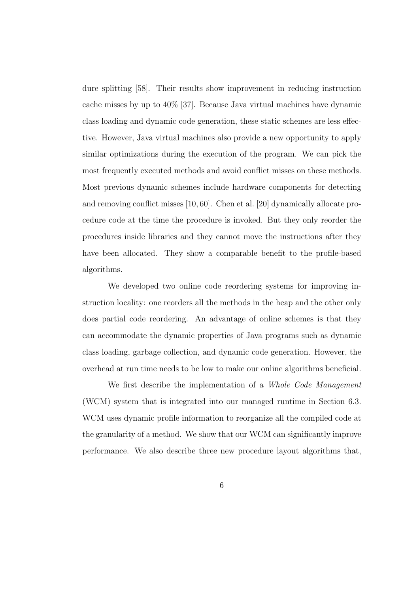dure splitting [58]. Their results show improvement in reducing instruction cache misses by up to 40% [37]. Because Java virtual machines have dynamic class loading and dynamic code generation, these static schemes are less effective. However, Java virtual machines also provide a new opportunity to apply similar optimizations during the execution of the program. We can pick the most frequently executed methods and avoid conflict misses on these methods. Most previous dynamic schemes include hardware components for detecting and removing conflict misses [10, 60]. Chen et al. [20] dynamically allocate procedure code at the time the procedure is invoked. But they only reorder the procedures inside libraries and they cannot move the instructions after they have been allocated. They show a comparable benefit to the profile-based algorithms.

We developed two online code reordering systems for improving instruction locality: one reorders all the methods in the heap and the other only does partial code reordering. An advantage of online schemes is that they can accommodate the dynamic properties of Java programs such as dynamic class loading, garbage collection, and dynamic code generation. However, the overhead at run time needs to be low to make our online algorithms beneficial.

We first describe the implementation of a Whole Code Management (WCM) system that is integrated into our managed runtime in Section 6.3. WCM uses dynamic profile information to reorganize all the compiled code at the granularity of a method. We show that our WCM can significantly improve performance. We also describe three new procedure layout algorithms that,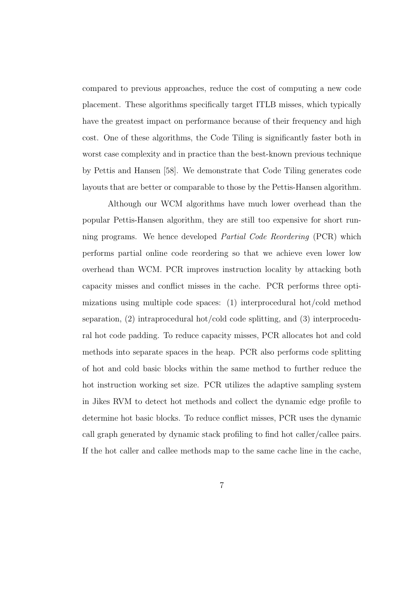compared to previous approaches, reduce the cost of computing a new code placement. These algorithms specifically target ITLB misses, which typically have the greatest impact on performance because of their frequency and high cost. One of these algorithms, the Code Tiling is significantly faster both in worst case complexity and in practice than the best-known previous technique by Pettis and Hansen [58]. We demonstrate that Code Tiling generates code layouts that are better or comparable to those by the Pettis-Hansen algorithm.

Although our WCM algorithms have much lower overhead than the popular Pettis-Hansen algorithm, they are still too expensive for short running programs. We hence developed Partial Code Reordering (PCR) which performs partial online code reordering so that we achieve even lower low overhead than WCM. PCR improves instruction locality by attacking both capacity misses and conflict misses in the cache. PCR performs three optimizations using multiple code spaces: (1) interprocedural hot/cold method separation, (2) intraprocedural hot/cold code splitting, and (3) interprocedural hot code padding. To reduce capacity misses, PCR allocates hot and cold methods into separate spaces in the heap. PCR also performs code splitting of hot and cold basic blocks within the same method to further reduce the hot instruction working set size. PCR utilizes the adaptive sampling system in Jikes RVM to detect hot methods and collect the dynamic edge profile to determine hot basic blocks. To reduce conflict misses, PCR uses the dynamic call graph generated by dynamic stack profiling to find hot caller/callee pairs. If the hot caller and callee methods map to the same cache line in the cache,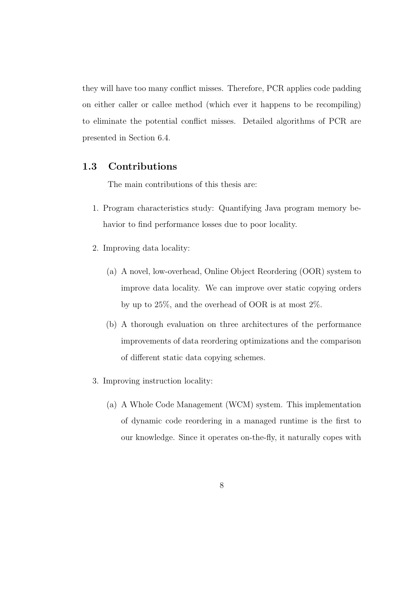they will have too many conflict misses. Therefore, PCR applies code padding on either caller or callee method (which ever it happens to be recompiling) to eliminate the potential conflict misses. Detailed algorithms of PCR are presented in Section 6.4.

#### 1.3 Contributions

The main contributions of this thesis are:

- 1. Program characteristics study: Quantifying Java program memory behavior to find performance losses due to poor locality.
- 2. Improving data locality:
	- (a) A novel, low-overhead, Online Object Reordering (OOR) system to improve data locality. We can improve over static copying orders by up to 25%, and the overhead of OOR is at most 2%.
	- (b) A thorough evaluation on three architectures of the performance improvements of data reordering optimizations and the comparison of different static data copying schemes.
- 3. Improving instruction locality:
	- (a) A Whole Code Management (WCM) system. This implementation of dynamic code reordering in a managed runtime is the first to our knowledge. Since it operates on-the-fly, it naturally copes with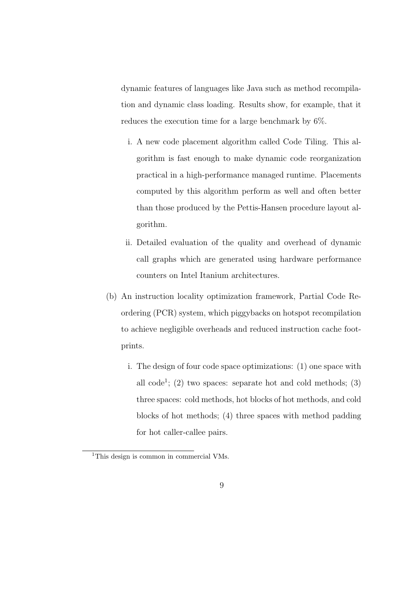dynamic features of languages like Java such as method recompilation and dynamic class loading. Results show, for example, that it reduces the execution time for a large benchmark by 6%.

- i. A new code placement algorithm called Code Tiling. This algorithm is fast enough to make dynamic code reorganization practical in a high-performance managed runtime. Placements computed by this algorithm perform as well and often better than those produced by the Pettis-Hansen procedure layout algorithm.
- ii. Detailed evaluation of the quality and overhead of dynamic call graphs which are generated using hardware performance counters on Intel Itanium architectures.
- (b) An instruction locality optimization framework, Partial Code Reordering (PCR) system, which piggybacks on hotspot recompilation to achieve negligible overheads and reduced instruction cache footprints.
	- i. The design of four code space optimizations: (1) one space with all code<sup>1</sup>; (2) two spaces: separate hot and cold methods; (3) three spaces: cold methods, hot blocks of hot methods, and cold blocks of hot methods; (4) three spaces with method padding for hot caller-callee pairs.

<sup>&</sup>lt;sup>1</sup>This design is common in commercial VMs.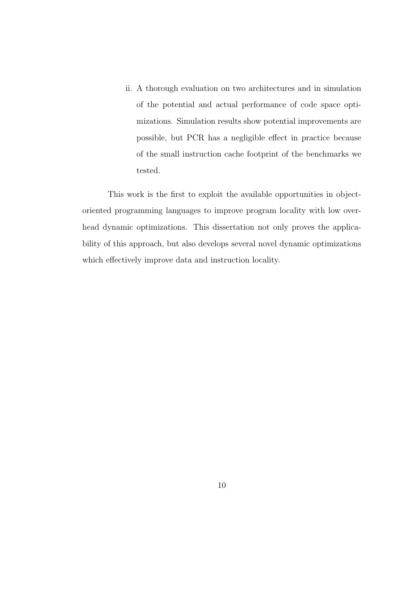ii. A thorough evaluation on two architectures and in simulation of the potential and actual performance of code space optimizations. Simulation results show potential improvements are possible, but PCR has a negligible effect in practice because of the small instruction cache footprint of the benchmarks we tested.

This work is the first to exploit the available opportunities in objectoriented programming languages to improve program locality with low overhead dynamic optimizations. This dissertation not only proves the applicability of this approach, but also develops several novel dynamic optimizations which effectively improve data and instruction locality.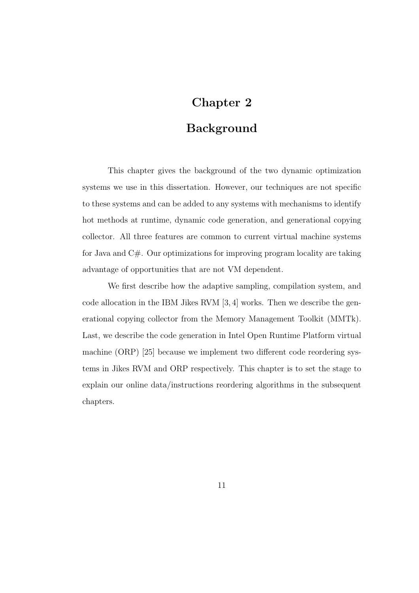### Chapter 2

### Background

This chapter gives the background of the two dynamic optimization systems we use in this dissertation. However, our techniques are not specific to these systems and can be added to any systems with mechanisms to identify hot methods at runtime, dynamic code generation, and generational copying collector. All three features are common to current virtual machine systems for Java and C#. Our optimizations for improving program locality are taking advantage of opportunities that are not VM dependent.

We first describe how the adaptive sampling, compilation system, and code allocation in the IBM Jikes RVM [3, 4] works. Then we describe the generational copying collector from the Memory Management Toolkit (MMTk). Last, we describe the code generation in Intel Open Runtime Platform virtual machine (ORP) [25] because we implement two different code reordering systems in Jikes RVM and ORP respectively. This chapter is to set the stage to explain our online data/instructions reordering algorithms in the subsequent chapters.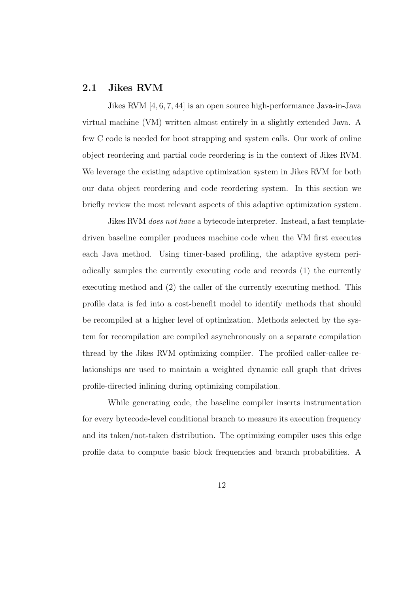#### 2.1 Jikes RVM

Jikes RVM [4, 6, 7, 44] is an open source high-performance Java-in-Java virtual machine (VM) written almost entirely in a slightly extended Java. A few C code is needed for boot strapping and system calls. Our work of online object reordering and partial code reordering is in the context of Jikes RVM. We leverage the existing adaptive optimization system in Jikes RVM for both our data object reordering and code reordering system. In this section we briefly review the most relevant aspects of this adaptive optimization system.

Jikes RVM does not have a bytecode interpreter. Instead, a fast templatedriven baseline compiler produces machine code when the VM first executes each Java method. Using timer-based profiling, the adaptive system periodically samples the currently executing code and records (1) the currently executing method and (2) the caller of the currently executing method. This profile data is fed into a cost-benefit model to identify methods that should be recompiled at a higher level of optimization. Methods selected by the system for recompilation are compiled asynchronously on a separate compilation thread by the Jikes RVM optimizing compiler. The profiled caller-callee relationships are used to maintain a weighted dynamic call graph that drives profile-directed inlining during optimizing compilation.

While generating code, the baseline compiler inserts instrumentation for every bytecode-level conditional branch to measure its execution frequency and its taken/not-taken distribution. The optimizing compiler uses this edge profile data to compute basic block frequencies and branch probabilities. A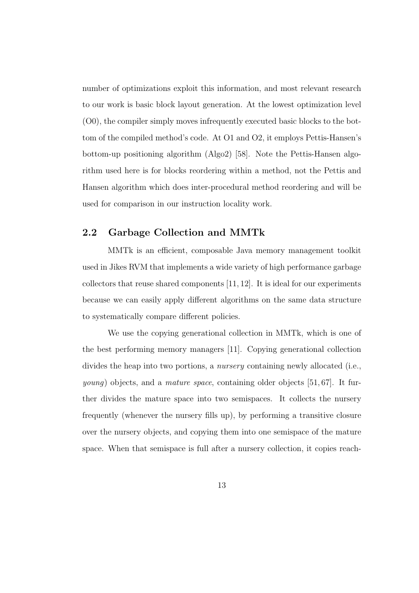number of optimizations exploit this information, and most relevant research to our work is basic block layout generation. At the lowest optimization level (O0), the compiler simply moves infrequently executed basic blocks to the bottom of the compiled method's code. At O1 and O2, it employs Pettis-Hansen's bottom-up positioning algorithm (Algo2) [58]. Note the Pettis-Hansen algorithm used here is for blocks reordering within a method, not the Pettis and Hansen algorithm which does inter-procedural method reordering and will be used for comparison in our instruction locality work.

#### 2.2 Garbage Collection and MMTk

MMTk is an efficient, composable Java memory management toolkit used in Jikes RVM that implements a wide variety of high performance garbage collectors that reuse shared components [11, 12]. It is ideal for our experiments because we can easily apply different algorithms on the same data structure to systematically compare different policies.

We use the copying generational collection in MMTk, which is one of the best performing memory managers [11]. Copying generational collection divides the heap into two portions, a nursery containing newly allocated (i.e., *young*) objects, and a *mature space*, containing older objects [51, 67]. It further divides the mature space into two semispaces. It collects the nursery frequently (whenever the nursery fills up), by performing a transitive closure over the nursery objects, and copying them into one semispace of the mature space. When that semispace is full after a nursery collection, it copies reach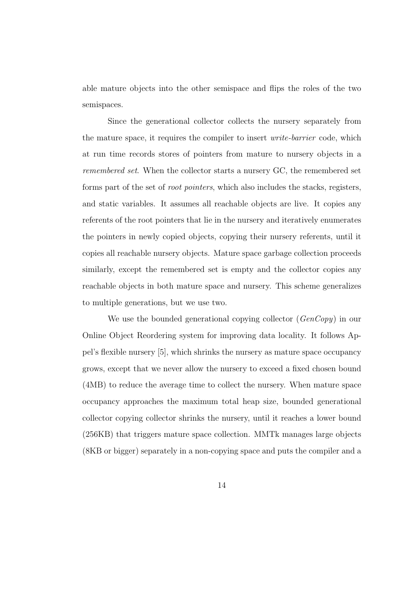able mature objects into the other semispace and flips the roles of the two semispaces.

Since the generational collector collects the nursery separately from the mature space, it requires the compiler to insert write-barrier code, which at run time records stores of pointers from mature to nursery objects in a remembered set. When the collector starts a nursery GC, the remembered set forms part of the set of root pointers, which also includes the stacks, registers, and static variables. It assumes all reachable objects are live. It copies any referents of the root pointers that lie in the nursery and iteratively enumerates the pointers in newly copied objects, copying their nursery referents, until it copies all reachable nursery objects. Mature space garbage collection proceeds similarly, except the remembered set is empty and the collector copies any reachable objects in both mature space and nursery. This scheme generalizes to multiple generations, but we use two.

We use the bounded generational copying collector (*GenCopy*) in our Online Object Reordering system for improving data locality. It follows Appel's flexible nursery [5], which shrinks the nursery as mature space occupancy grows, except that we never allow the nursery to exceed a fixed chosen bound (4MB) to reduce the average time to collect the nursery. When mature space occupancy approaches the maximum total heap size, bounded generational collector copying collector shrinks the nursery, until it reaches a lower bound (256KB) that triggers mature space collection. MMTk manages large objects (8KB or bigger) separately in a non-copying space and puts the compiler and a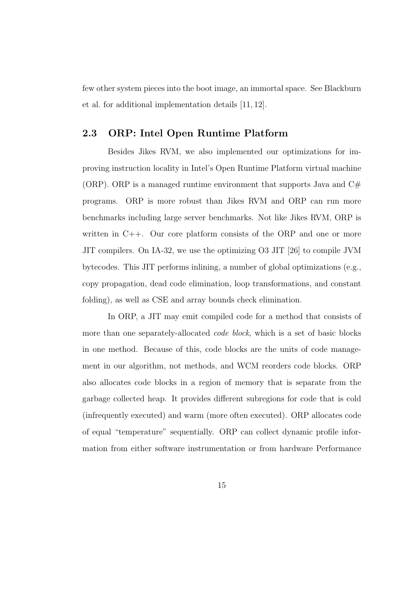few other system pieces into the boot image, an immortal space. See Blackburn et al. for additional implementation details [11, 12].

#### 2.3 ORP: Intel Open Runtime Platform

Besides Jikes RVM, we also implemented our optimizations for improving instruction locality in Intel's Open Runtime Platform virtual machine (ORP). ORP is a managed runtime environment that supports Java and  $C#$ programs. ORP is more robust than Jikes RVM and ORP can run more benchmarks including large server benchmarks. Not like Jikes RVM, ORP is written in C++. Our core platform consists of the ORP and one or more JIT compilers. On IA-32, we use the optimizing O3 JIT [26] to compile JVM bytecodes. This JIT performs inlining, a number of global optimizations (e.g., copy propagation, dead code elimination, loop transformations, and constant folding), as well as CSE and array bounds check elimination.

In ORP, a JIT may emit compiled code for a method that consists of more than one separately-allocated *code block*, which is a set of basic blocks in one method. Because of this, code blocks are the units of code management in our algorithm, not methods, and WCM reorders code blocks. ORP also allocates code blocks in a region of memory that is separate from the garbage collected heap. It provides different subregions for code that is cold (infrequently executed) and warm (more often executed). ORP allocates code of equal "temperature" sequentially. ORP can collect dynamic profile information from either software instrumentation or from hardware Performance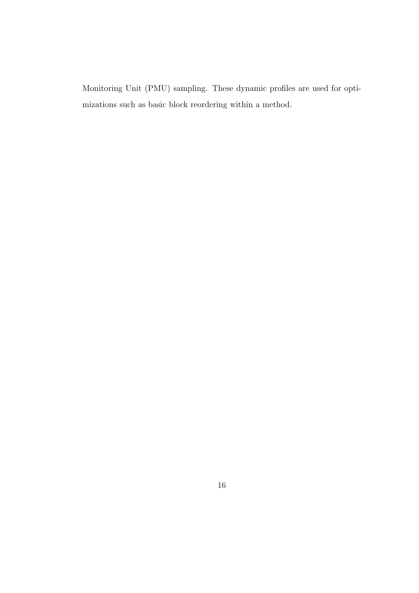Monitoring Unit (PMU) sampling. These dynamic profiles are used for optimizations such as basic block reordering within a method.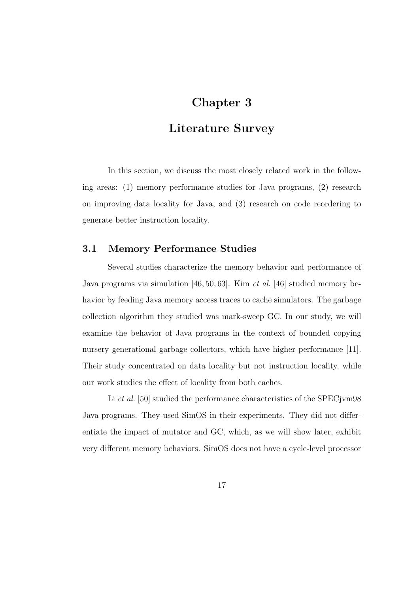### Chapter 3

### Literature Survey

In this section, we discuss the most closely related work in the following areas: (1) memory performance studies for Java programs, (2) research on improving data locality for Java, and (3) research on code reordering to generate better instruction locality.

#### 3.1 Memory Performance Studies

Several studies characterize the memory behavior and performance of Java programs via simulation [46, 50, 63]. Kim et al. [46] studied memory behavior by feeding Java memory access traces to cache simulators. The garbage collection algorithm they studied was mark-sweep GC. In our study, we will examine the behavior of Java programs in the context of bounded copying nursery generational garbage collectors, which have higher performance [11]. Their study concentrated on data locality but not instruction locality, while our work studies the effect of locality from both caches.

Li et al. [50] studied the performance characteristics of the SPECjvm98 Java programs. They used SimOS in their experiments. They did not differentiate the impact of mutator and GC, which, as we will show later, exhibit very different memory behaviors. SimOS does not have a cycle-level processor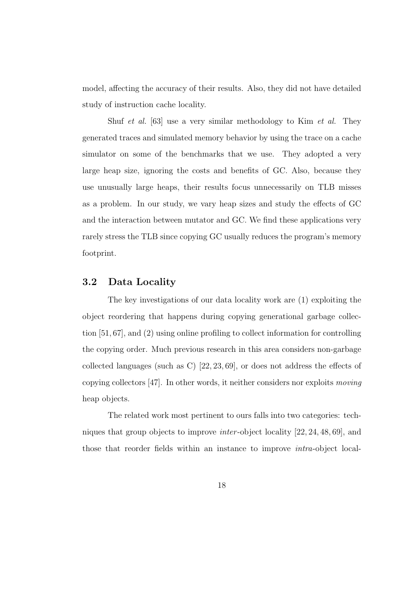model, affecting the accuracy of their results. Also, they did not have detailed study of instruction cache locality.

Shuf et al. [63] use a very similar methodology to Kim et al. They generated traces and simulated memory behavior by using the trace on a cache simulator on some of the benchmarks that we use. They adopted a very large heap size, ignoring the costs and benefits of GC. Also, because they use unusually large heaps, their results focus unnecessarily on TLB misses as a problem. In our study, we vary heap sizes and study the effects of GC and the interaction between mutator and GC. We find these applications very rarely stress the TLB since copying GC usually reduces the program's memory footprint.

#### 3.2 Data Locality

The key investigations of our data locality work are (1) exploiting the object reordering that happens during copying generational garbage collection [51, 67], and (2) using online profiling to collect information for controlling the copying order. Much previous research in this area considers non-garbage collected languages (such as C) [22, 23, 69], or does not address the effects of copying collectors [47]. In other words, it neither considers nor exploits moving heap objects.

The related work most pertinent to ours falls into two categories: techniques that group objects to improve inter -object locality [22, 24, 48, 69], and those that reorder fields within an instance to improve intra-object local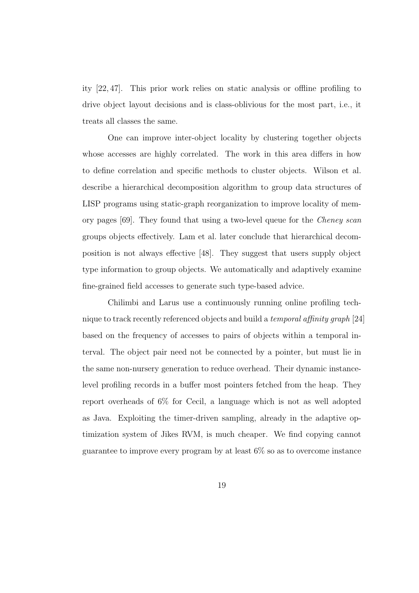ity [22, 47]. This prior work relies on static analysis or offline profiling to drive object layout decisions and is class-oblivious for the most part, i.e., it treats all classes the same.

One can improve inter-object locality by clustering together objects whose accesses are highly correlated. The work in this area differs in how to define correlation and specific methods to cluster objects. Wilson et al. describe a hierarchical decomposition algorithm to group data structures of LISP programs using static-graph reorganization to improve locality of memory pages [69]. They found that using a two-level queue for the Cheney scan groups objects effectively. Lam et al. later conclude that hierarchical decomposition is not always effective [48]. They suggest that users supply object type information to group objects. We automatically and adaptively examine fine-grained field accesses to generate such type-based advice.

Chilimbi and Larus use a continuously running online profiling technique to track recently referenced objects and build a temporal affinity graph [24] based on the frequency of accesses to pairs of objects within a temporal interval. The object pair need not be connected by a pointer, but must lie in the same non-nursery generation to reduce overhead. Their dynamic instancelevel profiling records in a buffer most pointers fetched from the heap. They report overheads of 6% for Cecil, a language which is not as well adopted as Java. Exploiting the timer-driven sampling, already in the adaptive optimization system of Jikes RVM, is much cheaper. We find copying cannot guarantee to improve every program by at least  $6\%$  so as to overcome instance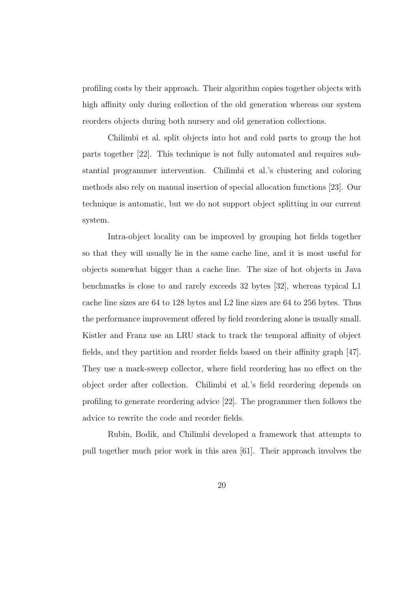profiling costs by their approach. Their algorithm copies together objects with high affinity only during collection of the old generation whereas our system reorders objects during both nursery and old generation collections.

Chilimbi et al. split objects into hot and cold parts to group the hot parts together [22]. This technique is not fully automated and requires substantial programmer intervention. Chilimbi et al.'s clustering and coloring methods also rely on manual insertion of special allocation functions [23]. Our technique is automatic, but we do not support object splitting in our current system.

Intra-object locality can be improved by grouping hot fields together so that they will usually lie in the same cache line, and it is most useful for objects somewhat bigger than a cache line. The size of hot objects in Java benchmarks is close to and rarely exceeds 32 bytes [32], whereas typical L1 cache line sizes are 64 to 128 bytes and L2 line sizes are 64 to 256 bytes. Thus the performance improvement offered by field reordering alone is usually small. Kistler and Franz use an LRU stack to track the temporal affinity of object fields, and they partition and reorder fields based on their affinity graph [47]. They use a mark-sweep collector, where field reordering has no effect on the object order after collection. Chilimbi et al.'s field reordering depends on profiling to generate reordering advice [22]. The programmer then follows the advice to rewrite the code and reorder fields.

Rubin, Bodik, and Chilimbi developed a framework that attempts to pull together much prior work in this area [61]. Their approach involves the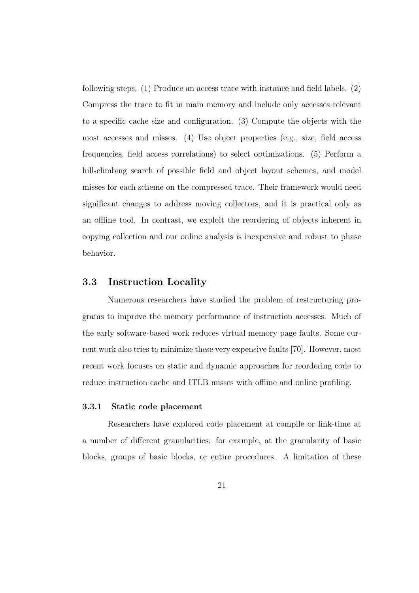following steps. (1) Produce an access trace with instance and field labels. (2) Compress the trace to fit in main memory and include only accesses relevant to a specific cache size and configuration. (3) Compute the objects with the most accesses and misses. (4) Use object properties (e.g., size, field access frequencies, field access correlations) to select optimizations. (5) Perform a hill-climbing search of possible field and object layout schemes, and model misses for each scheme on the compressed trace. Their framework would need significant changes to address moving collectors, and it is practical only as an offline tool. In contrast, we exploit the reordering of objects inherent in copying collection and our online analysis is inexpensive and robust to phase behavior.

#### 3.3 Instruction Locality

Numerous researchers have studied the problem of restructuring programs to improve the memory performance of instruction accesses. Much of the early software-based work reduces virtual memory page faults. Some current work also tries to minimize these very expensive faults [70]. However, most recent work focuses on static and dynamic approaches for reordering code to reduce instruction cache and ITLB misses with offline and online profiling.

#### 3.3.1 Static code placement

Researchers have explored code placement at compile or link-time at a number of different granularities: for example, at the granularity of basic blocks, groups of basic blocks, or entire procedures. A limitation of these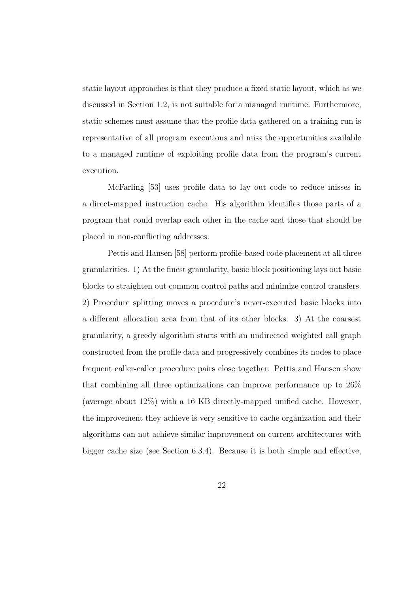static layout approaches is that they produce a fixed static layout, which as we discussed in Section 1.2, is not suitable for a managed runtime. Furthermore, static schemes must assume that the profile data gathered on a training run is representative of all program executions and miss the opportunities available to a managed runtime of exploiting profile data from the program's current execution.

McFarling [53] uses profile data to lay out code to reduce misses in a direct-mapped instruction cache. His algorithm identifies those parts of a program that could overlap each other in the cache and those that should be placed in non-conflicting addresses.

Pettis and Hansen [58] perform profile-based code placement at all three granularities. 1) At the finest granularity, basic block positioning lays out basic blocks to straighten out common control paths and minimize control transfers. 2) Procedure splitting moves a procedure's never-executed basic blocks into a different allocation area from that of its other blocks. 3) At the coarsest granularity, a greedy algorithm starts with an undirected weighted call graph constructed from the profile data and progressively combines its nodes to place frequent caller-callee procedure pairs close together. Pettis and Hansen show that combining all three optimizations can improve performance up to 26% (average about 12%) with a 16 KB directly-mapped unified cache. However, the improvement they achieve is very sensitive to cache organization and their algorithms can not achieve similar improvement on current architectures with bigger cache size (see Section 6.3.4). Because it is both simple and effective,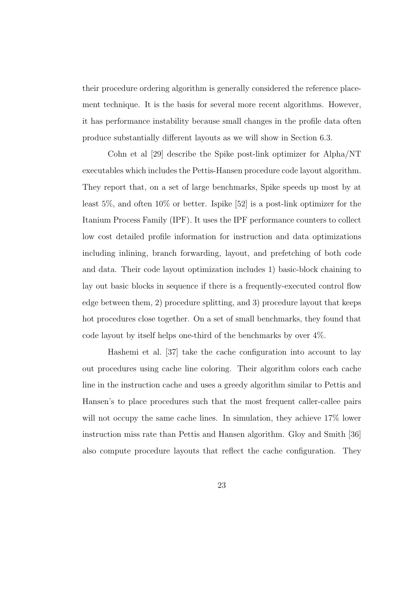their procedure ordering algorithm is generally considered the reference placement technique. It is the basis for several more recent algorithms. However, it has performance instability because small changes in the profile data often produce substantially different layouts as we will show in Section 6.3.

Cohn et al [29] describe the Spike post-link optimizer for Alpha/NT executables which includes the Pettis-Hansen procedure code layout algorithm. They report that, on a set of large benchmarks, Spike speeds up most by at least 5%, and often 10% or better. Ispike [52] is a post-link optimizer for the Itanium Process Family (IPF). It uses the IPF performance counters to collect low cost detailed profile information for instruction and data optimizations including inlining, branch forwarding, layout, and prefetching of both code and data. Their code layout optimization includes 1) basic-block chaining to lay out basic blocks in sequence if there is a frequently-executed control flow edge between them, 2) procedure splitting, and 3) procedure layout that keeps hot procedures close together. On a set of small benchmarks, they found that code layout by itself helps one-third of the benchmarks by over  $4\%$ .

Hashemi et al. [37] take the cache configuration into account to lay out procedures using cache line coloring. Their algorithm colors each cache line in the instruction cache and uses a greedy algorithm similar to Pettis and Hansen's to place procedures such that the most frequent caller-callee pairs will not occupy the same cache lines. In simulation, they achieve  $17\%$  lower instruction miss rate than Pettis and Hansen algorithm. Gloy and Smith [36] also compute procedure layouts that reflect the cache configuration. They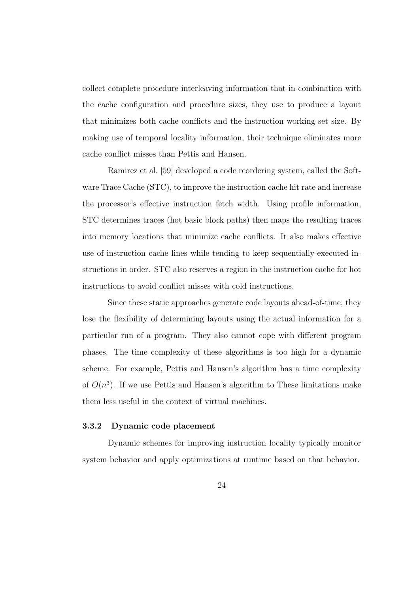collect complete procedure interleaving information that in combination with the cache configuration and procedure sizes, they use to produce a layout that minimizes both cache conflicts and the instruction working set size. By making use of temporal locality information, their technique eliminates more cache conflict misses than Pettis and Hansen.

Ramirez et al. [59] developed a code reordering system, called the Software Trace Cache (STC), to improve the instruction cache hit rate and increase the processor's effective instruction fetch width. Using profile information, STC determines traces (hot basic block paths) then maps the resulting traces into memory locations that minimize cache conflicts. It also makes effective use of instruction cache lines while tending to keep sequentially-executed instructions in order. STC also reserves a region in the instruction cache for hot instructions to avoid conflict misses with cold instructions.

Since these static approaches generate code layouts ahead-of-time, they lose the flexibility of determining layouts using the actual information for a particular run of a program. They also cannot cope with different program phases. The time complexity of these algorithms is too high for a dynamic scheme. For example, Pettis and Hansen's algorithm has a time complexity of  $O(n^3)$ . If we use Pettis and Hansen's algorithm to These limitations make them less useful in the context of virtual machines.

#### 3.3.2 Dynamic code placement

Dynamic schemes for improving instruction locality typically monitor system behavior and apply optimizations at runtime based on that behavior.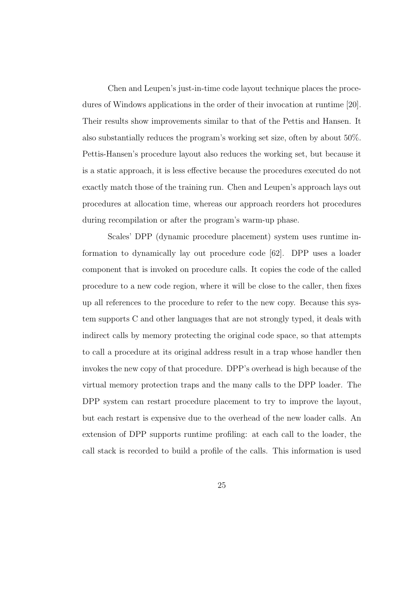Chen and Leupen's just-in-time code layout technique places the procedures of Windows applications in the order of their invocation at runtime [20]. Their results show improvements similar to that of the Pettis and Hansen. It also substantially reduces the program's working set size, often by about 50%. Pettis-Hansen's procedure layout also reduces the working set, but because it is a static approach, it is less effective because the procedures executed do not exactly match those of the training run. Chen and Leupen's approach lays out procedures at allocation time, whereas our approach reorders hot procedures during recompilation or after the program's warm-up phase.

Scales' DPP (dynamic procedure placement) system uses runtime information to dynamically lay out procedure code [62]. DPP uses a loader component that is invoked on procedure calls. It copies the code of the called procedure to a new code region, where it will be close to the caller, then fixes up all references to the procedure to refer to the new copy. Because this system supports C and other languages that are not strongly typed, it deals with indirect calls by memory protecting the original code space, so that attempts to call a procedure at its original address result in a trap whose handler then invokes the new copy of that procedure. DPP's overhead is high because of the virtual memory protection traps and the many calls to the DPP loader. The DPP system can restart procedure placement to try to improve the layout, but each restart is expensive due to the overhead of the new loader calls. An extension of DPP supports runtime profiling: at each call to the loader, the call stack is recorded to build a profile of the calls. This information is used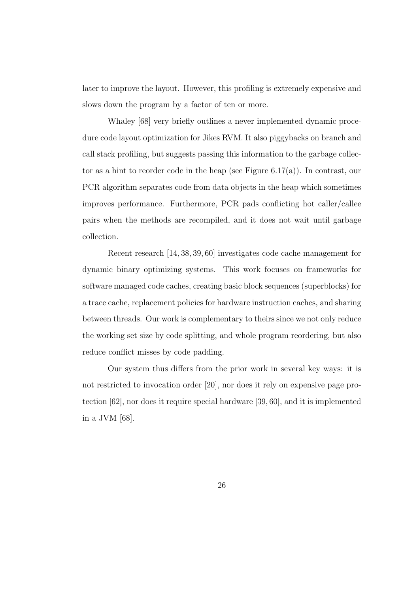later to improve the layout. However, this profiling is extremely expensive and slows down the program by a factor of ten or more.

Whaley [68] very briefly outlines a never implemented dynamic procedure code layout optimization for Jikes RVM. It also piggybacks on branch and call stack profiling, but suggests passing this information to the garbage collector as a hint to reorder code in the heap (see Figure  $6.17(a)$ ). In contrast, our PCR algorithm separates code from data objects in the heap which sometimes improves performance. Furthermore, PCR pads conflicting hot caller/callee pairs when the methods are recompiled, and it does not wait until garbage collection.

Recent research [14, 38, 39, 60] investigates code cache management for dynamic binary optimizing systems. This work focuses on frameworks for software managed code caches, creating basic block sequences (superblocks) for a trace cache, replacement policies for hardware instruction caches, and sharing between threads. Our work is complementary to theirs since we not only reduce the working set size by code splitting, and whole program reordering, but also reduce conflict misses by code padding.

Our system thus differs from the prior work in several key ways: it is not restricted to invocation order [20], nor does it rely on expensive page protection [62], nor does it require special hardware [39, 60], and it is implemented in a JVM [68].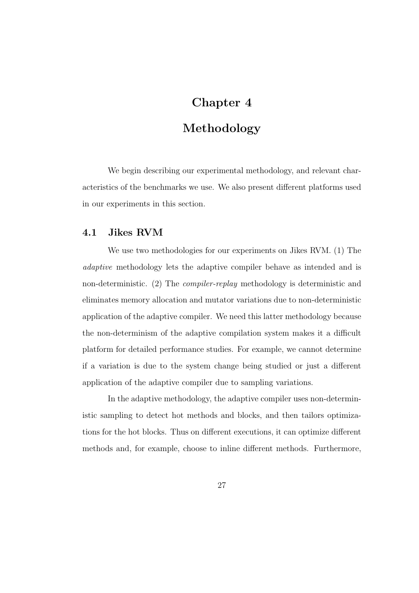# Chapter 4

# Methodology

We begin describing our experimental methodology, and relevant characteristics of the benchmarks we use. We also present different platforms used in our experiments in this section.

## 4.1 Jikes RVM

We use two methodologies for our experiments on Jikes RVM. (1) The adaptive methodology lets the adaptive compiler behave as intended and is non-deterministic. (2) The compiler-replay methodology is deterministic and eliminates memory allocation and mutator variations due to non-deterministic application of the adaptive compiler. We need this latter methodology because the non-determinism of the adaptive compilation system makes it a difficult platform for detailed performance studies. For example, we cannot determine if a variation is due to the system change being studied or just a different application of the adaptive compiler due to sampling variations.

In the adaptive methodology, the adaptive compiler uses non-deterministic sampling to detect hot methods and blocks, and then tailors optimizations for the hot blocks. Thus on different executions, it can optimize different methods and, for example, choose to inline different methods. Furthermore,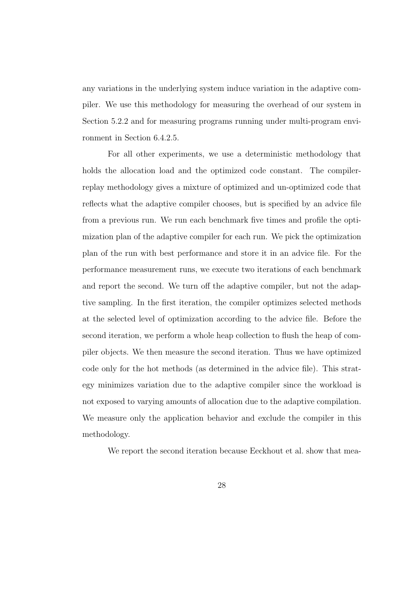any variations in the underlying system induce variation in the adaptive compiler. We use this methodology for measuring the overhead of our system in Section 5.2.2 and for measuring programs running under multi-program environment in Section 6.4.2.5.

For all other experiments, we use a deterministic methodology that holds the allocation load and the optimized code constant. The compilerreplay methodology gives a mixture of optimized and un-optimized code that reflects what the adaptive compiler chooses, but is specified by an advice file from a previous run. We run each benchmark five times and profile the optimization plan of the adaptive compiler for each run. We pick the optimization plan of the run with best performance and store it in an advice file. For the performance measurement runs, we execute two iterations of each benchmark and report the second. We turn off the adaptive compiler, but not the adaptive sampling. In the first iteration, the compiler optimizes selected methods at the selected level of optimization according to the advice file. Before the second iteration, we perform a whole heap collection to flush the heap of compiler objects. We then measure the second iteration. Thus we have optimized code only for the hot methods (as determined in the advice file). This strategy minimizes variation due to the adaptive compiler since the workload is not exposed to varying amounts of allocation due to the adaptive compilation. We measure only the application behavior and exclude the compiler in this methodology.

We report the second iteration because Eeckhout et al. show that mea-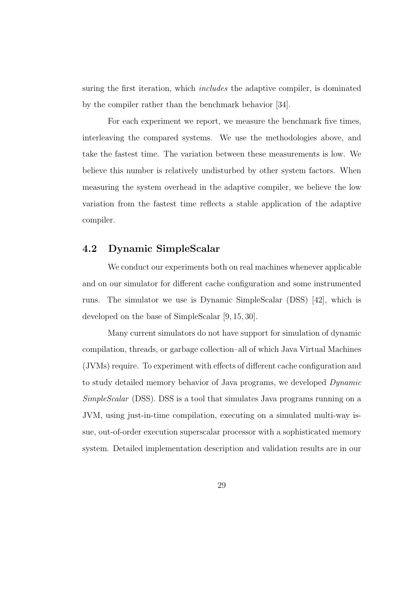suring the first iteration, which includes the adaptive compiler, is dominated by the compiler rather than the benchmark behavior [34].

For each experiment we report, we measure the benchmark five times, interleaving the compared systems. We use the methodologies above, and take the fastest time. The variation between these measurements is low. We believe this number is relatively undisturbed by other system factors. When measuring the system overhead in the adaptive compiler, we believe the low variation from the fastest time reflects a stable application of the adaptive compiler.

### 4.2 Dynamic SimpleScalar

We conduct our experiments both on real machines whenever applicable and on our simulator for different cache configuration and some instrumented runs. The simulator we use is Dynamic SimpleScalar (DSS) [42], which is developed on the base of SimpleScalar [9, 15, 30].

Many current simulators do not have support for simulation of dynamic compilation, threads, or garbage collection–all of which Java Virtual Machines (JVMs) require. To experiment with effects of different cache configuration and to study detailed memory behavior of Java programs, we developed Dynamic SimpleScalar (DSS). DSS is a tool that simulates Java programs running on a JVM, using just-in-time compilation, executing on a simulated multi-way issue, out-of-order execution superscalar processor with a sophisticated memory system. Detailed implementation description and validation results are in our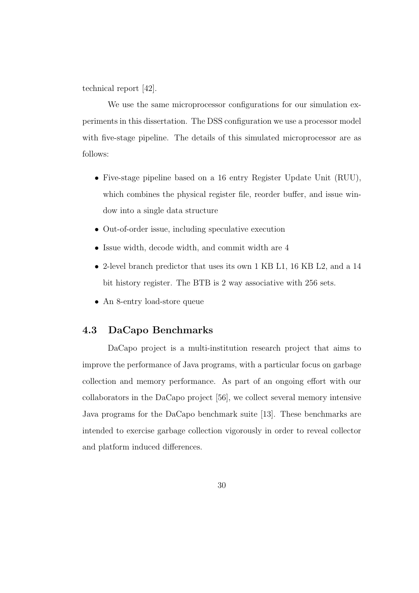technical report [42].

We use the same microprocessor configurations for our simulation experiments in this dissertation. The DSS configuration we use a processor model with five-stage pipeline. The details of this simulated microprocessor are as follows:

- Five-stage pipeline based on a 16 entry Register Update Unit (RUU), which combines the physical register file, reorder buffer, and issue window into a single data structure
- Out-of-order issue, including speculative execution
- Issue width, decode width, and commit width are 4
- 2-level branch predictor that uses its own 1 KB L1, 16 KB L2, and a 14 bit history register. The BTB is 2 way associative with 256 sets.
- An 8-entry load-store queue

## 4.3 DaCapo Benchmarks

DaCapo project is a multi-institution research project that aims to improve the performance of Java programs, with a particular focus on garbage collection and memory performance. As part of an ongoing effort with our collaborators in the DaCapo project [56], we collect several memory intensive Java programs for the DaCapo benchmark suite [13]. These benchmarks are intended to exercise garbage collection vigorously in order to reveal collector and platform induced differences.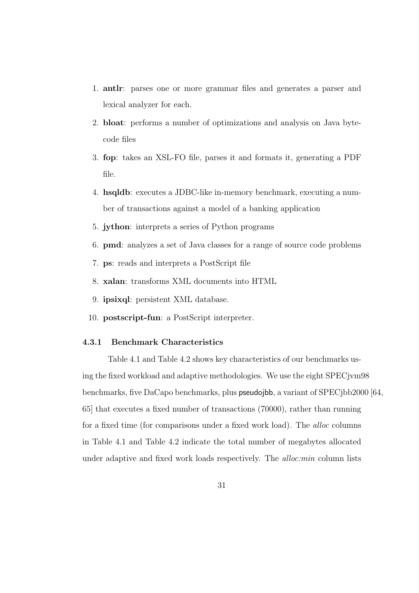- 1. antlr: parses one or more grammar files and generates a parser and lexical analyzer for each.
- 2. bloat: performs a number of optimizations and analysis on Java bytecode files
- 3. fop: takes an XSL-FO file, parses it and formats it, generating a PDF file.
- 4. hsqldb: executes a JDBC-like in-memory benchmark, executing a number of transactions against a model of a banking application
- 5. jython: interprets a series of Python programs
- 6. pmd: analyzes a set of Java classes for a range of source code problems
- 7. ps: reads and interprets a PostScript file
- 8. xalan: transforms XML documents into HTML
- 9. ipsixql: persistent XML database.
- 10. postscript-fun: a PostScript interpreter.

### 4.3.1 Benchmark Characteristics

Table 4.1 and Table 4.2 shows key characteristics of our benchmarks using the fixed workload and adaptive methodologies. We use the eight SPECjvm98 benchmarks, five DaCapo benchmarks, plus pseudojbb, a variant of SPECjbb2000 [64, 65] that executes a fixed number of transactions (70000), rather than running for a fixed time (for comparisons under a fixed work load). The alloc columns in Table 4.1 and Table 4.2 indicate the total number of megabytes allocated under adaptive and fixed work loads respectively. The *alloc:min* column lists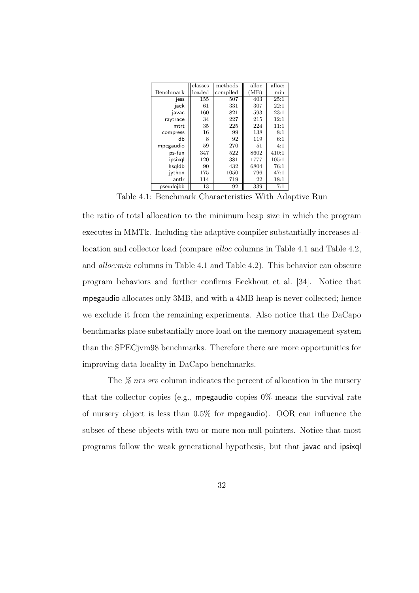|           | classes | methods  | alloc | alloc: |
|-----------|---------|----------|-------|--------|
|           |         |          |       |        |
| Benchmark | loaded  | compiled | (MB)  | min    |
| jess      | 155     | 507      | 403   | 25:1   |
| jack      | 61      | 331      | 307   | 22:1   |
| javac     | 160     | 821      | 593   | 23:1   |
| raytrace  | 34      | 227      | 215   | 12:1   |
| mtrt      | 35      | 225      | 224   | 11:1   |
| compress  | 16      | 99       | 138   | 8:1    |
| db        | 8       | 92       | 119   | 6:1    |
| mpegaudio | 59      | 270      | 51    | 4:1    |
| ps-fun    | 347     | 522      | 8602  | 410:1  |
| ipsixal   | 120     | 381      | 1777  | 105:1  |
| hsgldb    | 90      | 432      | 6804  | 76:1   |
| ivthon    | 175     | 1050     | 796   | 47:1   |
| antlr     | 114     | 719      | 22    | 18:1   |
| pseudojbb | 13      | 92       | 339   | 7:1    |

Table 4.1: Benchmark Characteristics With Adaptive Run

the ratio of total allocation to the minimum heap size in which the program executes in MMTk. Including the adaptive compiler substantially increases allocation and collector load (compare alloc columns in Table 4.1 and Table 4.2, and alloc:min columns in Table 4.1 and Table 4.2). This behavior can obscure program behaviors and further confirms Eeckhout et al. [34]. Notice that mpegaudio allocates only 3MB, and with a 4MB heap is never collected; hence we exclude it from the remaining experiments. Also notice that the DaCapo benchmarks place substantially more load on the memory management system than the SPECjvm98 benchmarks. Therefore there are more opportunities for improving data locality in DaCapo benchmarks.

The  $\%$  nrs srv column indicates the percent of allocation in the nursery that the collector copies (e.g., **mpegaudio** copies  $0\%$  means the survival rate of nursery object is less than 0.5% for mpegaudio). OOR can influence the subset of these objects with two or more non-null pointers. Notice that most programs follow the weak generational hypothesis, but that javac and ipsixql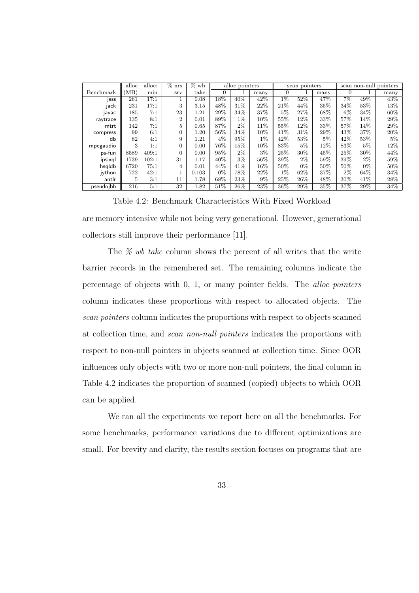|           | alloc | alloc: | $\overline{\%}$ nrs | $\%$ wb | alloc pointers |                   |        | scan pointers |       | scan non-null pointers |          |       |       |
|-----------|-------|--------|---------------------|---------|----------------|-------------------|--------|---------------|-------|------------------------|----------|-------|-------|
| Benchmark | 'MB)  | min    | <b>Srv</b>          | take    | 0              |                   | many   | 0             |       | many                   | $\Omega$ |       | many  |
| jess      | 261   | 17:1   |                     | 0.08    | 18%            | 40%               | 42%    | $1\%$         | 52%   | 47%                    | $7\%$    | 49%   | 43\%  |
| jack      | 231   | 17:1   | 3                   | 3.15    | 48%            | 31%               | 22%    | 21%           | 44%   | 35%                    | 34%      | 53%   | 13%   |
| javac     | 185   | 7:1    | 23                  | 1.21    | 29%            | 34%               | 37%    | 5%            | 27%   | 68%                    | $6\%$    | 34\%  | 60%   |
| raytrace  | 135   | 8:1    | $\overline{2}$      | 0.01    | 89%            | $1\%$             | 10%    | 55%           | 12%   | 33%                    | 57%      | 14%   | 29%   |
| mtrt      | 142   | 7:1    | 5                   | 0.65    | 87%            | $2\%$             | 11\%   | 55%           | 12%   | 33%                    | 57%      | 14%   | 29%   |
| compress  | 99    | 6:1    | $\Omega$            | 1.20    | 56%            | 34%               | $10\%$ | 41%           | 31%   | 29%                    | 43%      | 37%   | 20%   |
| db        | 82    | 4:1    | 9                   | 1.21    | $4\%$          | 95%               | $1\%$  | 42%           | 53%   | 5%                     | 42%      | 53%   | $5\%$ |
| mpegaudio | 3     | 1:1    | $\Omega$            | 0.00    | 76%            | 15%               | 10%    | 83%           | $5\%$ | 12%                    | 83%      | 5%    | 12%   |
| ps-fun    | 8589  | 409:1  | $\Omega$            | 0.00    | 95%            | $2\%$             | $3\%$  | 25%           | 30%   | 45%                    | 25%      | 30%   | 44%   |
| ipsixal   | 1739  | 102:1  | 31                  | 1.17    | 40\%           | $3\%$             | 56%    | 39%           | $2\%$ | 59%                    | 39%      | $2\%$ | 59%   |
| hsgldb    | 6720  | 75:1   | 4                   | 0.01    | 44\%           | 41%               | 16%    | 50%           | $0\%$ | 50%                    | 50%      | 0%    | 50%   |
| ivthon    | 722   | 42:1   |                     | 0.103   | $0\%$          | 78%               | 22%    | $1\%$         | 62%   | 37%                    | $2\%$    | 64%   | 34%   |
| antlr     | 5     | 3:1    | 11                  | 1.78    | 68\%           | 23%               | 9%     | 25\%          | 26\%  | 48%                    | 30%      | 41\%  | 28\%  |
| pseudoibb | 216   | 5:1    | 32                  | 1.82    | 51%            | $\overline{26\%}$ | $23\%$ | 36%           | 29%   | 35%                    | 37%      | 29%   | 34%   |

Table 4.2: Benchmark Characteristics With Fixed Workload are memory intensive while not being very generational. However, generational collectors still improve their performance [11].

The  $\%$  wb take column shows the percent of all writes that the write barrier records in the remembered set. The remaining columns indicate the percentage of objects with 0, 1, or many pointer fields. The alloc pointers column indicates these proportions with respect to allocated objects. The scan pointers column indicates the proportions with respect to objects scanned at collection time, and scan non-null pointers indicates the proportions with respect to non-null pointers in objects scanned at collection time. Since OOR influences only objects with two or more non-null pointers, the final column in Table 4.2 indicates the proportion of scanned (copied) objects to which OOR can be applied.

We ran all the experiments we report here on all the benchmarks. For some benchmarks, performance variations due to different optimizations are small. For brevity and clarity, the results section focuses on programs that are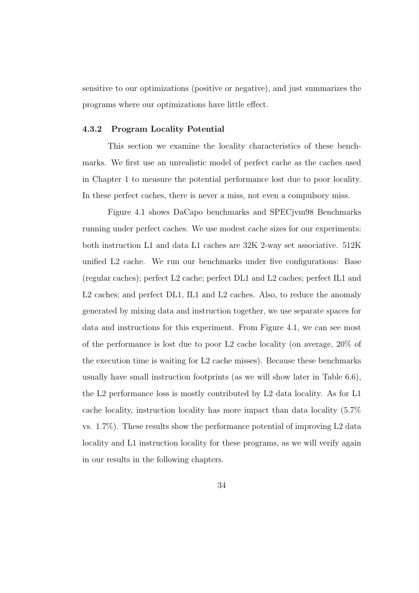sensitive to our optimizations (positive or negative), and just summarizes the programs where our optimizations have little effect.

#### 4.3.2 Program Locality Potential

This section we examine the locality characteristics of these benchmarks. We first use an unrealistic model of perfect cache as the caches used in Chapter 1 to measure the potential performance lost due to poor locality. In these perfect caches, there is never a miss, not even a compulsory miss.

Figure 4.1 shows DaCapo benchmarks and SPECjvm98 Benchmarks running under perfect caches. We use modest cache sizes for our experiments: both instruction L1 and data L1 caches are 32K 2-way set associative. 512K unified L2 cache. We run our benchmarks under five configurations: Base (regular caches); perfect L2 cache; perfect DL1 and L2 caches; perfect IL1 and L2 caches; and perfect DL1, IL1 and L2 caches. Also, to reduce the anomaly generated by mixing data and instruction together, we use separate spaces for data and instructions for this experiment. From Figure 4.1, we can see most of the performance is lost due to poor L2 cache locality (on average, 20% of the execution time is waiting for L2 cache misses). Because these benchmarks usually have small instruction footprints (as we will show later in Table 6.6), the L2 performance loss is mostly contributed by L2 data locality. As for L1 cache locality, instruction locality has more impact than data locality (5.7% vs.  $1.7\%$ ). These results show the performance potential of improving L2 data locality and L1 instruction locality for these programs, as we will verify again in our results in the following chapters.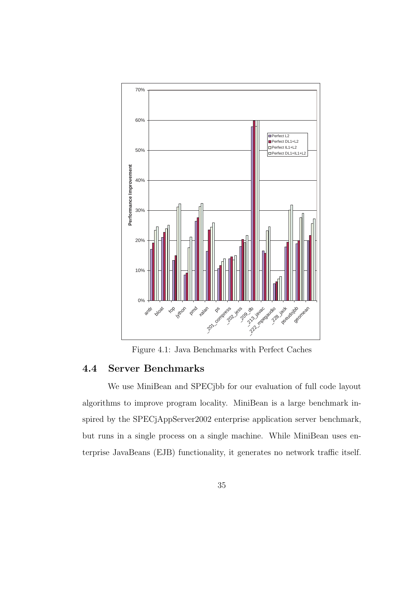

Figure 4.1: Java Benchmarks with Perfect Caches

## 4.4 Server Benchmarks

We use MiniBean and SPECjbb for our evaluation of full code layout algorithms to improve program locality. MiniBean is a large benchmark inspired by the SPECjAppServer2002 enterprise application server benchmark, but runs in a single process on a single machine. While MiniBean uses enterprise JavaBeans (EJB) functionality, it generates no network traffic itself.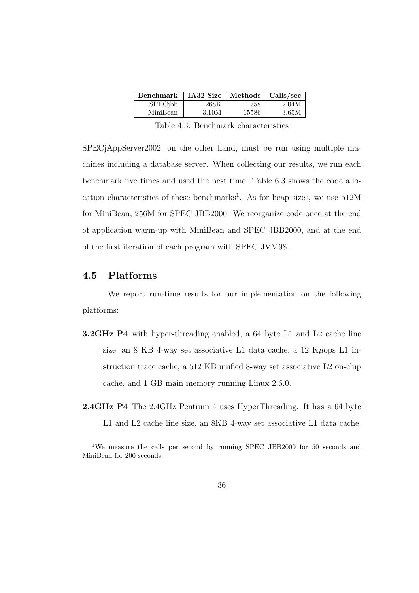| Benchmark    IA32 Size |       | Methods   Calls/sec |       |
|------------------------|-------|---------------------|-------|
| SPECjbb                | 268K  | 758                 | 2.04M |
| MiniBean               | 3.10M | 15586               | 3 65M |

Table 4.3: Benchmark characteristics

SPECjAppServer2002, on the other hand, must be run using multiple machines including a database server. When collecting our results, we run each benchmark five times and used the best time. Table 6.3 shows the code allocation characteristics of these benchmarks<sup>1</sup>. As for heap sizes, we use  $512M$ for MiniBean, 256M for SPEC JBB2000. We reorganize code once at the end of application warm-up with MiniBean and SPEC JBB2000, and at the end of the first iteration of each program with SPEC JVM98.

## 4.5 Platforms

We report run-time results for our implementation on the following platforms:

- **3.2GHz P4** with hyper-threading enabled, a 64 byte L1 and L2 cache line size, an 8 KB 4-way set associative L1 data cache, a 12 K $\mu$ ops L1 instruction trace cache, a 512 KB unified 8-way set associative L2 on-chip cache, and 1 GB main memory running Linux 2.6.0.
- 2.4GHz P4 The 2.4GHz Pentium 4 uses HyperThreading. It has a 64 byte L1 and L2 cache line size, an 8KB 4-way set associative L1 data cache,

<sup>&</sup>lt;sup>1</sup>We measure the calls per second by running SPEC JBB2000 for 50 seconds and MiniBean for 200 seconds.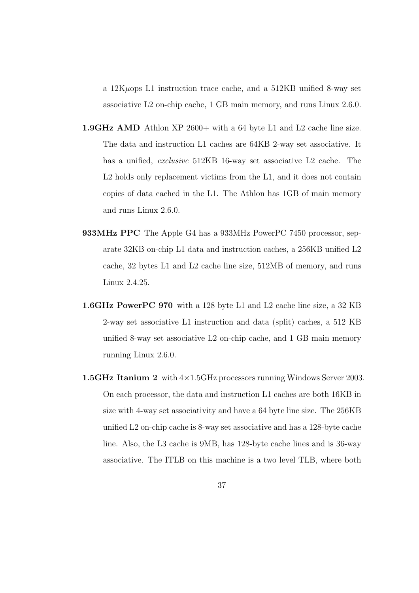a 12Kµops L1 instruction trace cache, and a 512KB unified 8-way set associative L2 on-chip cache, 1 GB main memory, and runs Linux 2.6.0.

- 1.9GHz AMD Athlon XP 2600+ with a 64 byte L1 and L2 cache line size. The data and instruction L1 caches are 64KB 2-way set associative. It has a unified, *exclusive* 512KB 16-way set associative L2 cache. The L<sub>2</sub> holds only replacement victims from the L<sub>1</sub>, and it does not contain copies of data cached in the L1. The Athlon has 1GB of main memory and runs Linux 2.6.0.
- 933MHz PPC The Apple G4 has a 933MHz PowerPC 7450 processor, separate 32KB on-chip L1 data and instruction caches, a 256KB unified L2 cache, 32 bytes L1 and L2 cache line size, 512MB of memory, and runs Linux 2.4.25.
- 1.6GHz PowerPC 970 with a 128 byte L1 and L2 cache line size, a 32 KB 2-way set associative L1 instruction and data (split) caches, a 512 KB unified 8-way set associative L2 on-chip cache, and 1 GB main memory running Linux 2.6.0.
- **1.5GHz Itanium 2** with  $4 \times 1.5$ GHz processors running Windows Server 2003. On each processor, the data and instruction L1 caches are both 16KB in size with 4-way set associativity and have a 64 byte line size. The 256KB unified L2 on-chip cache is 8-way set associative and has a 128-byte cache line. Also, the L3 cache is 9MB, has 128-byte cache lines and is 36-way associative. The ITLB on this machine is a two level TLB, where both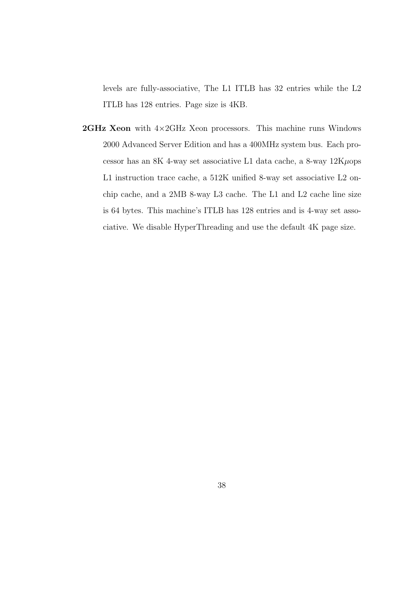levels are fully-associative, The L1 ITLB has 32 entries while the L2 ITLB has 128 entries. Page size is 4KB.

**2GHz Xeon** with  $4\times2$ GHz Xeon processors. This machine runs Windows 2000 Advanced Server Edition and has a 400MHz system bus. Each processor has an 8K 4-way set associative L1 data cache, a 8-way  $12K\mu$ ops L1 instruction trace cache, a 512K unified 8-way set associative L2 onchip cache, and a 2MB 8-way L3 cache. The L1 and L2 cache line size is 64 bytes. This machine's ITLB has 128 entries and is 4-way set associative. We disable HyperThreading and use the default 4K page size.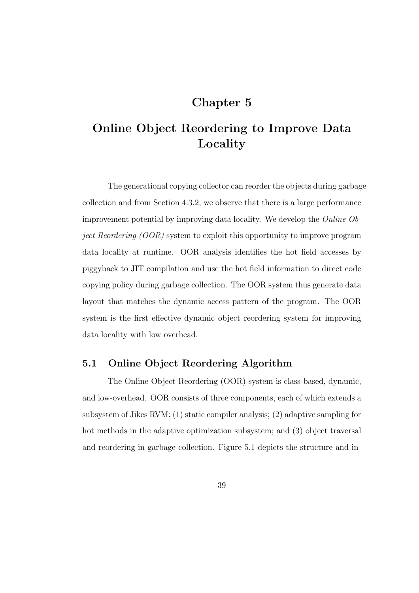# Chapter 5

# Online Object Reordering to Improve Data Locality

The generational copying collector can reorder the objects during garbage collection and from Section 4.3.2, we observe that there is a large performance improvement potential by improving data locality. We develop the Online Object Reordering (OOR) system to exploit this opportunity to improve program data locality at runtime. OOR analysis identifies the hot field accesses by piggyback to JIT compilation and use the hot field information to direct code copying policy during garbage collection. The OOR system thus generate data layout that matches the dynamic access pattern of the program. The OOR system is the first effective dynamic object reordering system for improving data locality with low overhead.

## 5.1 Online Object Reordering Algorithm

The Online Object Reordering (OOR) system is class-based, dynamic, and low-overhead. OOR consists of three components, each of which extends a subsystem of Jikes RVM: (1) static compiler analysis; (2) adaptive sampling for hot methods in the adaptive optimization subsystem; and (3) object traversal and reordering in garbage collection. Figure 5.1 depicts the structure and in-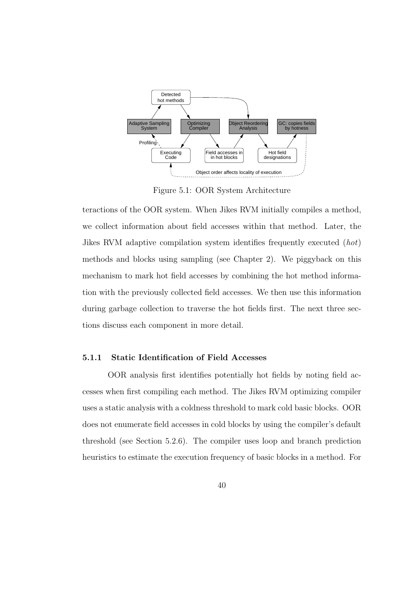

Figure 5.1: OOR System Architecture

teractions of the OOR system. When Jikes RVM initially compiles a method, we collect information about field accesses within that method. Later, the Jikes RVM adaptive compilation system identifies frequently executed (hot) methods and blocks using sampling (see Chapter 2). We piggyback on this mechanism to mark hot field accesses by combining the hot method information with the previously collected field accesses. We then use this information during garbage collection to traverse the hot fields first. The next three sections discuss each component in more detail.

#### 5.1.1 Static Identification of Field Accesses

OOR analysis first identifies potentially hot fields by noting field accesses when first compiling each method. The Jikes RVM optimizing compiler uses a static analysis with a coldness threshold to mark cold basic blocks. OOR does not enumerate field accesses in cold blocks by using the compiler's default threshold (see Section 5.2.6). The compiler uses loop and branch prediction heuristics to estimate the execution frequency of basic blocks in a method. For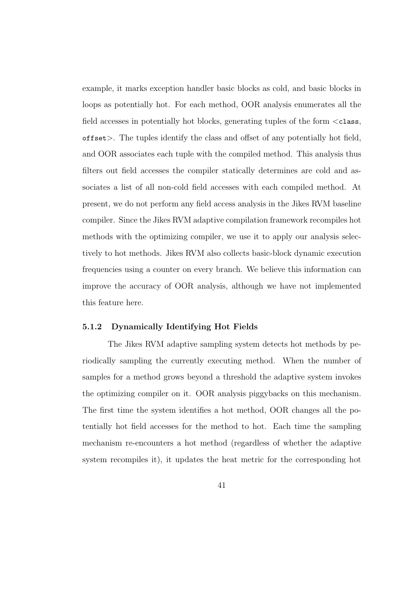example, it marks exception handler basic blocks as cold, and basic blocks in loops as potentially hot. For each method, OOR analysis enumerates all the field accesses in potentially hot blocks, generating tuples of the form  $\langle \text{class}, \rangle$ offset>. The tuples identify the class and offset of any potentially hot field, and OOR associates each tuple with the compiled method. This analysis thus filters out field accesses the compiler statically determines are cold and associates a list of all non-cold field accesses with each compiled method. At present, we do not perform any field access analysis in the Jikes RVM baseline compiler. Since the Jikes RVM adaptive compilation framework recompiles hot methods with the optimizing compiler, we use it to apply our analysis selectively to hot methods. Jikes RVM also collects basic-block dynamic execution frequencies using a counter on every branch. We believe this information can improve the accuracy of OOR analysis, although we have not implemented this feature here.

### 5.1.2 Dynamically Identifying Hot Fields

The Jikes RVM adaptive sampling system detects hot methods by periodically sampling the currently executing method. When the number of samples for a method grows beyond a threshold the adaptive system invokes the optimizing compiler on it. OOR analysis piggybacks on this mechanism. The first time the system identifies a hot method, OOR changes all the potentially hot field accesses for the method to hot. Each time the sampling mechanism re-encounters a hot method (regardless of whether the adaptive system recompiles it), it updates the heat metric for the corresponding hot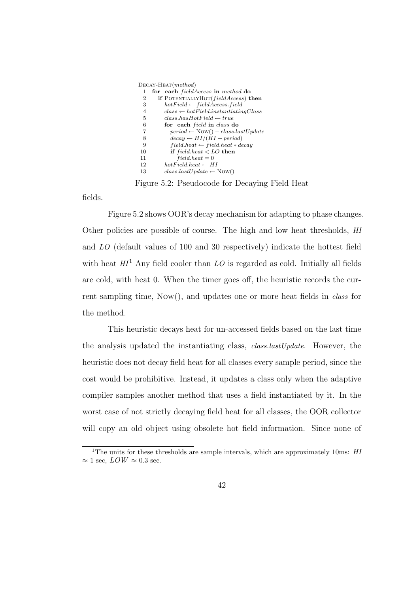| 1  | for each <i>fieldAccess</i> in method do            |
|----|-----------------------------------------------------|
| 2  | <b>if</b> POTENTIALLYHOT( <i>fieldAccess</i> ) then |
| 3  | $hotField \leftarrow field Access.field$            |
| 4  | $class \leftarrow hotField.instantiating Class$     |
| 5  | $class. has Hot Field \leftarrow true$              |
| 6  | for each <i>field</i> in <i>class</i> do            |
| 7  | $period \leftarrow Now() - class lastUpdate$        |
| 8  | $decay \leftarrow HI/(HI + period)$                 |
| 9  | $field. heat \leftarrow field. heat * decay$        |
| 10 | if $field. heat < LO$ then                          |
| 11 | $field. heat = 0$                                   |
| 12 | $hot Field. heat \leftarrow HI$                     |
| 13 | $classlastUpdate \leftarrow Now()$                  |
|    |                                                     |

Figure 5.2: Pseudocode for Decaying Field Heat

fields.

Figure 5.2 shows OOR's decay mechanism for adapting to phase changes. Other policies are possible of course. The high and low heat thresholds, HI and LO (default values of 100 and 30 respectively) indicate the hottest field with heat  $HI<sup>1</sup>$  Any field cooler than LO is regarded as cold. Initially all fields are cold, with heat 0. When the timer goes off, the heuristic records the current sampling time, Now(), and updates one or more heat fields in class for the method.

This heuristic decays heat for un-accessed fields based on the last time the analysis updated the instantiating class, class.lastUpdate. However, the heuristic does not decay field heat for all classes every sample period, since the cost would be prohibitive. Instead, it updates a class only when the adaptive compiler samples another method that uses a field instantiated by it. In the worst case of not strictly decaying field heat for all classes, the OOR collector will copy an old object using obsolete hot field information. Since none of

<sup>&</sup>lt;sup>1</sup>The units for these thresholds are sample intervals, which are approximately 10ms:  $HI$  $\approx 1$  sec,  $LOW \approx 0.3$  sec.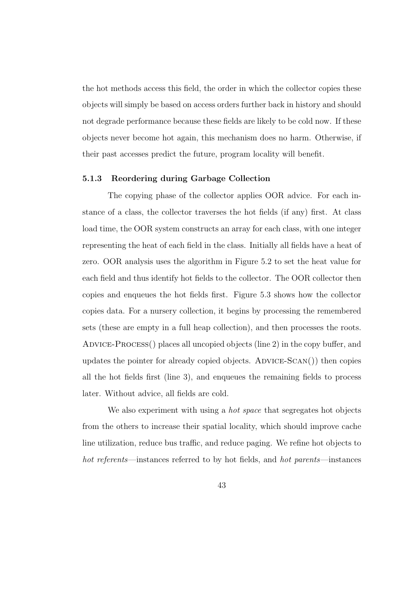the hot methods access this field, the order in which the collector copies these objects will simply be based on access orders further back in history and should not degrade performance because these fields are likely to be cold now. If these objects never become hot again, this mechanism does no harm. Otherwise, if their past accesses predict the future, program locality will benefit.

#### 5.1.3 Reordering during Garbage Collection

The copying phase of the collector applies OOR advice. For each instance of a class, the collector traverses the hot fields (if any) first. At class load time, the OOR system constructs an array for each class, with one integer representing the heat of each field in the class. Initially all fields have a heat of zero. OOR analysis uses the algorithm in Figure 5.2 to set the heat value for each field and thus identify hot fields to the collector. The OOR collector then copies and enqueues the hot fields first. Figure 5.3 shows how the collector copies data. For a nursery collection, it begins by processing the remembered sets (these are empty in a full heap collection), and then processes the roots. Advice-Process() places all uncopied objects (line 2) in the copy buffer, and updates the pointer for already copied objects.  $ADVICE-SCAN()$  then copies all the hot fields first (line 3), and enqueues the remaining fields to process later. Without advice, all fields are cold.

We also experiment with using a *hot space* that segregates hot objects from the others to increase their spatial locality, which should improve cache line utilization, reduce bus traffic, and reduce paging. We refine hot objects to hot referents—instances referred to by hot fields, and hot parents—instances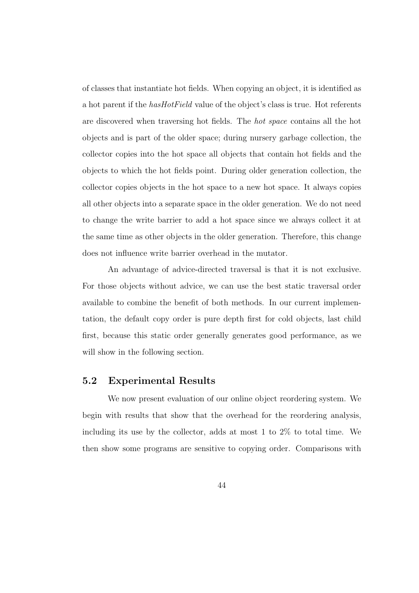of classes that instantiate hot fields. When copying an object, it is identified as a hot parent if the  $hasHotField$  value of the object's class is true. Hot referents are discovered when traversing hot fields. The hot space contains all the hot objects and is part of the older space; during nursery garbage collection, the collector copies into the hot space all objects that contain hot fields and the objects to which the hot fields point. During older generation collection, the collector copies objects in the hot space to a new hot space. It always copies all other objects into a separate space in the older generation. We do not need to change the write barrier to add a hot space since we always collect it at the same time as other objects in the older generation. Therefore, this change does not influence write barrier overhead in the mutator.

An advantage of advice-directed traversal is that it is not exclusive. For those objects without advice, we can use the best static traversal order available to combine the benefit of both methods. In our current implementation, the default copy order is pure depth first for cold objects, last child first, because this static order generally generates good performance, as we will show in the following section.

### 5.2 Experimental Results

We now present evaluation of our online object reordering system. We begin with results that show that the overhead for the reordering analysis, including its use by the collector, adds at most 1 to 2% to total time. We then show some programs are sensitive to copying order. Comparisons with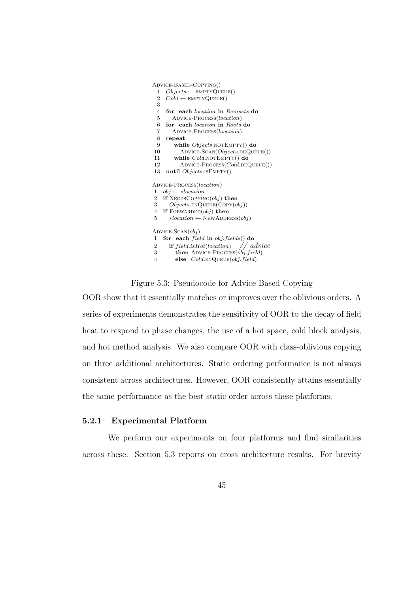```
Advice-Based-Copying()
 1 Objects \leftarrow \text{EMPTYQUEUE}()2 Cold \leftarrow \text{EMPTYQUEUE}()3
 4 for each location in Remsets do
 5 ADVICE-PROCESS(location)
 6 for each location in Roots do
 7 Advice-Process(location)
 8 repeat
 9 while Objects.NOTEMPTY() do
10 ADVICE-SCAN(Objects.DEQUEUE())<br>11 while Cold.NOTEMPTY() do
        while Cold.notEmpty() do
12 ADVICE-PROCESS(Col\ddot{d}.DEQUEUE()13 until Objects.isEmpty()
Advice-Process(location)
1 obj \leftarrow *location2 if NEDsCoPYING(obj) then
3 Objects \text{ENQUEUE}(\text{Copy}(obj))4 if FORWARDED(obj) then
5 *location \leftarrow \text{NewADDRESS}(obj)ADVICE-SCAN(obj)1 for each field in obj.fields() do
2 if field.isHot(location) // advice<br>3 then \text{ADVICE-Process}(obj, field)then ADVICE-PROCESS(obj-field)4 else Cold. ENQUEUE(obj.field)
```
Figure 5.3: Pseudocode for Advice Based Copying

OOR show that it essentially matches or improves over the oblivious orders. A series of experiments demonstrates the sensitivity of OOR to the decay of field heat to respond to phase changes, the use of a hot space, cold block analysis, and hot method analysis. We also compare OOR with class-oblivious copying on three additional architectures. Static ordering performance is not always consistent across architectures. However, OOR consistently attains essentially the same performance as the best static order across these platforms.

#### 5.2.1 Experimental Platform

We perform our experiments on four platforms and find similarities across these. Section 5.3 reports on cross architecture results. For brevity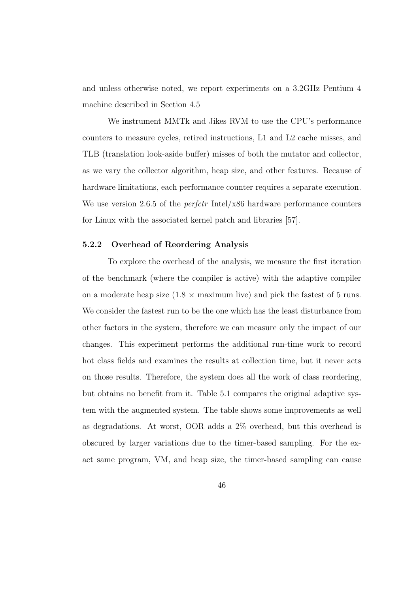and unless otherwise noted, we report experiments on a 3.2GHz Pentium 4 machine described in Section 4.5

We instrument MMTk and Jikes RVM to use the CPU's performance counters to measure cycles, retired instructions, L1 and L2 cache misses, and TLB (translation look-aside buffer) misses of both the mutator and collector, as we vary the collector algorithm, heap size, and other features. Because of hardware limitations, each performance counter requires a separate execution. We use version 2.6.5 of the *perfctr* Intel/x86 hardware performance counters for Linux with the associated kernel patch and libraries [57].

#### 5.2.2 Overhead of Reordering Analysis

To explore the overhead of the analysis, we measure the first iteration of the benchmark (where the compiler is active) with the adaptive compiler on a moderate heap size  $(1.8 \times$  maximum live) and pick the fastest of 5 runs. We consider the fastest run to be the one which has the least disturbance from other factors in the system, therefore we can measure only the impact of our changes. This experiment performs the additional run-time work to record hot class fields and examines the results at collection time, but it never acts on those results. Therefore, the system does all the work of class reordering, but obtains no benefit from it. Table 5.1 compares the original adaptive system with the augmented system. The table shows some improvements as well as degradations. At worst, OOR adds a 2% overhead, but this overhead is obscured by larger variations due to the timer-based sampling. For the exact same program, VM, and heap size, the timer-based sampling can cause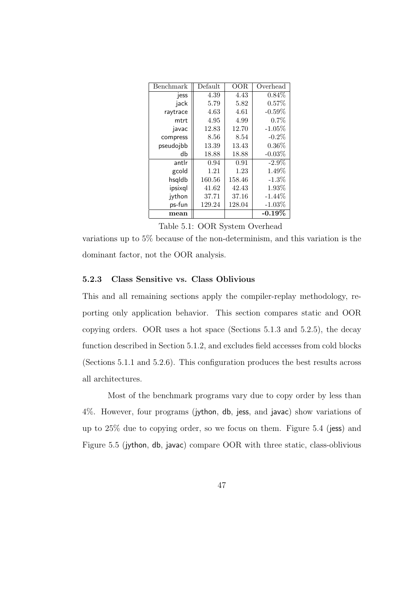| Benchmark     | Default | OOR    | Overhead   |
|---------------|---------|--------|------------|
| jess          | 4.39    | 4.43   | $0.84\%$   |
| jack          | 5.79    | 5.82   | 0.57%      |
| raytrace      | 4.63    | 4.61   | $-0.59\%$  |
| mtrt          | 4.95    | 4.99   | 0.7%       |
| javac         | 12.83   | 12.70  | $-1.05\%$  |
| compress      | 8.56    | 8.54   | $-0.2\%$   |
| pseudojbb     | 13.39   | 13.43  | $0.36\%$   |
| db            | 18.88   | 18.88  | $-0.03\%$  |
| antlr         | 0.94    | 0.91   | $-2.9\%$   |
| gcold         | 1.21    | 1.23   | $1.49\%$   |
| hsqldb        | 160.56  | 158.46 | $-1.3\%$   |
| ipsixql       | 41.62   | 42.43  | $1.93\%$   |
| jython        | 37.71   | 37.16  | $-1.44\%$  |
| ps-fun        | 129.24  | 128.04 | $-1.03\%$  |
| $_{\rm mean}$ |         |        | -0.19 $\%$ |

Table 5.1: OOR System Overhead

variations up to 5% because of the non-determinism, and this variation is the dominant factor, not the OOR analysis.

#### 5.2.3 Class Sensitive vs. Class Oblivious

This and all remaining sections apply the compiler-replay methodology, reporting only application behavior. This section compares static and OOR copying orders. OOR uses a hot space (Sections 5.1.3 and 5.2.5), the decay function described in Section 5.1.2, and excludes field accesses from cold blocks (Sections 5.1.1 and 5.2.6). This configuration produces the best results across all architectures.

Most of the benchmark programs vary due to copy order by less than 4%. However, four programs (jython, db, jess, and javac) show variations of up to  $25\%$  due to copying order, so we focus on them. Figure 5.4 (jess) and Figure 5.5 (jython, db, javac) compare OOR with three static, class-oblivious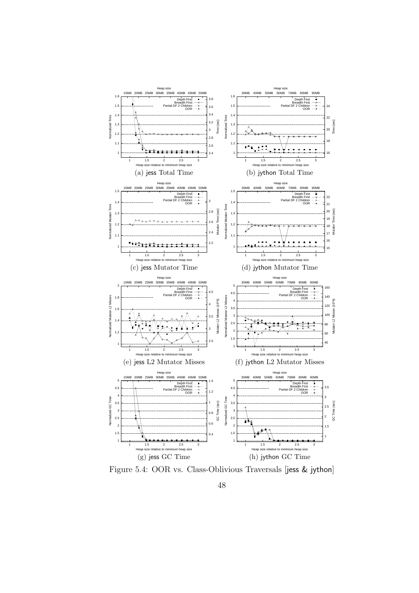

Figure 5.4: OOR vs. Class-Oblivious Traversals [jess & jython]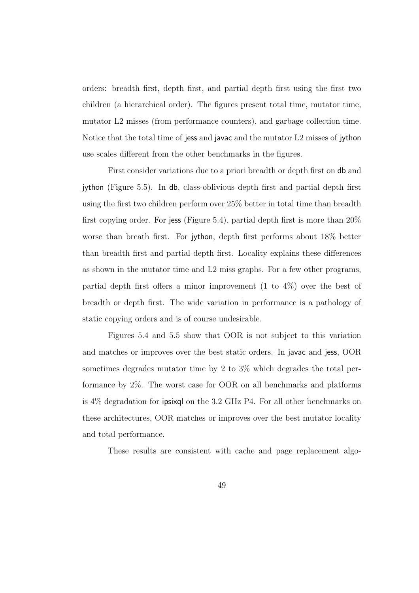orders: breadth first, depth first, and partial depth first using the first two children (a hierarchical order). The figures present total time, mutator time, mutator L2 misses (from performance counters), and garbage collection time. Notice that the total time of jess and javac and the mutator L2 misses of jython use scales different from the other benchmarks in the figures.

First consider variations due to a priori breadth or depth first on db and jython (Figure 5.5). In db, class-oblivious depth first and partial depth first using the first two children perform over 25% better in total time than breadth first copying order. For jess (Figure 5.4), partial depth first is more than  $20\%$ worse than breath first. For jython, depth first performs about 18% better than breadth first and partial depth first. Locality explains these differences as shown in the mutator time and L2 miss graphs. For a few other programs, partial depth first offers a minor improvement  $(1 \text{ to } 4\%)$  over the best of breadth or depth first. The wide variation in performance is a pathology of static copying orders and is of course undesirable.

Figures 5.4 and 5.5 show that OOR is not subject to this variation and matches or improves over the best static orders. In javac and jess, OOR sometimes degrades mutator time by 2 to 3% which degrades the total performance by 2%. The worst case for OOR on all benchmarks and platforms is 4% degradation for ipsixql on the 3.2 GHz P4. For all other benchmarks on these architectures, OOR matches or improves over the best mutator locality and total performance.

These results are consistent with cache and page replacement algo-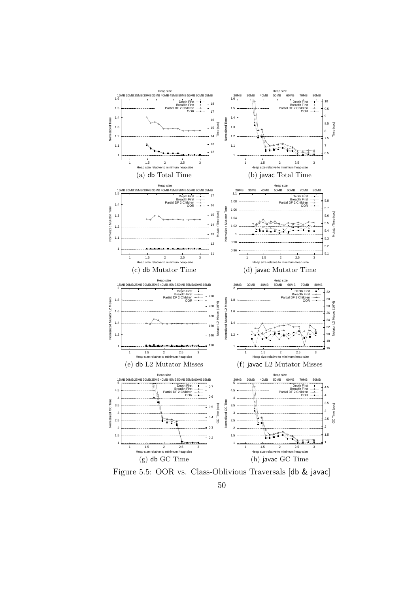

Figure 5.5: OOR vs. Class-Oblivious Traversals [db & javac]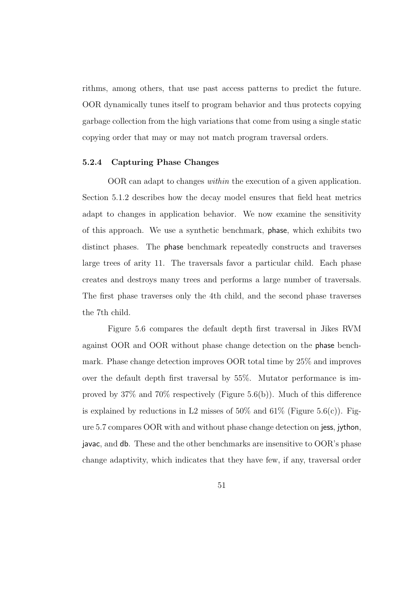rithms, among others, that use past access patterns to predict the future. OOR dynamically tunes itself to program behavior and thus protects copying garbage collection from the high variations that come from using a single static copying order that may or may not match program traversal orders.

#### 5.2.4 Capturing Phase Changes

OOR can adapt to changes within the execution of a given application. Section 5.1.2 describes how the decay model ensures that field heat metrics adapt to changes in application behavior. We now examine the sensitivity of this approach. We use a synthetic benchmark, phase, which exhibits two distinct phases. The phase benchmark repeatedly constructs and traverses large trees of arity 11. The traversals favor a particular child. Each phase creates and destroys many trees and performs a large number of traversals. The first phase traverses only the 4th child, and the second phase traverses the 7th child.

Figure 5.6 compares the default depth first traversal in Jikes RVM against OOR and OOR without phase change detection on the phase benchmark. Phase change detection improves OOR total time by 25% and improves over the default depth first traversal by 55%. Mutator performance is improved by 37% and 70% respectively (Figure 5.6(b)). Much of this difference is explained by reductions in L2 misses of 50% and 61% (Figure 5.6(c)). Figure 5.7 compares OOR with and without phase change detection on jess, jython, javac, and db. These and the other benchmarks are insensitive to OOR's phase change adaptivity, which indicates that they have few, if any, traversal order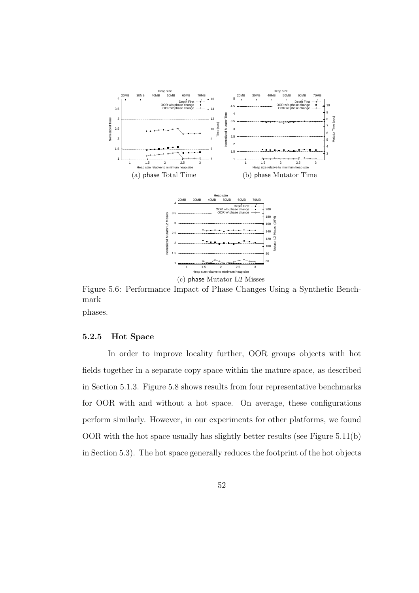

Figure 5.6: Performance Impact of Phase Changes Using a Synthetic Benchmark

phases.

#### 5.2.5 Hot Space

In order to improve locality further, OOR groups objects with hot fields together in a separate copy space within the mature space, as described in Section 5.1.3. Figure 5.8 shows results from four representative benchmarks for OOR with and without a hot space. On average, these configurations perform similarly. However, in our experiments for other platforms, we found OOR with the hot space usually has slightly better results (see Figure 5.11(b) in Section 5.3). The hot space generally reduces the footprint of the hot objects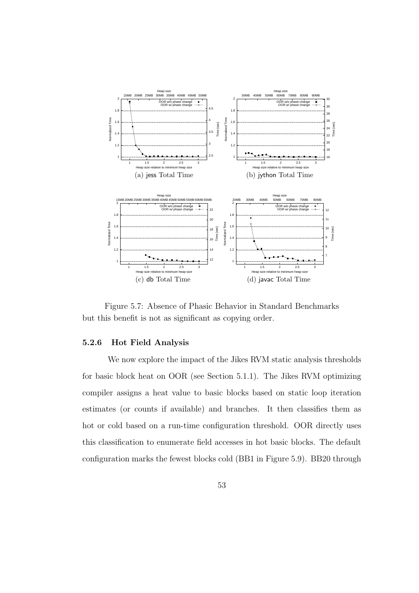

Figure 5.7: Absence of Phasic Behavior in Standard Benchmarks but this benefit is not as significant as copying order.

### 5.2.6 Hot Field Analysis

We now explore the impact of the Jikes RVM static analysis thresholds for basic block heat on OOR (see Section 5.1.1). The Jikes RVM optimizing compiler assigns a heat value to basic blocks based on static loop iteration estimates (or counts if available) and branches. It then classifies them as hot or cold based on a run-time configuration threshold. OOR directly uses this classification to enumerate field accesses in hot basic blocks. The default configuration marks the fewest blocks cold (BB1 in Figure 5.9). BB20 through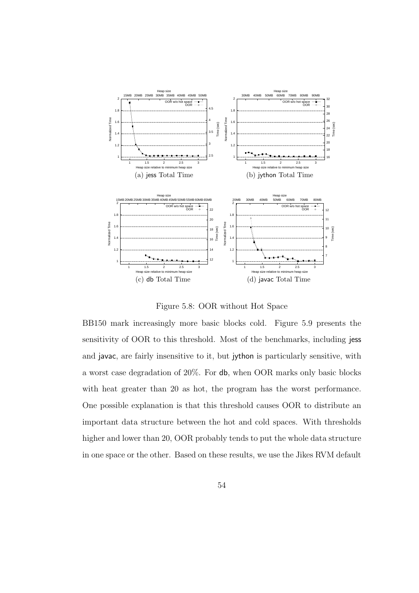

Figure 5.8: OOR without Hot Space

BB150 mark increasingly more basic blocks cold. Figure 5.9 presents the sensitivity of OOR to this threshold. Most of the benchmarks, including jess and javac, are fairly insensitive to it, but jython is particularly sensitive, with a worst case degradation of 20%. For db, when OOR marks only basic blocks with heat greater than 20 as hot, the program has the worst performance. One possible explanation is that this threshold causes OOR to distribute an important data structure between the hot and cold spaces. With thresholds higher and lower than 20, OOR probably tends to put the whole data structure in one space or the other. Based on these results, we use the Jikes RVM default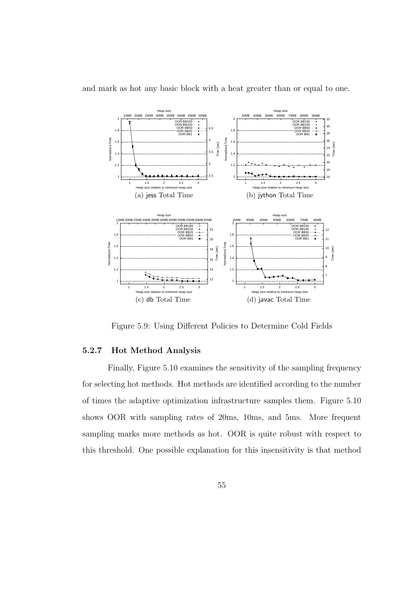



Figure 5.9: Using Different Policies to Determine Cold Fields

#### 5.2.7 Hot Method Analysis

Finally, Figure 5.10 examines the sensitivity of the sampling frequency for selecting hot methods. Hot methods are identified according to the number of times the adaptive optimization infrastructure samples them. Figure 5.10 shows OOR with sampling rates of 20ms, 10ms, and 5ms. More frequent sampling marks more methods as hot. OOR is quite robust with respect to this threshold. One possible explanation for this insensitivity is that method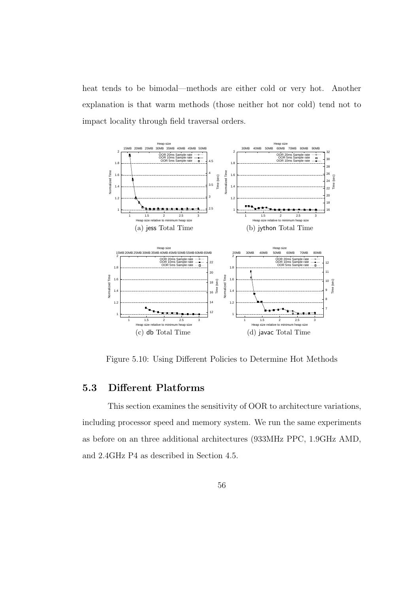heat tends to be bimodal—methods are either cold or very hot. Another explanation is that warm methods (those neither hot nor cold) tend not to impact locality through field traversal orders.



Figure 5.10: Using Different Policies to Determine Hot Methods

## 5.3 Different Platforms

This section examines the sensitivity of OOR to architecture variations, including processor speed and memory system. We run the same experiments as before on an three additional architectures (933MHz PPC, 1.9GHz AMD, and 2.4GHz P4 as described in Section 4.5.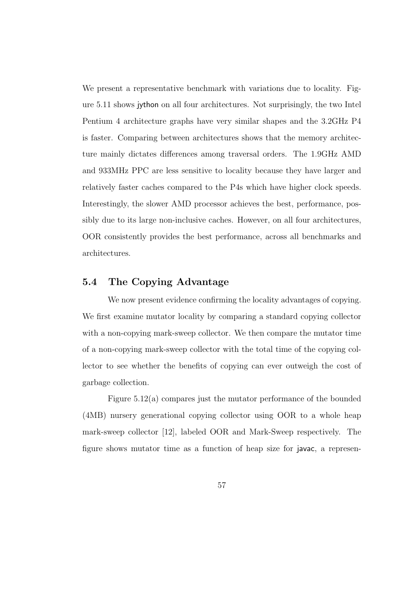We present a representative benchmark with variations due to locality. Figure 5.11 shows jython on all four architectures. Not surprisingly, the two Intel Pentium 4 architecture graphs have very similar shapes and the 3.2GHz P4 is faster. Comparing between architectures shows that the memory architecture mainly dictates differences among traversal orders. The 1.9GHz AMD and 933MHz PPC are less sensitive to locality because they have larger and relatively faster caches compared to the P4s which have higher clock speeds. Interestingly, the slower AMD processor achieves the best, performance, possibly due to its large non-inclusive caches. However, on all four architectures, OOR consistently provides the best performance, across all benchmarks and architectures.

### 5.4 The Copying Advantage

We now present evidence confirming the locality advantages of copying. We first examine mutator locality by comparing a standard copying collector with a non-copying mark-sweep collector. We then compare the mutator time of a non-copying mark-sweep collector with the total time of the copying collector to see whether the benefits of copying can ever outweigh the cost of garbage collection.

Figure 5.12(a) compares just the mutator performance of the bounded (4MB) nursery generational copying collector using OOR to a whole heap mark-sweep collector [12], labeled OOR and Mark-Sweep respectively. The figure shows mutator time as a function of heap size for javac, a represen-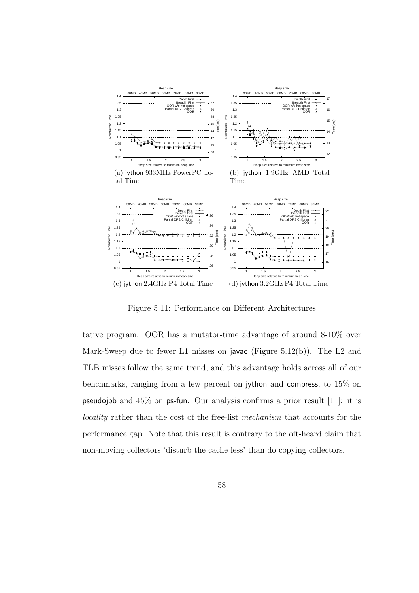

Figure 5.11: Performance on Different Architectures

tative program. OOR has a mutator-time advantage of around 8-10% over Mark-Sweep due to fewer L1 misses on javac (Figure 5.12(b)). The L2 and TLB misses follow the same trend, and this advantage holds across all of our benchmarks, ranging from a few percent on jython and compress, to 15% on pseudojbb and 45% on ps-fun. Our analysis confirms a prior result [11]: it is locality rather than the cost of the free-list mechanism that accounts for the performance gap. Note that this result is contrary to the oft-heard claim that non-moving collectors 'disturb the cache less' than do copying collectors.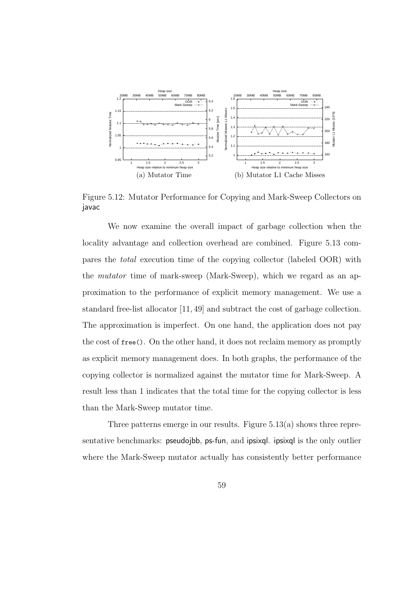

Figure 5.12: Mutator Performance for Copying and Mark-Sweep Collectors on javac

We now examine the overall impact of garbage collection when the locality advantage and collection overhead are combined. Figure 5.13 compares the total execution time of the copying collector (labeled OOR) with the mutator time of mark-sweep (Mark-Sweep), which we regard as an approximation to the performance of explicit memory management. We use a standard free-list allocator [11, 49] and subtract the cost of garbage collection. The approximation is imperfect. On one hand, the application does not pay the cost of free(). On the other hand, it does not reclaim memory as promptly as explicit memory management does. In both graphs, the performance of the copying collector is normalized against the mutator time for Mark-Sweep. A result less than 1 indicates that the total time for the copying collector is less than the Mark-Sweep mutator time.

Three patterns emerge in our results. Figure 5.13(a) shows three representative benchmarks: pseudojbb, ps-fun, and ipsixql. ipsixql is the only outlier where the Mark-Sweep mutator actually has consistently better performance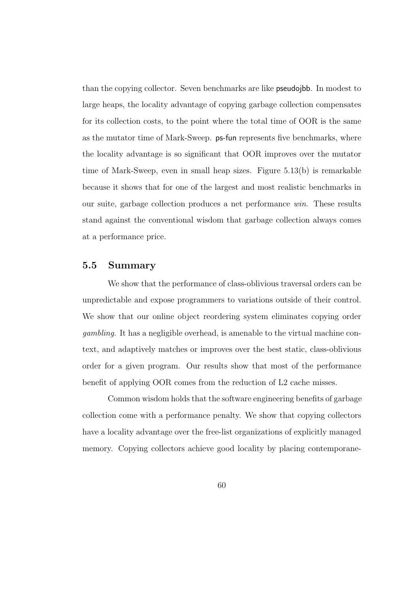than the copying collector. Seven benchmarks are like pseudojbb. In modest to large heaps, the locality advantage of copying garbage collection compensates for its collection costs, to the point where the total time of OOR is the same as the mutator time of Mark-Sweep. ps-fun represents five benchmarks, where the locality advantage is so significant that OOR improves over the mutator time of Mark-Sweep, even in small heap sizes. Figure 5.13(b) is remarkable because it shows that for one of the largest and most realistic benchmarks in our suite, garbage collection produces a net performance win. These results stand against the conventional wisdom that garbage collection always comes at a performance price.

# 5.5 Summary

We show that the performance of class-oblivious traversal orders can be unpredictable and expose programmers to variations outside of their control. We show that our online object reordering system eliminates copying order gambling. It has a negligible overhead, is amenable to the virtual machine context, and adaptively matches or improves over the best static, class-oblivious order for a given program. Our results show that most of the performance benefit of applying OOR comes from the reduction of L2 cache misses.

Common wisdom holds that the software engineering benefits of garbage collection come with a performance penalty. We show that copying collectors have a locality advantage over the free-list organizations of explicitly managed memory. Copying collectors achieve good locality by placing contemporane-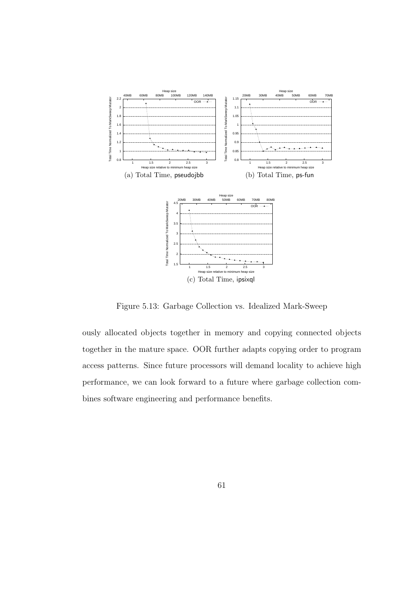

Figure 5.13: Garbage Collection vs. Idealized Mark-Sweep

ously allocated objects together in memory and copying connected objects together in the mature space. OOR further adapts copying order to program access patterns. Since future processors will demand locality to achieve high performance, we can look forward to a future where garbage collection combines software engineering and performance benefits.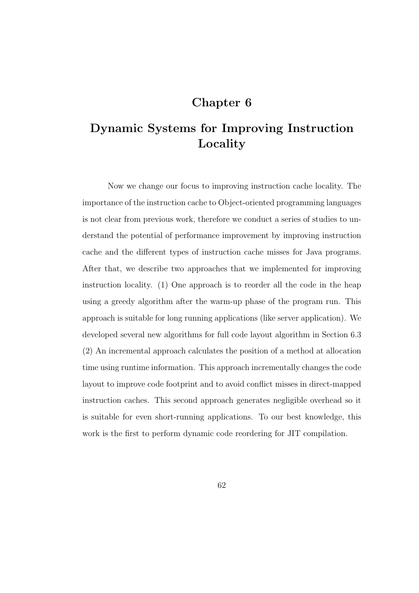# Chapter 6

# Dynamic Systems for Improving Instruction Locality

Now we change our focus to improving instruction cache locality. The importance of the instruction cache to Object-oriented programming languages is not clear from previous work, therefore we conduct a series of studies to understand the potential of performance improvement by improving instruction cache and the different types of instruction cache misses for Java programs. After that, we describe two approaches that we implemented for improving instruction locality. (1) One approach is to reorder all the code in the heap using a greedy algorithm after the warm-up phase of the program run. This approach is suitable for long running applications (like server application). We developed several new algorithms for full code layout algorithm in Section 6.3 (2) An incremental approach calculates the position of a method at allocation time using runtime information. This approach incrementally changes the code layout to improve code footprint and to avoid conflict misses in direct-mapped instruction caches. This second approach generates negligible overhead so it is suitable for even short-running applications. To our best knowledge, this work is the first to perform dynamic code reordering for JIT compilation.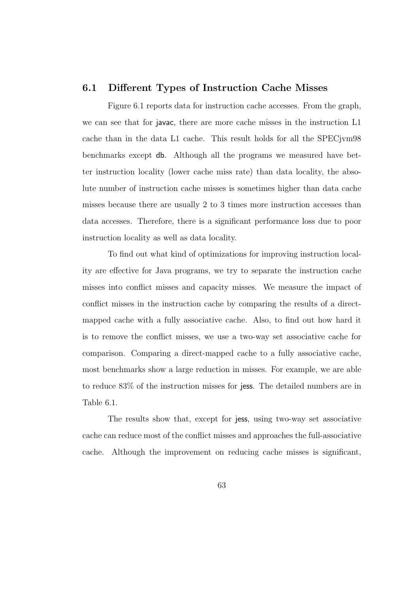# 6.1 Different Types of Instruction Cache Misses

Figure 6.1 reports data for instruction cache accesses. From the graph, we can see that for javac, there are more cache misses in the instruction L1 cache than in the data L1 cache. This result holds for all the SPECjvm98 benchmarks except db. Although all the programs we measured have better instruction locality (lower cache miss rate) than data locality, the absolute number of instruction cache misses is sometimes higher than data cache misses because there are usually 2 to 3 times more instruction accesses than data accesses. Therefore, there is a significant performance loss due to poor instruction locality as well as data locality.

To find out what kind of optimizations for improving instruction locality are effective for Java programs, we try to separate the instruction cache misses into conflict misses and capacity misses. We measure the impact of conflict misses in the instruction cache by comparing the results of a directmapped cache with a fully associative cache. Also, to find out how hard it is to remove the conflict misses, we use a two-way set associative cache for comparison. Comparing a direct-mapped cache to a fully associative cache, most benchmarks show a large reduction in misses. For example, we are able to reduce 83% of the instruction misses for jess. The detailed numbers are in Table 6.1.

The results show that, except for jess, using two-way set associative cache can reduce most of the conflict misses and approaches the full-associative cache. Although the improvement on reducing cache misses is significant,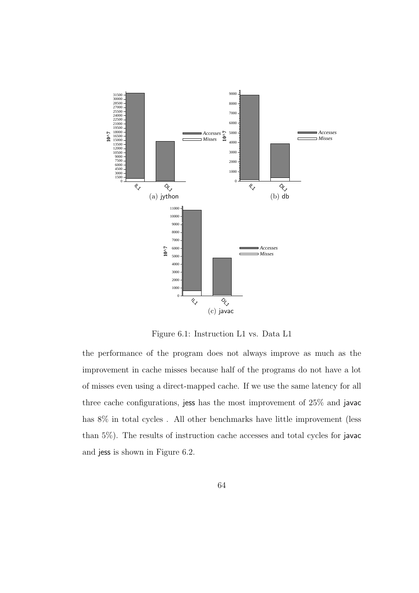

Figure 6.1: Instruction L1 vs. Data L1

the performance of the program does not always improve as much as the improvement in cache misses because half of the programs do not have a lot of misses even using a direct-mapped cache. If we use the same latency for all three cache configurations, jess has the most improvement of 25% and javac has 8% in total cycles . All other benchmarks have little improvement (less than 5%). The results of instruction cache accesses and total cycles for javac and jess is shown in Figure 6.2.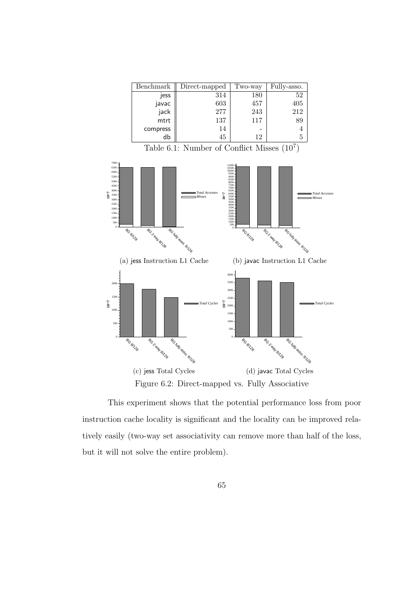| Benchmark | Direct-mapped | Two-way | Fully-asso. |
|-----------|---------------|---------|-------------|
| jess      | 314           | 180     | 52          |
| javac     | 603           | 457     | 405         |
| jack      | 277           | 243     | 212         |
| mtrt      | 137           | 117     | 89          |
| compress  | 14            |         |             |
| db        | 45            | 12      |             |

Table 6.1: Number of Conflict Misses  $(10^7)$ 



Figure 6.2: Direct-mapped vs. Fully Associative

This experiment shows that the potential performance loss from poor instruction cache locality is significant and the locality can be improved relatively easily (two-way set associativity can remove more than half of the loss, but it will not solve the entire problem).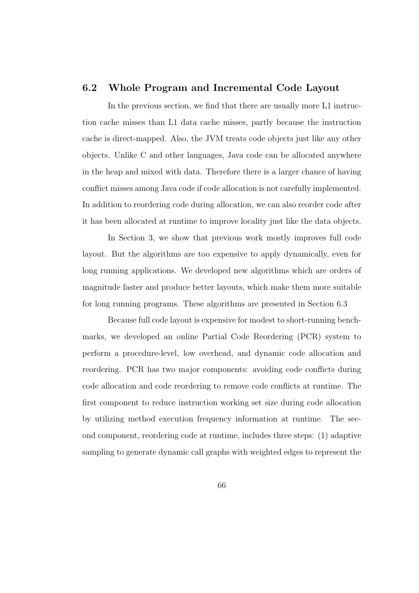# 6.2 Whole Program and Incremental Code Layout

In the previous section, we find that there are usually more L1 instruction cache misses than L1 data cache misses, partly because the instruction cache is direct-mapped. Also, the JVM treats code objects just like any other objects. Unlike C and other languages, Java code can be allocated anywhere in the heap and mixed with data. Therefore there is a larger chance of having conflict misses among Java code if code allocation is not carefully implemented. In addition to reordering code during allocation, we can also reorder code after it has been allocated at runtime to improve locality just like the data objects.

In Section 3, we show that previous work mostly improves full code layout. But the algorithms are too expensive to apply dynamically, even for long running applications. We developed new algorithms which are orders of magnitude faster and produce better layouts, which make them more suitable for long running programs. These algorithms are presented in Section 6.3

Because full code layout is expensive for modest to short-running benchmarks, we developed an online Partial Code Reordering (PCR) system to perform a procedure-level, low overhead, and dynamic code allocation and reordering. PCR has two major components: avoiding code conflicts during code allocation and code reordering to remove code conflicts at runtime. The first component to reduce instruction working set size during code allocation by utilizing method execution frequency information at runtime. The second component, reordering code at runtime, includes three steps: (1) adaptive sampling to generate dynamic call graphs with weighted edges to represent the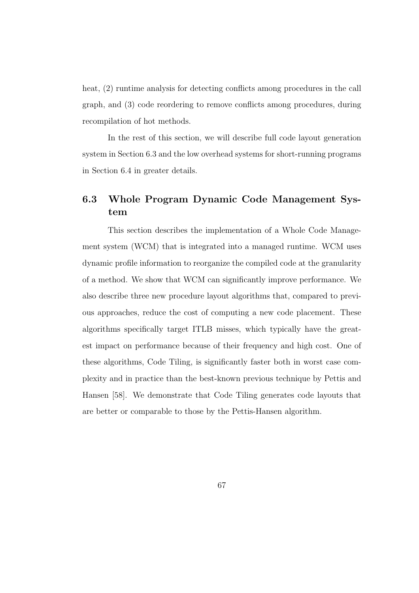heat,  $(2)$  runtime analysis for detecting conflicts among procedures in the call graph, and (3) code reordering to remove conflicts among procedures, during recompilation of hot methods.

In the rest of this section, we will describe full code layout generation system in Section 6.3 and the low overhead systems for short-running programs in Section 6.4 in greater details.

# 6.3 Whole Program Dynamic Code Management System

This section describes the implementation of a Whole Code Management system (WCM) that is integrated into a managed runtime. WCM uses dynamic profile information to reorganize the compiled code at the granularity of a method. We show that WCM can significantly improve performance. We also describe three new procedure layout algorithms that, compared to previous approaches, reduce the cost of computing a new code placement. These algorithms specifically target ITLB misses, which typically have the greatest impact on performance because of their frequency and high cost. One of these algorithms, Code Tiling, is significantly faster both in worst case complexity and in practice than the best-known previous technique by Pettis and Hansen [58]. We demonstrate that Code Tiling generates code layouts that are better or comparable to those by the Pettis-Hansen algorithm.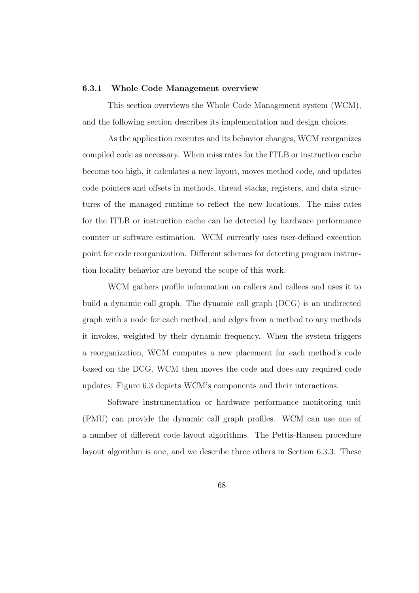#### 6.3.1 Whole Code Management overview

This section overviews the Whole Code Management system (WCM), and the following section describes its implementation and design choices.

As the application executes and its behavior changes, WCM reorganizes compiled code as necessary. When miss rates for the ITLB or instruction cache become too high, it calculates a new layout, moves method code, and updates code pointers and offsets in methods, thread stacks, registers, and data structures of the managed runtime to reflect the new locations. The miss rates for the ITLB or instruction cache can be detected by hardware performance counter or software estimation. WCM currently uses user-defined execution point for code reorganization. Different schemes for detecting program instruction locality behavior are beyond the scope of this work.

WCM gathers profile information on callers and callees and uses it to build a dynamic call graph. The dynamic call graph (DCG) is an undirected graph with a node for each method, and edges from a method to any methods it invokes, weighted by their dynamic frequency. When the system triggers a reorganization, WCM computes a new placement for each method's code based on the DCG. WCM then moves the code and does any required code updates. Figure 6.3 depicts WCM's components and their interactions.

Software instrumentation or hardware performance monitoring unit (PMU) can provide the dynamic call graph profiles. WCM can use one of a number of different code layout algorithms. The Pettis-Hansen procedure layout algorithm is one, and we describe three others in Section 6.3.3. These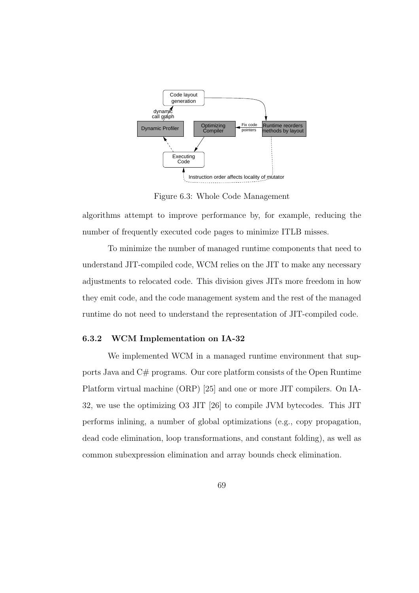

Figure 6.3: Whole Code Management

algorithms attempt to improve performance by, for example, reducing the number of frequently executed code pages to minimize ITLB misses.

To minimize the number of managed runtime components that need to understand JIT-compiled code, WCM relies on the JIT to make any necessary adjustments to relocated code. This division gives JITs more freedom in how they emit code, and the code management system and the rest of the managed runtime do not need to understand the representation of JIT-compiled code.

# 6.3.2 WCM Implementation on IA-32

We implemented WCM in a managed runtime environment that supports Java and C# programs. Our core platform consists of the Open Runtime Platform virtual machine (ORP) [25] and one or more JIT compilers. On IA-32, we use the optimizing O3 JIT [26] to compile JVM bytecodes. This JIT performs inlining, a number of global optimizations (e.g., copy propagation, dead code elimination, loop transformations, and constant folding), as well as common subexpression elimination and array bounds check elimination.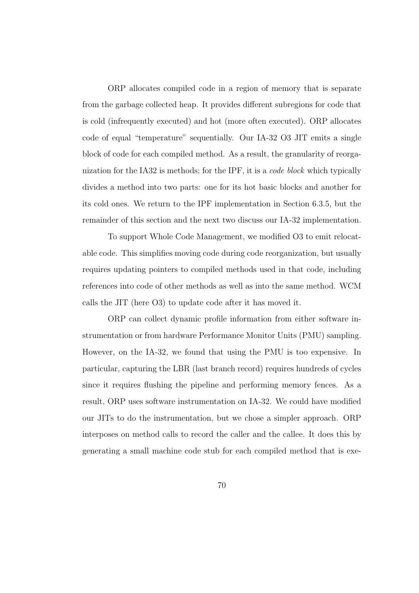ORP allocates compiled code in a region of memory that is separate from the garbage collected heap. It provides different subregions for code that is cold (infrequently executed) and hot (more often executed). ORP allocates code of equal "temperature" sequentially. Our IA-32 O3 JIT emits a single block of code for each compiled method. As a result, the granularity of reorganization for the IA32 is methods; for the IPF, it is a code block which typically divides a method into two parts: one for its hot basic blocks and another for its cold ones. We return to the IPF implementation in Section 6.3.5, but the remainder of this section and the next two discuss our IA-32 implementation.

To support Whole Code Management, we modified O3 to emit relocatable code. This simplifies moving code during code reorganization, but usually requires updating pointers to compiled methods used in that code, including references into code of other methods as well as into the same method. WCM calls the JIT (here O3) to update code after it has moved it.

ORP can collect dynamic profile information from either software instrumentation or from hardware Performance Monitor Units (PMU) sampling. However, on the IA-32, we found that using the PMU is too expensive. In particular, capturing the LBR (last branch record) requires hundreds of cycles since it requires flushing the pipeline and performing memory fences. As a result, ORP uses software instrumentation on IA-32. We could have modified our JITs to do the instrumentation, but we chose a simpler approach. ORP interposes on method calls to record the caller and the callee. It does this by generating a small machine code stub for each compiled method that is exe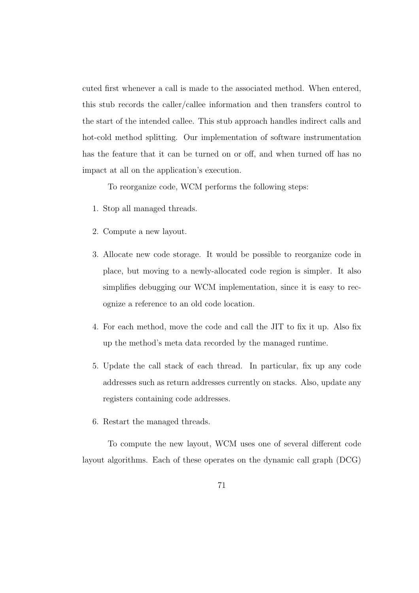cuted first whenever a call is made to the associated method. When entered, this stub records the caller/callee information and then transfers control to the start of the intended callee. This stub approach handles indirect calls and hot-cold method splitting. Our implementation of software instrumentation has the feature that it can be turned on or off, and when turned off has no impact at all on the application's execution.

To reorganize code, WCM performs the following steps:

- 1. Stop all managed threads.
- 2. Compute a new layout.
- 3. Allocate new code storage. It would be possible to reorganize code in place, but moving to a newly-allocated code region is simpler. It also simplifies debugging our WCM implementation, since it is easy to recognize a reference to an old code location.
- 4. For each method, move the code and call the JIT to fix it up. Also fix up the method's meta data recorded by the managed runtime.
- 5. Update the call stack of each thread. In particular, fix up any code addresses such as return addresses currently on stacks. Also, update any registers containing code addresses.
- 6. Restart the managed threads.

To compute the new layout, WCM uses one of several different code layout algorithms. Each of these operates on the dynamic call graph (DCG)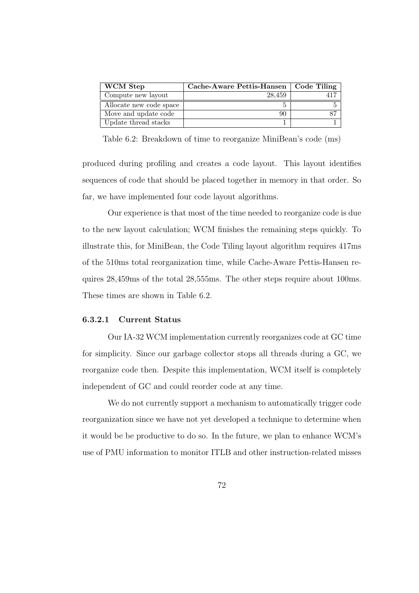| <b>WCM</b> Step         | Cache-Aware Pettis-Hansen   Code Tiling |  |
|-------------------------|-----------------------------------------|--|
| Compute new layout      | 28.459                                  |  |
| Allocate new code space |                                         |  |
| Move and update code    | 90                                      |  |
| Update thread stacks    |                                         |  |

Table 6.2: Breakdown of time to reorganize MiniBean's code (ms)

produced during profiling and creates a code layout. This layout identifies sequences of code that should be placed together in memory in that order. So far, we have implemented four code layout algorithms.

Our experience is that most of the time needed to reorganize code is due to the new layout calculation; WCM finishes the remaining steps quickly. To illustrate this, for MiniBean, the Code Tiling layout algorithm requires 417ms of the 510ms total reorganization time, while Cache-Aware Pettis-Hansen requires 28,459ms of the total 28,555ms. The other steps require about 100ms. These times are shown in Table 6.2.

#### 6.3.2.1 Current Status

Our IA-32 WCM implementation currently reorganizes code at GC time for simplicity. Since our garbage collector stops all threads during a GC, we reorganize code then. Despite this implementation, WCM itself is completely independent of GC and could reorder code at any time.

We do not currently support a mechanism to automatically trigger code reorganization since we have not yet developed a technique to determine when it would be be productive to do so. In the future, we plan to enhance WCM's use of PMU information to monitor ITLB and other instruction-related misses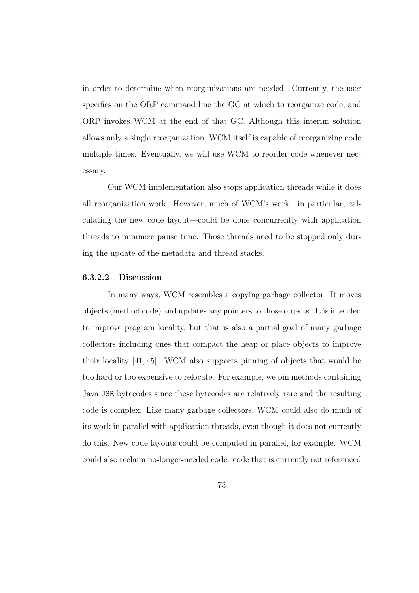in order to determine when reorganizations are needed. Currently, the user specifies on the ORP command line the GC at which to reorganize code, and ORP invokes WCM at the end of that GC. Although this interim solution allows only a single reorganization, WCM itself is capable of reorganizing code multiple times. Eventually, we will use WCM to reorder code whenever necessary.

Our WCM implementation also stops application threads while it does all reorganization work. However, much of WCM's work—in particular, calculating the new code layout—could be done concurrently with application threads to minimize pause time. Those threads need to be stopped only during the update of the metadata and thread stacks.

#### 6.3.2.2 Discussion

In many ways, WCM resembles a copying garbage collector. It moves objects (method code) and updates any pointers to those objects. It is intended to improve program locality, but that is also a partial goal of many garbage collectors including ones that compact the heap or place objects to improve their locality [41, 45]. WCM also supports pinning of objects that would be too hard or too expensive to relocate. For example, we pin methods containing Java JSR bytecodes since these bytecodes are relatively rare and the resulting code is complex. Like many garbage collectors, WCM could also do much of its work in parallel with application threads, even though it does not currently do this. New code layouts could be computed in parallel, for example. WCM could also reclaim no-longer-needed code: code that is currently not referenced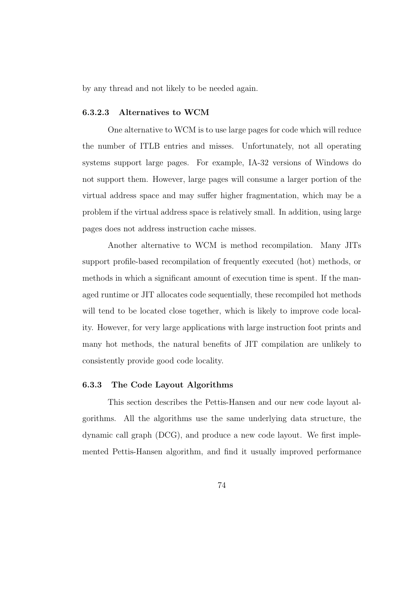by any thread and not likely to be needed again.

#### 6.3.2.3 Alternatives to WCM

One alternative to WCM is to use large pages for code which will reduce the number of ITLB entries and misses. Unfortunately, not all operating systems support large pages. For example, IA-32 versions of Windows do not support them. However, large pages will consume a larger portion of the virtual address space and may suffer higher fragmentation, which may be a problem if the virtual address space is relatively small. In addition, using large pages does not address instruction cache misses.

Another alternative to WCM is method recompilation. Many JITs support profile-based recompilation of frequently executed (hot) methods, or methods in which a significant amount of execution time is spent. If the managed runtime or JIT allocates code sequentially, these recompiled hot methods will tend to be located close together, which is likely to improve code locality. However, for very large applications with large instruction foot prints and many hot methods, the natural benefits of JIT compilation are unlikely to consistently provide good code locality.

#### 6.3.3 The Code Layout Algorithms

This section describes the Pettis-Hansen and our new code layout algorithms. All the algorithms use the same underlying data structure, the dynamic call graph (DCG), and produce a new code layout. We first implemented Pettis-Hansen algorithm, and find it usually improved performance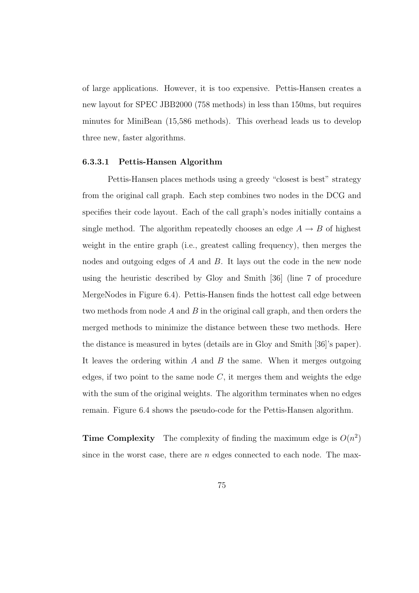of large applications. However, it is too expensive. Pettis-Hansen creates a new layout for SPEC JBB2000 (758 methods) in less than 150ms, but requires minutes for MiniBean (15,586 methods). This overhead leads us to develop three new, faster algorithms.

#### 6.3.3.1 Pettis-Hansen Algorithm

Pettis-Hansen places methods using a greedy "closest is best" strategy from the original call graph. Each step combines two nodes in the DCG and specifies their code layout. Each of the call graph's nodes initially contains a single method. The algorithm repeatedly chooses an edge  $A \rightarrow B$  of highest weight in the entire graph (i.e., greatest calling frequency), then merges the nodes and outgoing edges of A and B. It lays out the code in the new node using the heuristic described by Gloy and Smith [36] (line 7 of procedure MergeNodes in Figure 6.4). Pettis-Hansen finds the hottest call edge between two methods from node  $A$  and  $B$  in the original call graph, and then orders the merged methods to minimize the distance between these two methods. Here the distance is measured in bytes (details are in Gloy and Smith [36]'s paper). It leaves the ordering within  $A$  and  $B$  the same. When it merges outgoing edges, if two point to the same node  $C$ , it merges them and weights the edge with the sum of the original weights. The algorithm terminates when no edges remain. Figure 6.4 shows the pseudo-code for the Pettis-Hansen algorithm.

**Time Complexity** The complexity of finding the maximum edge is  $O(n^2)$ since in the worst case, there are  $n$  edges connected to each node. The max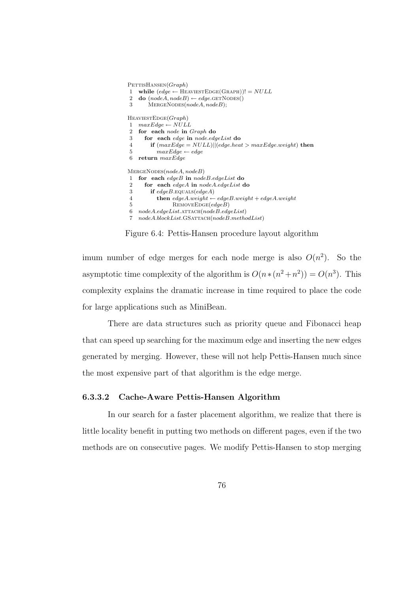$PETTISHANSEN(Graph)$ 1 while  $\text{(edge} \leftarrow \text{HEAVIESTEDGE}(\text{GRAPH}))! = NULL$ 2 do  $(nodeA, nodeB) \leftarrow edge \text{GETNODES}()$  $3$  MERGENODES(nodeA, nodeB);  $HEAVIESTEDGE(Graph)$ 1  $maxEdge \leftarrow NULL$ 2 for each node in Graph do 3 for each edge in node.edgeList do 4 if  $(maxEdge = NULL)||(edge heat > maxEdge-weight)$  then 5  $maxEdge \leftarrow edge$ 6 return maxEdge  $MERGENODES(nodeA, nodeB)$ 1 for each edgeB in nodeB.edgeList do 2 for each edgeA in nodeA.edgeList do 3 if  $edgeB$ . EQUALS(edgeA) 4 then  $edgeA.weight \leftarrow edgeB.weight + edgeA.weight$  $5$  REMOVEEDGE(edgeB) 6  $nodeA.edgeList.$ ATTACH $(nodeB.edgeList)$ 7  $nodeA blockList.GSATTACH(nodeB.methodList)$ 

Figure 6.4: Pettis-Hansen procedure layout algorithm

imum number of edge merges for each node merge is also  $O(n^2)$ . So the asymptotic time complexity of the algorithm is  $O(n*(n^2+n^2)) = O(n^3)$ . This complexity explains the dramatic increase in time required to place the code for large applications such as MiniBean.

There are data structures such as priority queue and Fibonacci heap that can speed up searching for the maximum edge and inserting the new edges generated by merging. However, these will not help Pettis-Hansen much since the most expensive part of that algorithm is the edge merge.

#### 6.3.3.2 Cache-Aware Pettis-Hansen Algorithm

In our search for a faster placement algorithm, we realize that there is little locality benefit in putting two methods on different pages, even if the two methods are on consecutive pages. We modify Pettis-Hansen to stop merging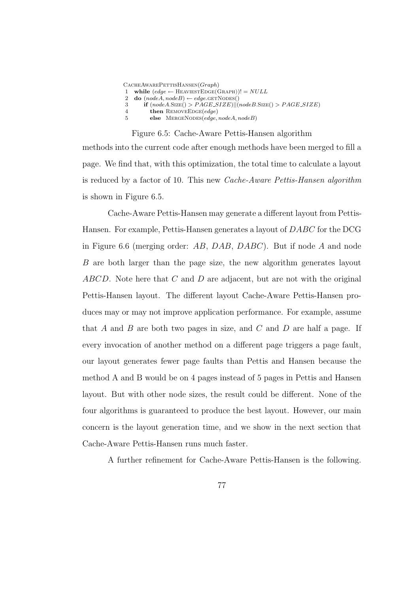|    | $C$ ACHEAWAREPETTISHANSEN $(Graph)$                                                 |
|----|-------------------------------------------------------------------------------------|
|    | 1 while $\text{(edge} \leftarrow \text{HEAVIESTEDGE}(\text{GRAPH}))! = \text{NULL}$ |
|    | 2 <b>do</b> $(nodeA, nodeB) \leftarrow edge \text{.GETNODES}()$                     |
| -3 | <b>if</b> $(nodeA.SIZE() > PAGE.SIZE)  (nodeB.SIZE() > PAGE.SIZE)$                  |
|    | <b>then</b> REMOVEEDGE( $edge$ )                                                    |
| 5  | else MERGENODES(edge, nodeA, nodeB)                                                 |
|    |                                                                                     |

Figure 6.5: Cache-Aware Pettis-Hansen algorithm methods into the current code after enough methods have been merged to fill a page. We find that, with this optimization, the total time to calculate a layout is reduced by a factor of 10. This new Cache-Aware Pettis-Hansen algorithm is shown in Figure 6.5.

Cache-Aware Pettis-Hansen may generate a different layout from Pettis-Hansen. For example, Pettis-Hansen generates a layout of DABC for the DCG in Figure 6.6 (merging order:  $AB$ ,  $DAB$ ,  $DABC$ ). But if node A and node B are both larger than the page size, the new algorithm generates layout  $ABCD$ . Note here that C and D are adjacent, but are not with the original Pettis-Hansen layout. The different layout Cache-Aware Pettis-Hansen produces may or may not improve application performance. For example, assume that  $A$  and  $B$  are both two pages in size, and  $C$  and  $D$  are half a page. If every invocation of another method on a different page triggers a page fault, our layout generates fewer page faults than Pettis and Hansen because the method A and B would be on 4 pages instead of 5 pages in Pettis and Hansen layout. But with other node sizes, the result could be different. None of the four algorithms is guaranteed to produce the best layout. However, our main concern is the layout generation time, and we show in the next section that Cache-Aware Pettis-Hansen runs much faster.

A further refinement for Cache-Aware Pettis-Hansen is the following.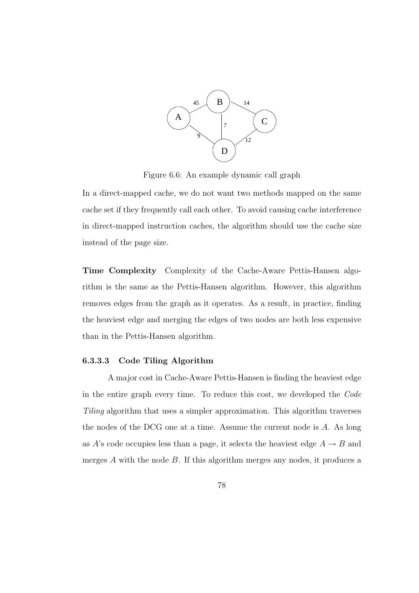

Figure 6.6: An example dynamic call graph

In a direct-mapped cache, we do not want two methods mapped on the same cache set if they frequently call each other. To avoid causing cache interference in direct-mapped instruction caches, the algorithm should use the cache size instead of the page size.

Time Complexity Complexity of the Cache-Aware Pettis-Hansen algorithm is the same as the Pettis-Hansen algorithm. However, this algorithm removes edges from the graph as it operates. As a result, in practice, finding the heaviest edge and merging the edges of two nodes are both less expensive than in the Pettis-Hansen algorithm.

## 6.3.3.3 Code Tiling Algorithm

A major cost in Cache-Aware Pettis-Hansen is finding the heaviest edge in the entire graph every time. To reduce this cost, we developed the Code Tiling algorithm that uses a simpler approximation. This algorithm traverses the nodes of the DCG one at a time. Assume the current node is A. As long as A's code occupies less than a page, it selects the heaviest edge  $A \rightarrow B$  and merges  $A$  with the node  $B$ . If this algorithm merges any nodes, it produces a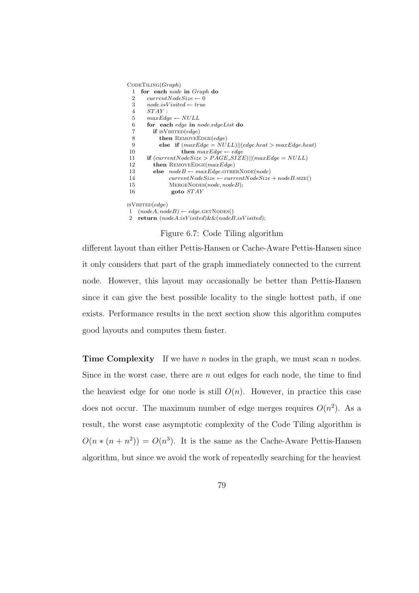|                | $C$ ODETILING $(Graph)$                                     |
|----------------|-------------------------------------------------------------|
| 1              | for each <i>node</i> in <i>Graph</i> do                     |
| 2              | $currentNodeSize \leftarrow 0$                              |
| 3              | $node.isVisted \leftarrow true$                             |
| $\overline{4}$ | $STAY$ :                                                    |
| 5              | $maxEdge \leftarrow NULL$                                   |
| 6              | for each edge in node.edgeList do                           |
| 7              | <b>if</b> ISVISITED $\text{(\textit{edge})}$                |
| 8              | <b>then</b> REMOVEEDGE( <i>edge</i> )                       |
| 9              | else if $(maxEdge = NULL)  (edge, heat > maxEdge, heat)$    |
| 10             | <b>then</b> $maxEdge \leftarrow edge$                       |
| 11             | if $(currentNodeSize > PAGE\_SIZE)  (maxEdge = NULL)$       |
| 12             | <b>then</b> REMOVEEDGE( $maxEdge$ )                         |
| 13             | $nodeB \leftarrow maxEdge.\mathtt{OTHERNODE}(node)$<br>else |
| 14             | $currentNodeSize \leftarrow currentNodeSize + nodeB.size()$ |
| 15             | MERGENODES(node, nodeB);                                    |
| 16             | goto $STAY$                                                 |
|                | ISVISITED $\left( edge\right)$                              |
| 1              | $(nodeA, nodeB) \leftarrow edge \text{GETNODES}()$          |
| $\overline{2}$ | return $(nodeA.isVisted) \&\& (nodeB.isVisted);$            |

Figure 6.7: Code Tiling algorithm

different layout than either Pettis-Hansen or Cache-Aware Pettis-Hansen since it only considers that part of the graph immediately connected to the current node. However, this layout may occasionally be better than Pettis-Hansen since it can give the best possible locality to the single hottest path, if one exists. Performance results in the next section show this algorithm computes good layouts and computes them faster.

**Time Complexity** If we have n nodes in the graph, we must scan n nodes. Since in the worst case, there are  $n$  out edges for each node, the time to find the heaviest edge for one node is still  $O(n)$ . However, in practice this case does not occur. The maximum number of edge merges requires  $O(n^2)$ . As a result, the worst case asymptotic complexity of the Code Tiling algorithm is  $O(n * (n + n^2)) = O(n^3)$ . It is the same as the Cache-Aware Pettis-Hansen algorithm, but since we avoid the work of repeatedly searching for the heaviest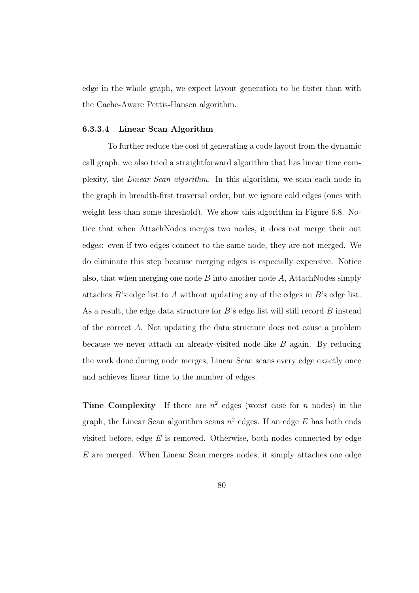edge in the whole graph, we expect layout generation to be faster than with the Cache-Aware Pettis-Hansen algorithm.

#### 6.3.3.4 Linear Scan Algorithm

To further reduce the cost of generating a code layout from the dynamic call graph, we also tried a straightforward algorithm that has linear time complexity, the Linear Scan algorithm. In this algorithm, we scan each node in the graph in breadth-first traversal order, but we ignore cold edges (ones with weight less than some threshold). We show this algorithm in Figure 6.8. Notice that when AttachNodes merges two nodes, it does not merge their out edges: even if two edges connect to the same node, they are not merged. We do eliminate this step because merging edges is especially expensive. Notice also, that when merging one node  $B$  into another node  $A$ , AttachNodes simply attaches B's edge list to A without updating any of the edges in B's edge list. As a result, the edge data structure for  $B$ 's edge list will still record  $B$  instead of the correct A. Not updating the data structure does not cause a problem because we never attach an already-visited node like  $B$  again. By reducing the work done during node merges, Linear Scan scans every edge exactly once and achieves linear time to the number of edges.

**Time Complexity** If there are  $n^2$  edges (worst case for n nodes) in the graph, the Linear Scan algorithm scans  $n^2$  edges. If an edge E has both ends visited before, edge  $E$  is removed. Otherwise, both nodes connected by edge E are merged. When Linear Scan merges nodes, it simply attaches one edge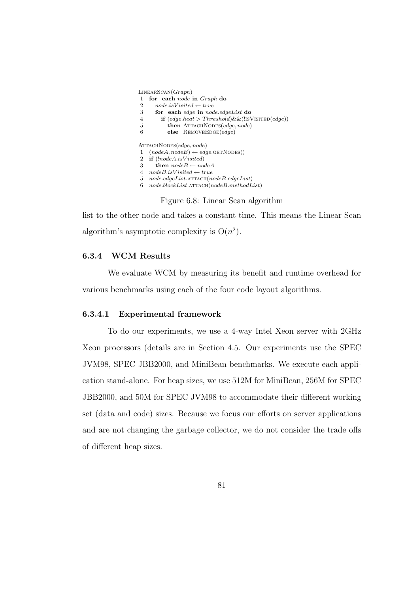LinearScan(Graph)

- 1 for each node in Graph do
- 2  $node.isV isited \leftarrow true$
- 3 for each edge in node.edgeList do
- 4 if  $(edge.heat > Threshold) \&\& (!ISVISTED(edge))$
- 5 **then** ATTACHNODES(edge, node)
- 6 else REMOVEEDGE(edge)

ATTACHNODES(edge, node) 1  $(nodeA, nodeB) \leftarrow edge \text{GETNODES}()$ 2 if  $(!nodeA.isV isited)$ 

- 3 then  $nodeB \leftarrow nodeA$
- 4  $nodeB.isV isited \leftarrow true$
- 5  $node-edgeList$ .  $ATTACH(nodeB. edgeList)$
- 6  $node blockList$ .ATTACH $(nodeB.methodList)$ 
	- Figure 6.8: Linear Scan algorithm

list to the other node and takes a constant time. This means the Linear Scan algorithm's asymptotic complexity is  $O(n^2)$ .

#### 6.3.4 WCM Results

We evaluate WCM by measuring its benefit and runtime overhead for various benchmarks using each of the four code layout algorithms.

#### 6.3.4.1 Experimental framework

To do our experiments, we use a 4-way Intel Xeon server with 2GHz Xeon processors (details are in Section 4.5. Our experiments use the SPEC JVM98, SPEC JBB2000, and MiniBean benchmarks. We execute each application stand-alone. For heap sizes, we use 512M for MiniBean, 256M for SPEC JBB2000, and 50M for SPEC JVM98 to accommodate their different working set (data and code) sizes. Because we focus our efforts on server applications and are not changing the garbage collector, we do not consider the trade offs of different heap sizes.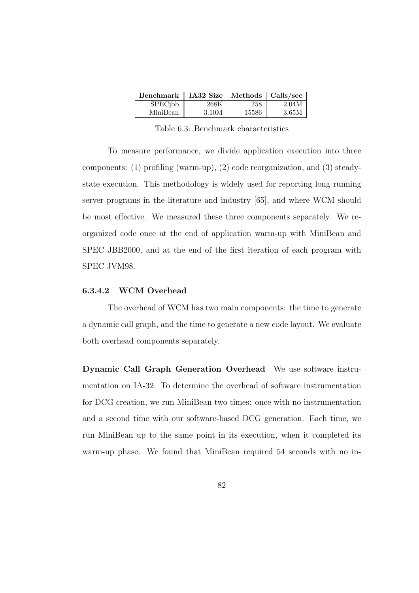| Benchmark    IA32 Size |       | Methods $\vert$ Calls/sec |       |
|------------------------|-------|---------------------------|-------|
| SPECjbb                | 268K  | 758                       | 2.04M |
| MiniBean               | 3.10M | 15586                     | 3.65M |

Table 6.3: Benchmark characteristics

To measure performance, we divide application execution into three components: (1) profiling (warm-up), (2) code reorganization, and (3) steadystate execution. This methodology is widely used for reporting long running server programs in the literature and industry [65], and where WCM should be most effective. We measured these three components separately. We reorganized code once at the end of application warm-up with MiniBean and SPEC JBB2000, and at the end of the first iteration of each program with SPEC JVM98.

#### 6.3.4.2 WCM Overhead

The overhead of WCM has two main components: the time to generate a dynamic call graph, and the time to generate a new code layout. We evaluate both overhead components separately.

Dynamic Call Graph Generation Overhead We use software instrumentation on IA-32. To determine the overhead of software instrumentation for DCG creation, we run MiniBean two times: once with no instrumentation and a second time with our software-based DCG generation. Each time, we run MiniBean up to the same point in its execution, when it completed its warm-up phase. We found that MiniBean required 54 seconds with no in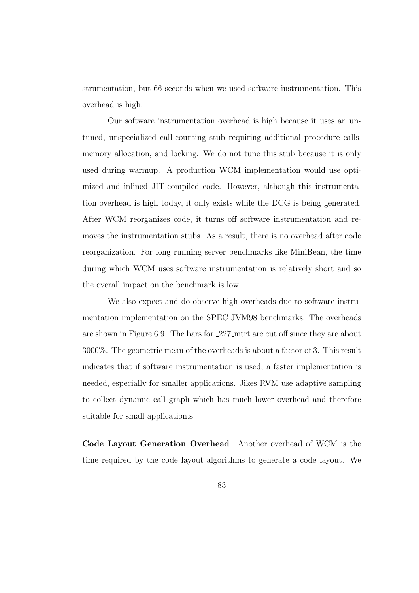strumentation, but 66 seconds when we used software instrumentation. This overhead is high.

Our software instrumentation overhead is high because it uses an untuned, unspecialized call-counting stub requiring additional procedure calls, memory allocation, and locking. We do not tune this stub because it is only used during warmup. A production WCM implementation would use optimized and inlined JIT-compiled code. However, although this instrumentation overhead is high today, it only exists while the DCG is being generated. After WCM reorganizes code, it turns off software instrumentation and removes the instrumentation stubs. As a result, there is no overhead after code reorganization. For long running server benchmarks like MiniBean, the time during which WCM uses software instrumentation is relatively short and so the overall impact on the benchmark is low.

We also expect and do observe high overheads due to software instrumentation implementation on the SPEC JVM98 benchmarks. The overheads are shown in Figure 6.9. The bars for 227 mtrt are cut off since they are about 3000%. The geometric mean of the overheads is about a factor of 3. This result indicates that if software instrumentation is used, a faster implementation is needed, especially for smaller applications. Jikes RVM use adaptive sampling to collect dynamic call graph which has much lower overhead and therefore suitable for small application.s

Code Layout Generation Overhead Another overhead of WCM is the time required by the code layout algorithms to generate a code layout. We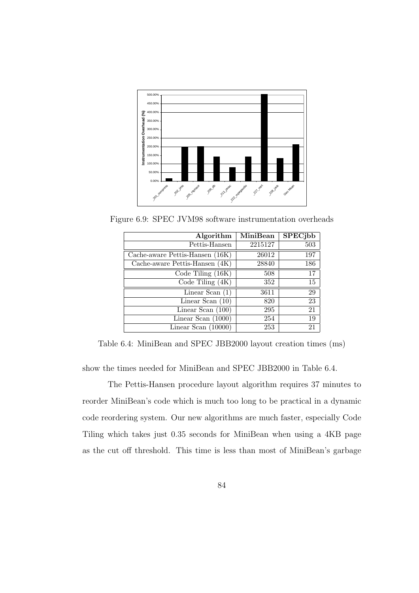

Figure 6.9: SPEC JVM98 software instrumentation overheads

| Algorithm                       | <b>MiniBean</b> | <b>SPEC</b> jbb |
|---------------------------------|-----------------|-----------------|
| Pettis-Hansen                   | 2215127         | 503             |
| Cache-aware Pettis-Hansen (16K) | 26012           | 197             |
| Cache-aware Pettis-Hansen (4K)  | 28840           | 186             |
| Code Tiling $(16K)$             | 508             | 17              |
| Code Tiling $(4K)$              | 352             | 15              |
| Linear Scan $(1)$               | 3611            | 29              |
| Linear Scan $(10)$              | 820             | $\overline{23}$ |
| Linear Scan $(100)$             | 295             | $\overline{21}$ |
| Linear Scan $(1000)$            | 254             | 19              |
| Linear Scan $(10000)$           | 253             | $\overline{21}$ |

Table 6.4: MiniBean and SPEC JBB2000 layout creation times (ms)

show the times needed for MiniBean and SPEC JBB2000 in Table 6.4.

The Pettis-Hansen procedure layout algorithm requires 37 minutes to reorder MiniBean's code which is much too long to be practical in a dynamic code reordering system. Our new algorithms are much faster, especially Code Tiling which takes just 0.35 seconds for MiniBean when using a 4KB page as the cut off threshold. This time is less than most of MiniBean's garbage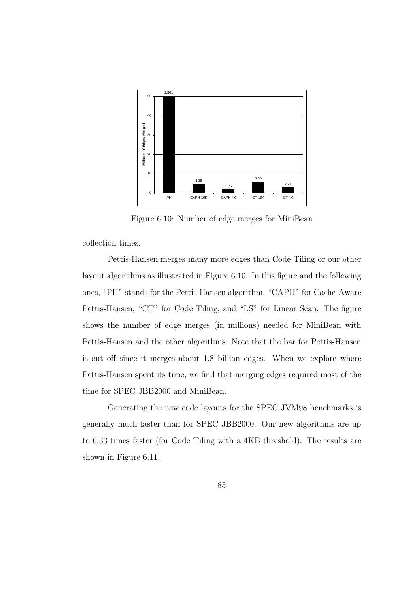

Figure 6.10: Number of edge merges for MiniBean

collection times.

Pettis-Hansen merges many more edges than Code Tiling or our other layout algorithms as illustrated in Figure 6.10. In this figure and the following ones, "PH" stands for the Pettis-Hansen algorithm, "CAPH" for Cache-Aware Pettis-Hansen, "CT" for Code Tiling, and "LS" for Linear Scan. The figure shows the number of edge merges (in millions) needed for MiniBean with Pettis-Hansen and the other algorithms. Note that the bar for Pettis-Hansen is cut off since it merges about 1.8 billion edges. When we explore where Pettis-Hansen spent its time, we find that merging edges required most of the time for SPEC JBB2000 and MiniBean.

Generating the new code layouts for the SPEC JVM98 benchmarks is generally much faster than for SPEC JBB2000. Our new algorithms are up to 6.33 times faster (for Code Tiling with a 4KB threshold). The results are shown in Figure 6.11.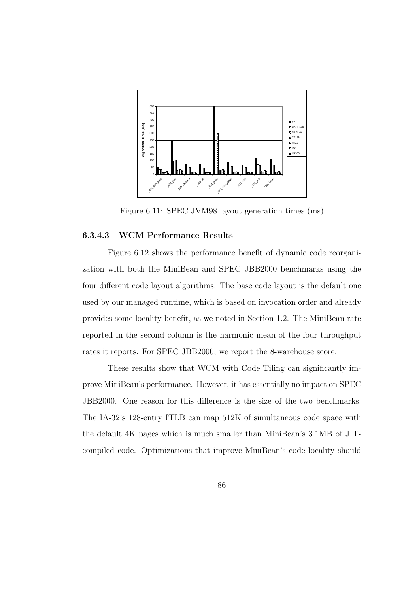

Figure 6.11: SPEC JVM98 layout generation times (ms)

#### 6.3.4.3 WCM Performance Results

Figure 6.12 shows the performance benefit of dynamic code reorganization with both the MiniBean and SPEC JBB2000 benchmarks using the four different code layout algorithms. The base code layout is the default one used by our managed runtime, which is based on invocation order and already provides some locality benefit, as we noted in Section 1.2. The MiniBean rate reported in the second column is the harmonic mean of the four throughput rates it reports. For SPEC JBB2000, we report the 8-warehouse score.

These results show that WCM with Code Tiling can significantly improve MiniBean's performance. However, it has essentially no impact on SPEC JBB2000. One reason for this difference is the size of the two benchmarks. The IA-32's 128-entry ITLB can map 512K of simultaneous code space with the default 4K pages which is much smaller than MiniBean's 3.1MB of JITcompiled code. Optimizations that improve MiniBean's code locality should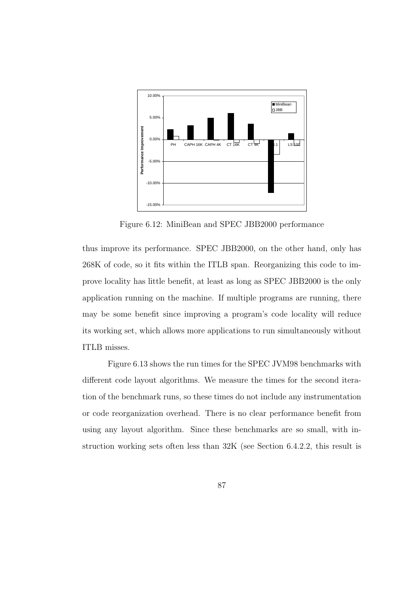

Figure 6.12: MiniBean and SPEC JBB2000 performance

thus improve its performance. SPEC JBB2000, on the other hand, only has 268K of code, so it fits within the ITLB span. Reorganizing this code to improve locality has little benefit, at least as long as SPEC JBB2000 is the only application running on the machine. If multiple programs are running, there may be some benefit since improving a program's code locality will reduce its working set, which allows more applications to run simultaneously without ITLB misses.

Figure 6.13 shows the run times for the SPEC JVM98 benchmarks with different code layout algorithms. We measure the times for the second iteration of the benchmark runs, so these times do not include any instrumentation or code reorganization overhead. There is no clear performance benefit from using any layout algorithm. Since these benchmarks are so small, with instruction working sets often less than 32K (see Section 6.4.2.2, this result is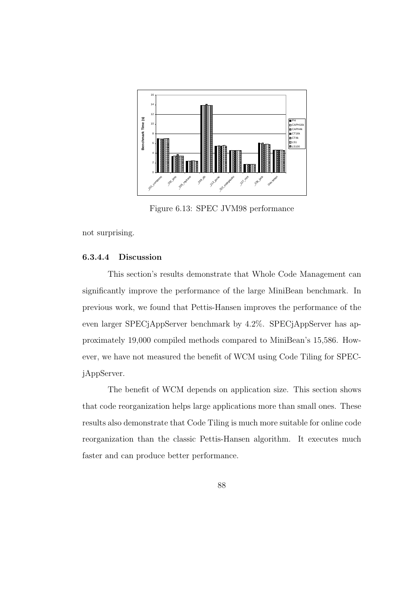

Figure 6.13: SPEC JVM98 performance

not surprising.

#### 6.3.4.4 Discussion

This section's results demonstrate that Whole Code Management can significantly improve the performance of the large MiniBean benchmark. In previous work, we found that Pettis-Hansen improves the performance of the even larger SPECjAppServer benchmark by 4.2%. SPECjAppServer has approximately 19,000 compiled methods compared to MiniBean's 15,586. However, we have not measured the benefit of WCM using Code Tiling for SPECjAppServer.

The benefit of WCM depends on application size. This section shows that code reorganization helps large applications more than small ones. These results also demonstrate that Code Tiling is much more suitable for online code reorganization than the classic Pettis-Hansen algorithm. It executes much faster and can produce better performance.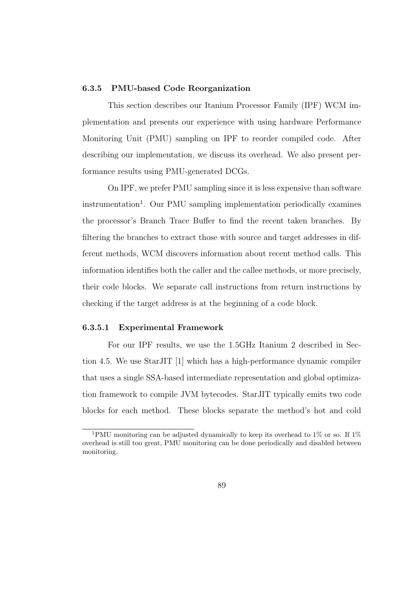## 6.3.5 PMU-based Code Reorganization

This section describes our Itanium Processor Family (IPF) WCM implementation and presents our experience with using hardware Performance Monitoring Unit (PMU) sampling on IPF to reorder compiled code. After describing our implementation, we discuss its overhead. We also present performance results using PMU-generated DCGs.

On IPF, we prefer PMU sampling since it is less expensive than software instrumentation<sup>1</sup>. Our PMU sampling implementation periodically examines the processor's Branch Trace Buffer to find the recent taken branches. By filtering the branches to extract those with source and target addresses in different methods, WCM discovers information about recent method calls. This information identifies both the caller and the callee methods, or more precisely, their code blocks. We separate call instructions from return instructions by checking if the target address is at the beginning of a code block.

#### 6.3.5.1 Experimental Framework

For our IPF results, we use the 1.5GHz Itanium 2 described in Section 4.5. We use StarJIT [1] which has a high-performance dynamic compiler that uses a single SSA-based intermediate representation and global optimization framework to compile JVM bytecodes. StarJIT typically emits two code blocks for each method. These blocks separate the method's hot and cold

<sup>&</sup>lt;sup>1</sup>PMU monitoring can be adjusted dynamically to keep its overhead to  $1\%$  or so. If  $1\%$ overhead is still too great, PMU monitoring can be done periodically and disabled between monitoring.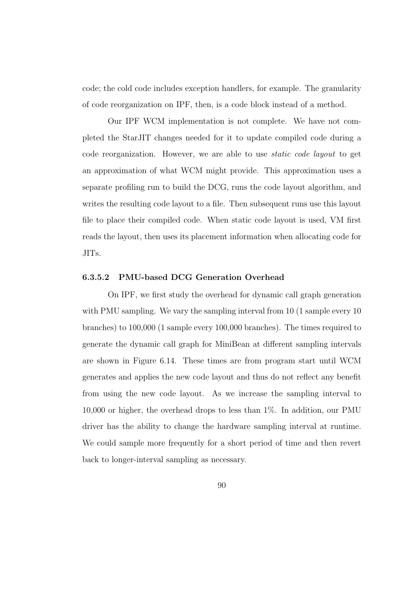code; the cold code includes exception handlers, for example. The granularity of code reorganization on IPF, then, is a code block instead of a method.

Our IPF WCM implementation is not complete. We have not completed the StarJIT changes needed for it to update compiled code during a code reorganization. However, we are able to use static code layout to get an approximation of what WCM might provide. This approximation uses a separate profiling run to build the DCG, runs the code layout algorithm, and writes the resulting code layout to a file. Then subsequent runs use this layout file to place their compiled code. When static code layout is used, VM first reads the layout, then uses its placement information when allocating code for JITs.

#### 6.3.5.2 PMU-based DCG Generation Overhead

On IPF, we first study the overhead for dynamic call graph generation with PMU sampling. We vary the sampling interval from 10 (1 sample every 10) branches) to 100,000 (1 sample every 100,000 branches). The times required to generate the dynamic call graph for MiniBean at different sampling intervals are shown in Figure 6.14. These times are from program start until WCM generates and applies the new code layout and thus do not reflect any benefit from using the new code layout. As we increase the sampling interval to 10,000 or higher, the overhead drops to less than 1%. In addition, our PMU driver has the ability to change the hardware sampling interval at runtime. We could sample more frequently for a short period of time and then revert back to longer-interval sampling as necessary.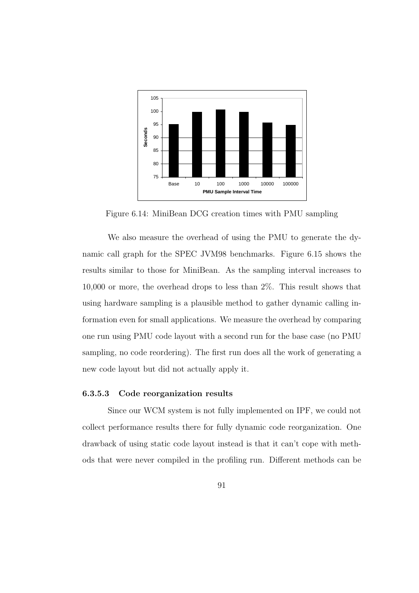

Figure 6.14: MiniBean DCG creation times with PMU sampling

We also measure the overhead of using the PMU to generate the dynamic call graph for the SPEC JVM98 benchmarks. Figure 6.15 shows the results similar to those for MiniBean. As the sampling interval increases to 10,000 or more, the overhead drops to less than 2%. This result shows that using hardware sampling is a plausible method to gather dynamic calling information even for small applications. We measure the overhead by comparing one run using PMU code layout with a second run for the base case (no PMU sampling, no code reordering). The first run does all the work of generating a new code layout but did not actually apply it.

#### 6.3.5.3 Code reorganization results

Since our WCM system is not fully implemented on IPF, we could not collect performance results there for fully dynamic code reorganization. One drawback of using static code layout instead is that it can't cope with methods that were never compiled in the profiling run. Different methods can be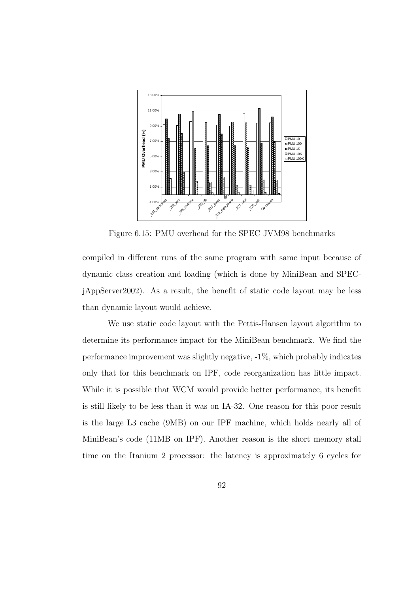

Figure 6.15: PMU overhead for the SPEC JVM98 benchmarks

compiled in different runs of the same program with same input because of dynamic class creation and loading (which is done by MiniBean and SPECjAppServer2002). As a result, the benefit of static code layout may be less than dynamic layout would achieve.

We use static code layout with the Pettis-Hansen layout algorithm to determine its performance impact for the MiniBean benchmark. We find the performance improvement was slightly negative, -1%, which probably indicates only that for this benchmark on IPF, code reorganization has little impact. While it is possible that WCM would provide better performance, its benefit is still likely to be less than it was on IA-32. One reason for this poor result is the large L3 cache (9MB) on our IPF machine, which holds nearly all of MiniBean's code (11MB on IPF). Another reason is the short memory stall time on the Itanium 2 processor: the latency is approximately 6 cycles for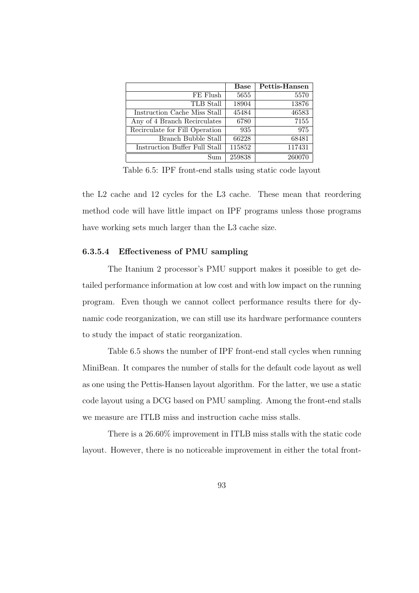|                                | <b>Base</b> | Pettis-Hansen |
|--------------------------------|-------------|---------------|
| FE Flush                       | 5655        | 5570          |
| TLB Stall                      | 18904       | 13876         |
| Instruction Cache Miss Stall   | 45484       | 46583         |
| Any of 4 Branch Recirculates   | 6780        | 7155          |
| Recirculate for Fill Operation | 935         | 975           |
| Branch Bubble Stall            | 66228       | 68481         |
| Instruction Buffer Full Stall  | 115852      | 117431        |
| Sum                            | 259838      | 260070        |

Table 6.5: IPF front-end stalls using static code layout

the L2 cache and 12 cycles for the L3 cache. These mean that reordering method code will have little impact on IPF programs unless those programs have working sets much larger than the L3 cache size.

#### 6.3.5.4 Effectiveness of PMU sampling

The Itanium 2 processor's PMU support makes it possible to get detailed performance information at low cost and with low impact on the running program. Even though we cannot collect performance results there for dynamic code reorganization, we can still use its hardware performance counters to study the impact of static reorganization.

Table 6.5 shows the number of IPF front-end stall cycles when running MiniBean. It compares the number of stalls for the default code layout as well as one using the Pettis-Hansen layout algorithm. For the latter, we use a static code layout using a DCG based on PMU sampling. Among the front-end stalls we measure are ITLB miss and instruction cache miss stalls.

There is a 26.60% improvement in ITLB miss stalls with the static code layout. However, there is no noticeable improvement in either the total front-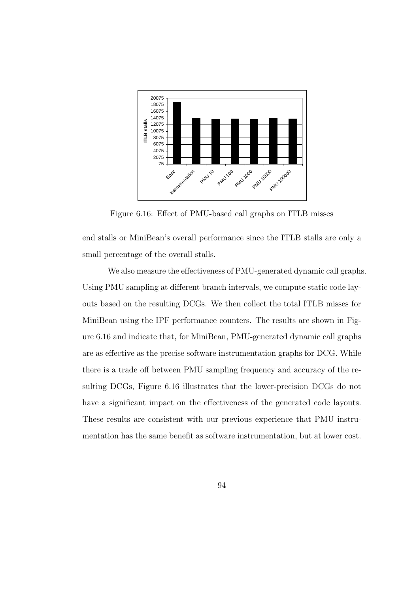

Figure 6.16: Effect of PMU-based call graphs on ITLB misses

end stalls or MiniBean's overall performance since the ITLB stalls are only a small percentage of the overall stalls.

We also measure the effectiveness of PMU-generated dynamic call graphs. Using PMU sampling at different branch intervals, we compute static code layouts based on the resulting DCGs. We then collect the total ITLB misses for MiniBean using the IPF performance counters. The results are shown in Figure 6.16 and indicate that, for MiniBean, PMU-generated dynamic call graphs are as effective as the precise software instrumentation graphs for DCG. While there is a trade off between PMU sampling frequency and accuracy of the resulting DCGs, Figure 6.16 illustrates that the lower-precision DCGs do not have a significant impact on the effectiveness of the generated code layouts. These results are consistent with our previous experience that PMU instrumentation has the same benefit as software instrumentation, but at lower cost.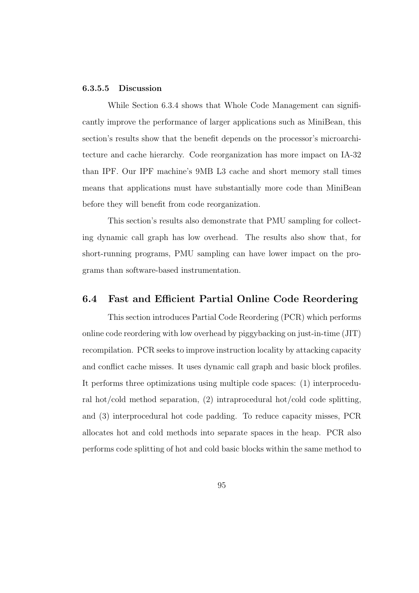## 6.3.5.5 Discussion

While Section 6.3.4 shows that Whole Code Management can significantly improve the performance of larger applications such as MiniBean, this section's results show that the benefit depends on the processor's microarchitecture and cache hierarchy. Code reorganization has more impact on IA-32 than IPF. Our IPF machine's 9MB L3 cache and short memory stall times means that applications must have substantially more code than MiniBean before they will benefit from code reorganization.

This section's results also demonstrate that PMU sampling for collecting dynamic call graph has low overhead. The results also show that, for short-running programs, PMU sampling can have lower impact on the programs than software-based instrumentation.

# 6.4 Fast and Efficient Partial Online Code Reordering

This section introduces Partial Code Reordering (PCR) which performs online code reordering with low overhead by piggybacking on just-in-time (JIT) recompilation. PCR seeks to improve instruction locality by attacking capacity and conflict cache misses. It uses dynamic call graph and basic block profiles. It performs three optimizations using multiple code spaces: (1) interprocedural hot/cold method separation, (2) intraprocedural hot/cold code splitting, and (3) interprocedural hot code padding. To reduce capacity misses, PCR allocates hot and cold methods into separate spaces in the heap. PCR also performs code splitting of hot and cold basic blocks within the same method to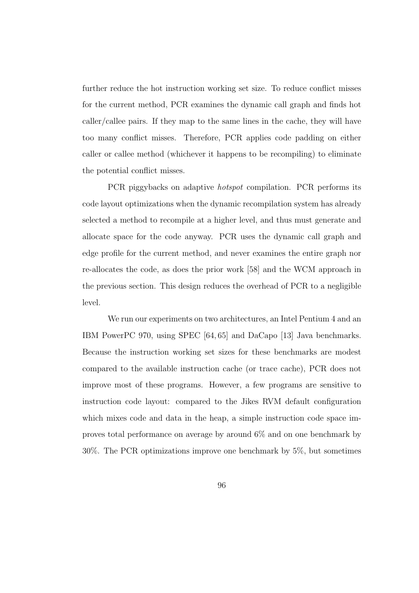further reduce the hot instruction working set size. To reduce conflict misses for the current method, PCR examines the dynamic call graph and finds hot caller/callee pairs. If they map to the same lines in the cache, they will have too many conflict misses. Therefore, PCR applies code padding on either caller or callee method (whichever it happens to be recompiling) to eliminate the potential conflict misses.

PCR piggybacks on adaptive hotspot compilation. PCR performs its code layout optimizations when the dynamic recompilation system has already selected a method to recompile at a higher level, and thus must generate and allocate space for the code anyway. PCR uses the dynamic call graph and edge profile for the current method, and never examines the entire graph nor re-allocates the code, as does the prior work [58] and the WCM approach in the previous section. This design reduces the overhead of PCR to a negligible level.

We run our experiments on two architectures, an Intel Pentium 4 and an IBM PowerPC 970, using SPEC [64, 65] and DaCapo [13] Java benchmarks. Because the instruction working set sizes for these benchmarks are modest compared to the available instruction cache (or trace cache), PCR does not improve most of these programs. However, a few programs are sensitive to instruction code layout: compared to the Jikes RVM default configuration which mixes code and data in the heap, a simple instruction code space improves total performance on average by around 6% and on one benchmark by 30%. The PCR optimizations improve one benchmark by 5%, but sometimes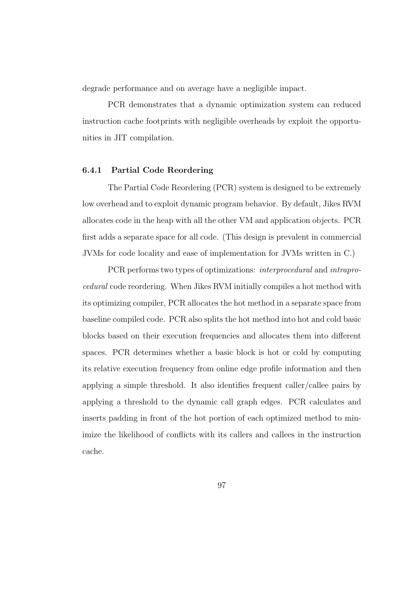degrade performance and on average have a negligible impact.

PCR demonstrates that a dynamic optimization system can reduced instruction cache footprints with negligible overheads by exploit the opportunities in JIT compilation.

#### 6.4.1 Partial Code Reordering

The Partial Code Reordering (PCR) system is designed to be extremely low overhead and to exploit dynamic program behavior. By default, Jikes RVM allocates code in the heap with all the other VM and application objects. PCR first adds a separate space for all code. (This design is prevalent in commercial JVMs for code locality and ease of implementation for JVMs written in C.)

PCR performs two types of optimizations: interprocedural and intraprocedural code reordering. When Jikes RVM initially compiles a hot method with its optimizing compiler, PCR allocates the hot method in a separate space from baseline compiled code. PCR also splits the hot method into hot and cold basic blocks based on their execution frequencies and allocates them into different spaces. PCR determines whether a basic block is hot or cold by computing its relative execution frequency from online edge profile information and then applying a simple threshold. It also identifies frequent caller/callee pairs by applying a threshold to the dynamic call graph edges. PCR calculates and inserts padding in front of the hot portion of each optimized method to minimize the likelihood of conflicts with its callers and callees in the instruction cache.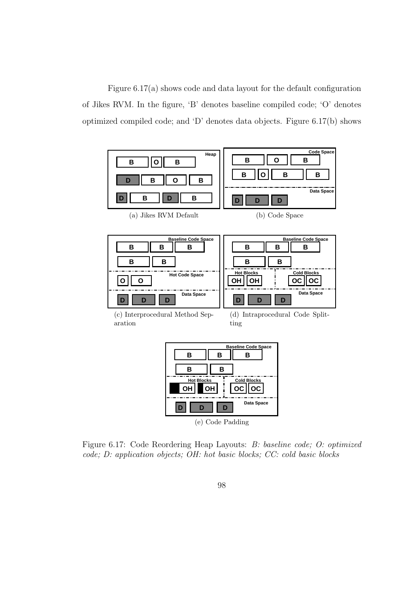Figure 6.17(a) shows code and data layout for the default configuration of Jikes RVM. In the figure, 'B' denotes baseline compiled code; 'O' denotes optimized compiled code; and 'D' denotes data objects. Figure 6.17(b) shows



Figure 6.17: Code Reordering Heap Layouts: B: baseline code; O: optimized code; D: application objects; OH: hot basic blocks; CC: cold basic blocks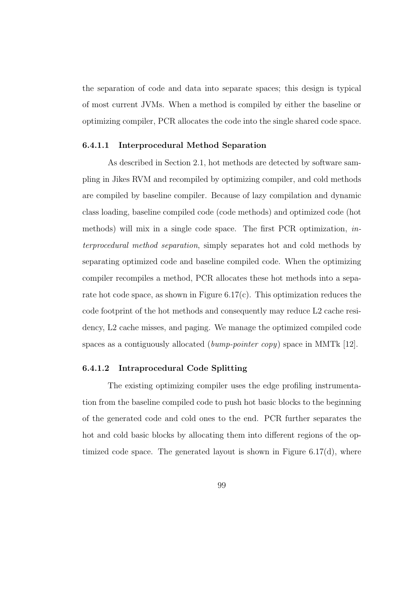the separation of code and data into separate spaces; this design is typical of most current JVMs. When a method is compiled by either the baseline or optimizing compiler, PCR allocates the code into the single shared code space.

#### 6.4.1.1 Interprocedural Method Separation

As described in Section 2.1, hot methods are detected by software sampling in Jikes RVM and recompiled by optimizing compiler, and cold methods are compiled by baseline compiler. Because of lazy compilation and dynamic class loading, baseline compiled code (code methods) and optimized code (hot methods) will mix in a single code space. The first PCR optimization, interprocedural method separation, simply separates hot and cold methods by separating optimized code and baseline compiled code. When the optimizing compiler recompiles a method, PCR allocates these hot methods into a separate hot code space, as shown in Figure 6.17(c). This optimization reduces the code footprint of the hot methods and consequently may reduce L2 cache residency, L2 cache misses, and paging. We manage the optimized compiled code spaces as a contiguously allocated *(bump-pointer copy)* space in MMTk  $[12]$ .

### 6.4.1.2 Intraprocedural Code Splitting

The existing optimizing compiler uses the edge profiling instrumentation from the baseline compiled code to push hot basic blocks to the beginning of the generated code and cold ones to the end. PCR further separates the hot and cold basic blocks by allocating them into different regions of the optimized code space. The generated layout is shown in Figure  $6.17(d)$ , where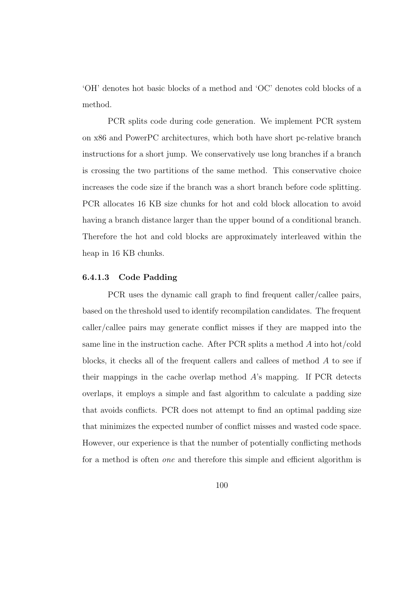'OH' denotes hot basic blocks of a method and 'OC' denotes cold blocks of a method.

PCR splits code during code generation. We implement PCR system on x86 and PowerPC architectures, which both have short pc-relative branch instructions for a short jump. We conservatively use long branches if a branch is crossing the two partitions of the same method. This conservative choice increases the code size if the branch was a short branch before code splitting. PCR allocates 16 KB size chunks for hot and cold block allocation to avoid having a branch distance larger than the upper bound of a conditional branch. Therefore the hot and cold blocks are approximately interleaved within the heap in 16 KB chunks.

#### 6.4.1.3 Code Padding

PCR uses the dynamic call graph to find frequent caller/callee pairs, based on the threshold used to identify recompilation candidates. The frequent caller/callee pairs may generate conflict misses if they are mapped into the same line in the instruction cache. After PCR splits a method A into hot/cold blocks, it checks all of the frequent callers and callees of method A to see if their mappings in the cache overlap method  $A$ 's mapping. If PCR detects overlaps, it employs a simple and fast algorithm to calculate a padding size that avoids conflicts. PCR does not attempt to find an optimal padding size that minimizes the expected number of conflict misses and wasted code space. However, our experience is that the number of potentially conflicting methods for a method is often one and therefore this simple and efficient algorithm is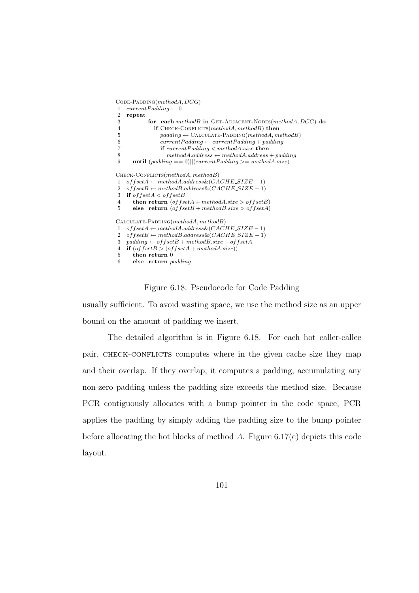$CODE-PADDING(methodA, DCG)$ 1 current  $Padding \leftarrow 0$ 2 repeat 3 for each methodB in GET-ADJACENT-NODES(methodA, DCG) do 4 **if** CHECK-CONFLICTS(methodA, methodB) then  $5$  padding ← CALCULATE-PADDING(methodA, methodB) 6  $currentPadding \leftarrow currentPadding + padding$ 7 **if** currentPadding < methodA.size **then** 8 method $A$ .address ← method $A$ .address + padding 9 until  $(padding == 0)||(currentPadding >= methodA.size)$  $C$ HECK-CONFLICTS( $methodA, methodB)$ 1 of  $f set A \leftarrow method A.address\& (CACHE\_SIZE - 1)$ 2  $of \textit{fsetB} \leftarrow \textit{methodB}.\textit{address} \& (CACHE\_SIZE - 1)$ 3 if  $offsetA < offsetB$ 4 then return  $(offsetA + methodA.size > offsetB)$ 5 else return  $(offsetB + methodB.size > offsetA)$  $CALCULATE-PADDING(methodA, methodB)$  $1 \quad \ \ of fset A \leftarrow method A.address \& (CACHE\_SIZE-1)$ 2 of  $f set B \leftarrow method B.address\& (CACHE\_SIZE - 1)$ 3 padding ← of  $f set B + method B.size - of f set A$ 4 if  $(offsetB > (offsetA + methodA.size))$ 5 then return 0 6 else return padding

### Figure 6.18: Pseudocode for Code Padding

usually sufficient. To avoid wasting space, we use the method size as an upper bound on the amount of padding we insert.

The detailed algorithm is in Figure 6.18. For each hot caller-callee pair, CHECK-CONFLICTS computes where in the given cache size they map and their overlap. If they overlap, it computes a padding, accumulating any non-zero padding unless the padding size exceeds the method size. Because PCR contiguously allocates with a bump pointer in the code space, PCR applies the padding by simply adding the padding size to the bump pointer before allocating the hot blocks of method  $A$ . Figure 6.17(e) depicts this code layout.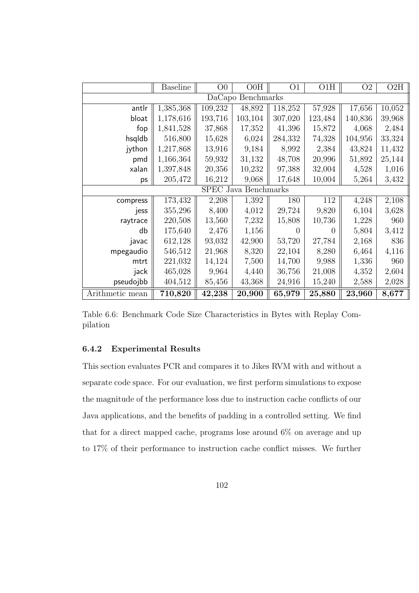|                             | <b>Baseline</b> | O <sub>0</sub> | OOH     | O <sub>1</sub>   | O1H     | O <sub>2</sub> | O2H    |
|-----------------------------|-----------------|----------------|---------|------------------|---------|----------------|--------|
| DaCapo Benchmarks           |                 |                |         |                  |         |                |        |
| antlr                       | 1,385,368       | 109,232        | 48,892  | 118,252          | 57,928  | 17,656         | 10,052 |
| bloat                       | 1,178,616       | 193,716        | 103,104 | 307,020          | 123,484 | 140,836        | 39,968 |
| fop                         | 1,841,528       | 37,868         | 17,352  | 41,396           | 15,872  | 4,068          | 2,484  |
| hsqldb                      | 516,800         | 15,628         | 6,024   | 284,332          | 74,328  | 104,956        | 33,324 |
| jython                      | 1,217,868       | 13,916         | 9,184   | 8,992            | 2,384   | 43,824         | 11,432 |
| pmd                         | 1,166,364       | 59,932         | 31,132  | 48,708           | 20,996  | 51,892         | 25,144 |
| xalan                       | 1,397,848       | 20,356         | 10,232  | 97,388           | 32,004  | 4,528          | 1,016  |
| ps                          | 205,472         | 16,212         | 9,068   | 17,648           | 10,004  | 5,264          | 3,432  |
| <b>SPEC Java Benchmarks</b> |                 |                |         |                  |         |                |        |
| compress                    | 173,432         | 2,208          | 1,392   | 180              | 112     | 4,248          | 2,108  |
| jess                        | 355,296         | 8,400          | 4,012   | 29,724           | 9,820   | 6,104          | 3,628  |
| raytrace                    | 220,508         | 13,560         | 7,232   | 15,808           | 10,736  | 1,228          | 960    |
| db                          | 175,640         | 2,476          | 1,156   | $\left( \right)$ | 0       | 5,804          | 3,412  |
| javac                       | 612,128         | 93,032         | 42,900  | 53,720           | 27,784  | 2,168          | 836    |
| mpegaudio                   | 546,512         | 21,968         | 8,320   | 22,104           | 8,280   | 6,464          | 4,116  |
| mtrt                        | 221,032         | 14,124         | 7,500   | 14,700           | 9,988   | 1,336          | 960    |
| jack                        | 465,028         | 9,964          | 4,440   | 36,756           | 21,008  | 4,352          | 2,604  |
| pseudojbb                   | 404,512         | 85,456         | 43,368  | 24,916           | 15,240  | 2,588          | 2,028  |
| Arithmetic mean             | 710,820         | 42,238         | 20,900  | 65,979           | 25,880  | 23,960         | 8,677  |

Table 6.6: Benchmark Code Size Characteristics in Bytes with Replay Compilation

### 6.4.2 Experimental Results

This section evaluates PCR and compares it to Jikes RVM with and without a separate code space. For our evaluation, we first perform simulations to expose the magnitude of the performance loss due to instruction cache conflicts of our Java applications, and the benefits of padding in a controlled setting. We find that for a direct mapped cache, programs lose around 6% on average and up to 17% of their performance to instruction cache conflict misses. We further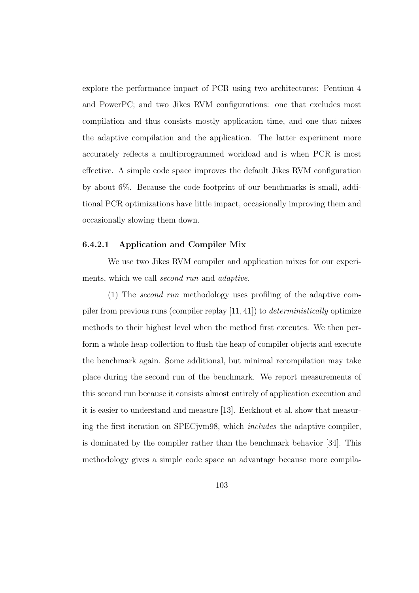explore the performance impact of PCR using two architectures: Pentium 4 and PowerPC; and two Jikes RVM configurations: one that excludes most compilation and thus consists mostly application time, and one that mixes the adaptive compilation and the application. The latter experiment more accurately reflects a multiprogrammed workload and is when PCR is most effective. A simple code space improves the default Jikes RVM configuration by about 6%. Because the code footprint of our benchmarks is small, additional PCR optimizations have little impact, occasionally improving them and occasionally slowing them down.

### 6.4.2.1 Application and Compiler Mix

We use two Jikes RVM compiler and application mixes for our experiments, which we call *second run* and *adaptive*.

(1) The second run methodology uses profiling of the adaptive compiler from previous runs (compiler replay [11, 41]) to deterministically optimize methods to their highest level when the method first executes. We then perform a whole heap collection to flush the heap of compiler objects and execute the benchmark again. Some additional, but minimal recompilation may take place during the second run of the benchmark. We report measurements of this second run because it consists almost entirely of application execution and it is easier to understand and measure [13]. Eeckhout et al. show that measuring the first iteration on SPECjvm98, which includes the adaptive compiler, is dominated by the compiler rather than the benchmark behavior [34]. This methodology gives a simple code space an advantage because more compila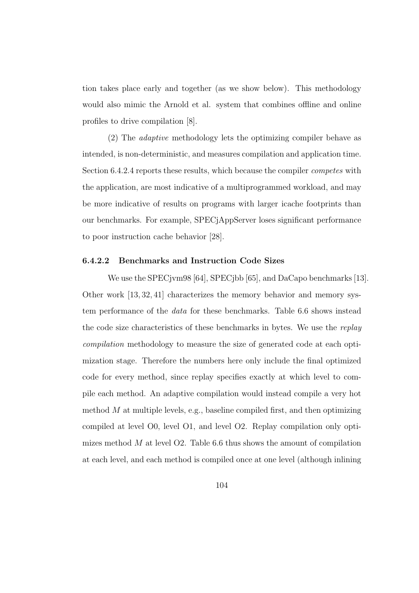tion takes place early and together (as we show below). This methodology would also mimic the Arnold et al. system that combines offline and online profiles to drive compilation [8].

(2) The adaptive methodology lets the optimizing compiler behave as intended, is non-deterministic, and measures compilation and application time. Section 6.4.2.4 reports these results, which because the compiler competes with the application, are most indicative of a multiprogrammed workload, and may be more indicative of results on programs with larger icache footprints than our benchmarks. For example, SPECjAppServer loses significant performance to poor instruction cache behavior [28].

### 6.4.2.2 Benchmarks and Instruction Code Sizes

We use the SPECjvm98 [64], SPECjbb [65], and DaCapo benchmarks [13]. Other work [13, 32, 41] characterizes the memory behavior and memory system performance of the data for these benchmarks. Table 6.6 shows instead the code size characteristics of these benchmarks in bytes. We use the replay compilation methodology to measure the size of generated code at each optimization stage. Therefore the numbers here only include the final optimized code for every method, since replay specifies exactly at which level to compile each method. An adaptive compilation would instead compile a very hot method  $M$  at multiple levels, e.g., baseline compiled first, and then optimizing compiled at level O0, level O1, and level O2. Replay compilation only optimizes method  $M$  at level O2. Table 6.6 thus shows the amount of compilation at each level, and each method is compiled once at one level (although inlining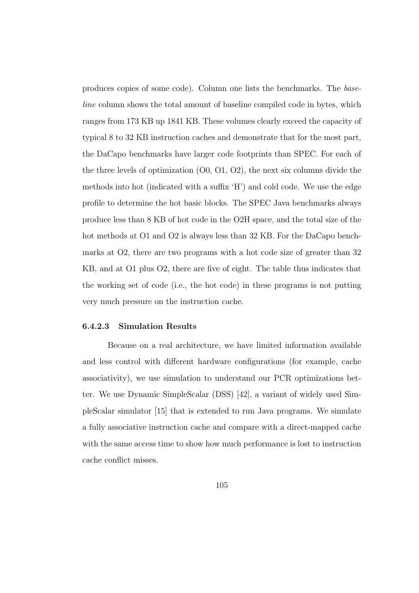produces copies of some code). Column one lists the benchmarks. The baseline column shows the total amount of baseline compiled code in bytes, which ranges from 173 KB up 1841 KB. These volumes clearly exceed the capacity of typical 8 to 32 KB instruction caches and demonstrate that for the most part, the DaCapo benchmarks have larger code footprints than SPEC. For each of the three levels of optimization (O0, O1, O2), the next six columns divide the methods into hot (indicated with a suffix 'H') and cold code. We use the edge profile to determine the hot basic blocks. The SPEC Java benchmarks always produce less than 8 KB of hot code in the O2H space, and the total size of the hot methods at O1 and O2 is always less than 32 KB. For the DaCapo benchmarks at O2, there are two programs with a hot code size of greater than 32 KB, and at O1 plus O2, there are five of eight. The table thus indicates that the working set of code (i.e., the hot code) in these programs is not putting very much pressure on the instruction cache.

### 6.4.2.3 Simulation Results

Because on a real architecture, we have limited information available and less control with different hardware configurations (for example, cache associativity), we use simulation to understand our PCR optimizations better. We use Dynamic SimpleScalar (DSS) [42], a variant of widely used SimpleScalar simulator [15] that is extended to run Java programs. We simulate a fully associative instruction cache and compare with a direct-mapped cache with the same access time to show how much performance is lost to instruction cache conflict misses.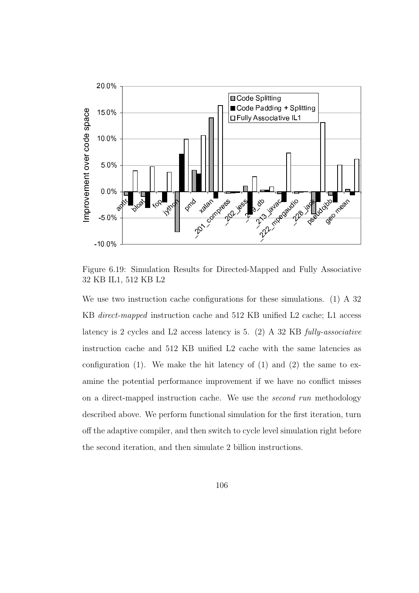

Figure 6.19: Simulation Results for Directed-Mapped and Fully Associative 32 KB IL1, 512 KB L2

We use two instruction cache configurations for these simulations. (1) A 32 KB direct-mapped instruction cache and 512 KB unified L2 cache; L1 access latency is 2 cycles and L2 access latency is 5. (2) A 32 KB fully-associative instruction cache and 512 KB unified L2 cache with the same latencies as configuration  $(1)$ . We make the hit latency of  $(1)$  and  $(2)$  the same to examine the potential performance improvement if we have no conflict misses on a direct-mapped instruction cache. We use the second run methodology described above. We perform functional simulation for the first iteration, turn off the adaptive compiler, and then switch to cycle level simulation right before the second iteration, and then simulate 2 billion instructions.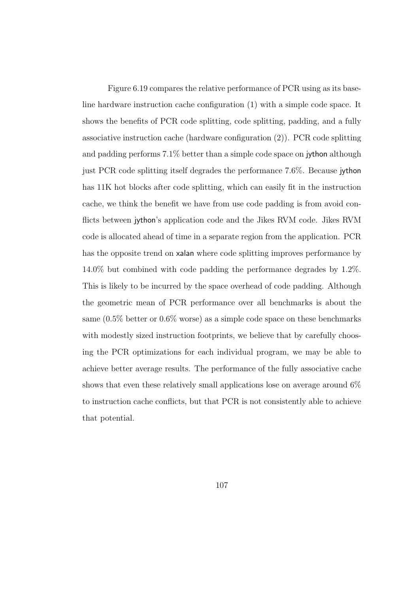Figure 6.19 compares the relative performance of PCR using as its baseline hardware instruction cache configuration (1) with a simple code space. It shows the benefits of PCR code splitting, code splitting, padding, and a fully associative instruction cache (hardware configuration (2)). PCR code splitting and padding performs 7.1% better than a simple code space on jython although just PCR code splitting itself degrades the performance 7.6%. Because jython has 11K hot blocks after code splitting, which can easily fit in the instruction cache, we think the benefit we have from use code padding is from avoid conflicts between jython's application code and the Jikes RVM code. Jikes RVM code is allocated ahead of time in a separate region from the application. PCR has the opposite trend on xalan where code splitting improves performance by 14.0% but combined with code padding the performance degrades by 1.2%. This is likely to be incurred by the space overhead of code padding. Although the geometric mean of PCR performance over all benchmarks is about the same (0.5% better or 0.6% worse) as a simple code space on these benchmarks with modestly sized instruction footprints, we believe that by carefully choosing the PCR optimizations for each individual program, we may be able to achieve better average results. The performance of the fully associative cache shows that even these relatively small applications lose on average around 6% to instruction cache conflicts, but that PCR is not consistently able to achieve that potential.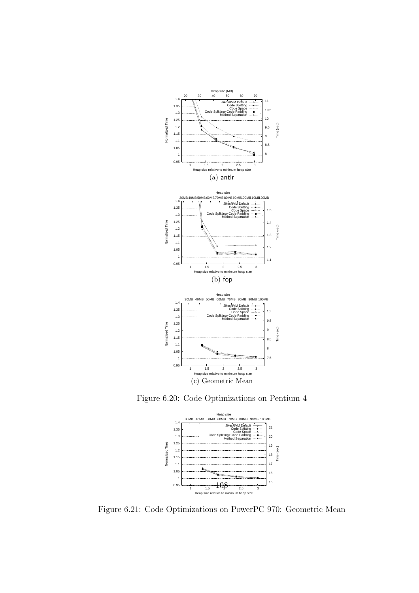

Figure 6.20: Code Optimizations on Pentium 4



Figure 6.21: Code Optimizations on PowerPC 970: Geometric Mean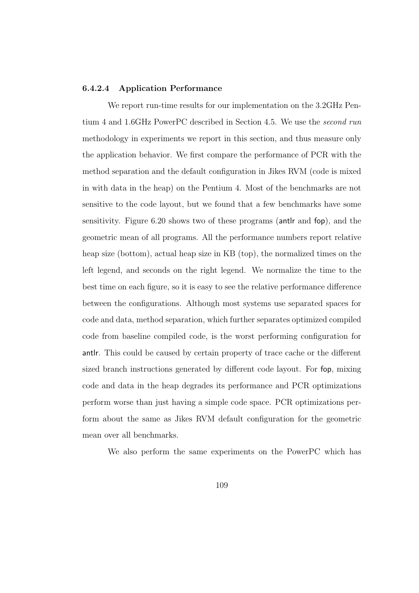### 6.4.2.4 Application Performance

We report run-time results for our implementation on the 3.2GHz Pentium 4 and 1.6GHz PowerPC described in Section 4.5. We use the second run methodology in experiments we report in this section, and thus measure only the application behavior. We first compare the performance of PCR with the method separation and the default configuration in Jikes RVM (code is mixed in with data in the heap) on the Pentium 4. Most of the benchmarks are not sensitive to the code layout, but we found that a few benchmarks have some sensitivity. Figure 6.20 shows two of these programs (antlr and fop), and the geometric mean of all programs. All the performance numbers report relative heap size (bottom), actual heap size in KB (top), the normalized times on the left legend, and seconds on the right legend. We normalize the time to the best time on each figure, so it is easy to see the relative performance difference between the configurations. Although most systems use separated spaces for code and data, method separation, which further separates optimized compiled code from baseline compiled code, is the worst performing configuration for antlr. This could be caused by certain property of trace cache or the different sized branch instructions generated by different code layout. For fop, mixing code and data in the heap degrades its performance and PCR optimizations perform worse than just having a simple code space. PCR optimizations perform about the same as Jikes RVM default configuration for the geometric mean over all benchmarks.

We also perform the same experiments on the PowerPC which has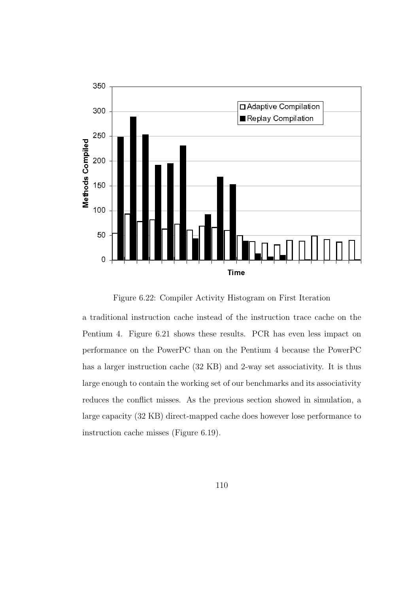

Figure 6.22: Compiler Activity Histogram on First Iteration

a traditional instruction cache instead of the instruction trace cache on the Pentium 4. Figure 6.21 shows these results. PCR has even less impact on performance on the PowerPC than on the Pentium 4 because the PowerPC has a larger instruction cache (32 KB) and 2-way set associativity. It is thus large enough to contain the working set of our benchmarks and its associativity reduces the conflict misses. As the previous section showed in simulation, a large capacity (32 KB) direct-mapped cache does however lose performance to instruction cache misses (Figure 6.19).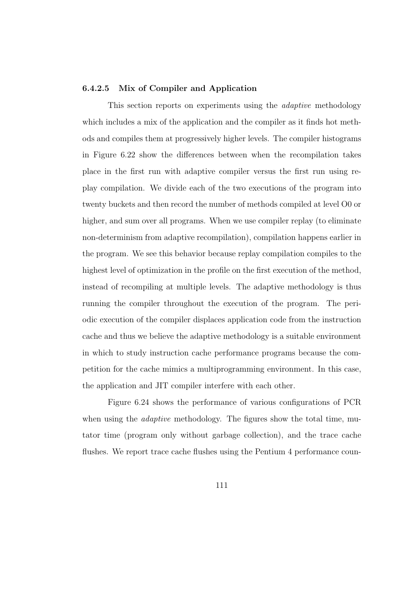### 6.4.2.5 Mix of Compiler and Application

This section reports on experiments using the *adaptive* methodology which includes a mix of the application and the compiler as it finds hot methods and compiles them at progressively higher levels. The compiler histograms in Figure 6.22 show the differences between when the recompilation takes place in the first run with adaptive compiler versus the first run using replay compilation. We divide each of the two executions of the program into twenty buckets and then record the number of methods compiled at level O0 or higher, and sum over all programs. When we use compiler replay (to eliminate non-determinism from adaptive recompilation), compilation happens earlier in the program. We see this behavior because replay compilation compiles to the highest level of optimization in the profile on the first execution of the method, instead of recompiling at multiple levels. The adaptive methodology is thus running the compiler throughout the execution of the program. The periodic execution of the compiler displaces application code from the instruction cache and thus we believe the adaptive methodology is a suitable environment in which to study instruction cache performance programs because the competition for the cache mimics a multiprogramming environment. In this case, the application and JIT compiler interfere with each other.

Figure 6.24 shows the performance of various configurations of PCR when using the *adaptive* methodology. The figures show the total time, mutator time (program only without garbage collection), and the trace cache flushes. We report trace cache flushes using the Pentium 4 performance coun-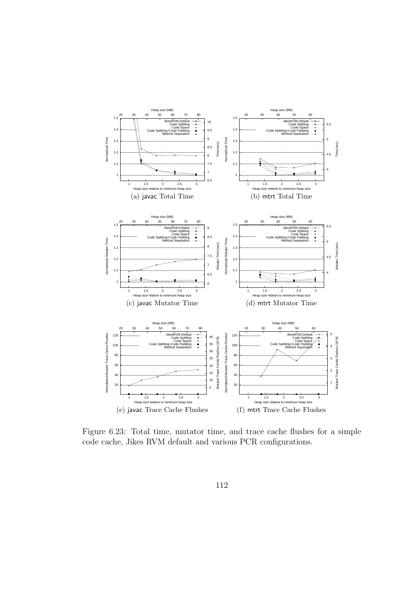

Figure 6.23: Total time, mutator time, and trace cache flushes for a simple code cache, Jikes RVM default and various PCR configurations.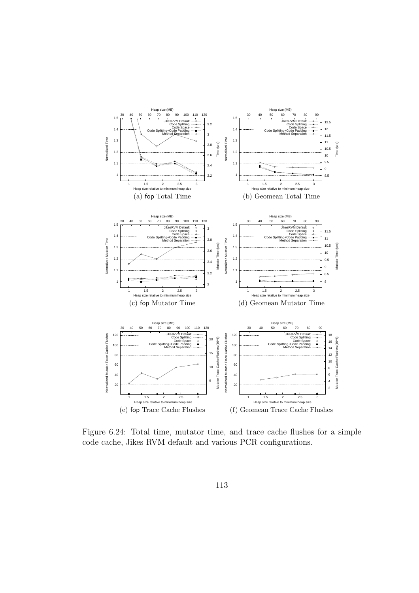

Figure 6.24: Total time, mutator time, and trace cache flushes for a simple code cache, Jikes RVM default and various PCR configurations.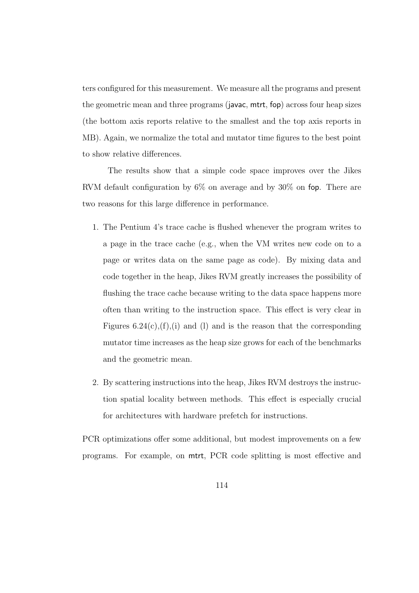ters configured for this measurement. We measure all the programs and present the geometric mean and three programs (javac, mtrt, fop) across four heap sizes (the bottom axis reports relative to the smallest and the top axis reports in MB). Again, we normalize the total and mutator time figures to the best point to show relative differences.

The results show that a simple code space improves over the Jikes RVM default configuration by 6% on average and by 30% on fop. There are two reasons for this large difference in performance.

- 1. The Pentium 4's trace cache is flushed whenever the program writes to a page in the trace cache (e.g., when the VM writes new code on to a page or writes data on the same page as code). By mixing data and code together in the heap, Jikes RVM greatly increases the possibility of flushing the trace cache because writing to the data space happens more often than writing to the instruction space. This effect is very clear in Figures  $6.24(c)$ , (f), (i) and (l) and is the reason that the corresponding mutator time increases as the heap size grows for each of the benchmarks and the geometric mean.
- 2. By scattering instructions into the heap, Jikes RVM destroys the instruction spatial locality between methods. This effect is especially crucial for architectures with hardware prefetch for instructions.

PCR optimizations offer some additional, but modest improvements on a few programs. For example, on mtrt, PCR code splitting is most effective and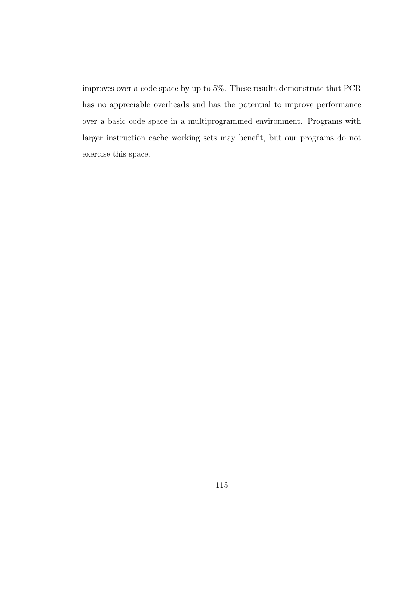improves over a code space by up to 5%. These results demonstrate that PCR has no appreciable overheads and has the potential to improve performance over a basic code space in a multiprogrammed environment. Programs with larger instruction cache working sets may benefit, but our programs do not exercise this space.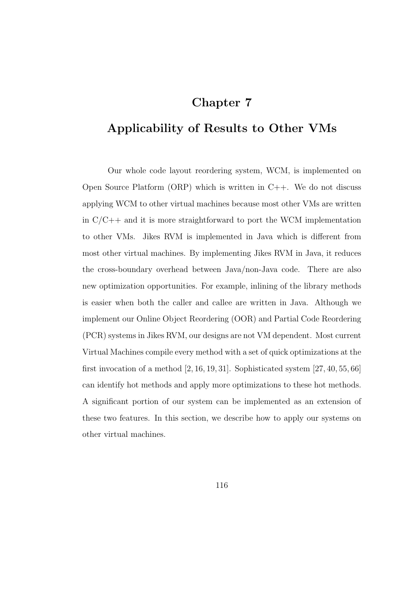## Chapter 7

# Applicability of Results to Other VMs

Our whole code layout reordering system, WCM, is implemented on Open Source Platform  $(ORP)$  which is written in  $C++$ . We do not discuss applying WCM to other virtual machines because most other VMs are written in  $C/C++$  and it is more straightforward to port the WCM implementation to other VMs. Jikes RVM is implemented in Java which is different from most other virtual machines. By implementing Jikes RVM in Java, it reduces the cross-boundary overhead between Java/non-Java code. There are also new optimization opportunities. For example, inlining of the library methods is easier when both the caller and callee are written in Java. Although we implement our Online Object Reordering (OOR) and Partial Code Reordering (PCR) systems in Jikes RVM, our designs are not VM dependent. Most current Virtual Machines compile every method with a set of quick optimizations at the first invocation of a method  $[2, 16, 19, 31]$ . Sophisticated system  $[27, 40, 55, 66]$ can identify hot methods and apply more optimizations to these hot methods. A significant portion of our system can be implemented as an extension of these two features. In this section, we describe how to apply our systems on other virtual machines.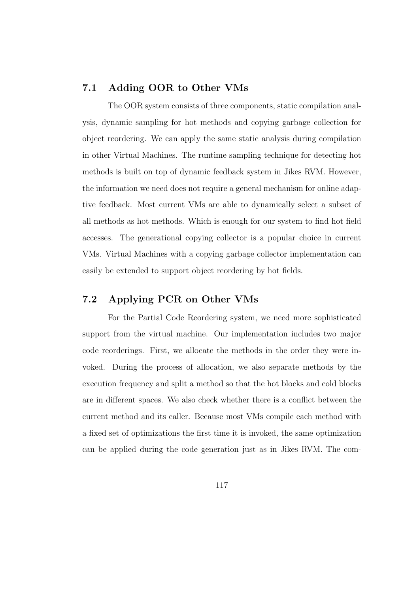### 7.1 Adding OOR to Other VMs

The OOR system consists of three components, static compilation analysis, dynamic sampling for hot methods and copying garbage collection for object reordering. We can apply the same static analysis during compilation in other Virtual Machines. The runtime sampling technique for detecting hot methods is built on top of dynamic feedback system in Jikes RVM. However, the information we need does not require a general mechanism for online adaptive feedback. Most current VMs are able to dynamically select a subset of all methods as hot methods. Which is enough for our system to find hot field accesses. The generational copying collector is a popular choice in current VMs. Virtual Machines with a copying garbage collector implementation can easily be extended to support object reordering by hot fields.

### 7.2 Applying PCR on Other VMs

For the Partial Code Reordering system, we need more sophisticated support from the virtual machine. Our implementation includes two major code reorderings. First, we allocate the methods in the order they were invoked. During the process of allocation, we also separate methods by the execution frequency and split a method so that the hot blocks and cold blocks are in different spaces. We also check whether there is a conflict between the current method and its caller. Because most VMs compile each method with a fixed set of optimizations the first time it is invoked, the same optimization can be applied during the code generation just as in Jikes RVM. The com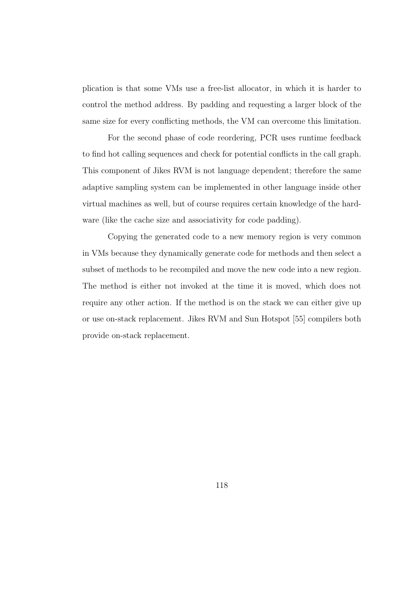plication is that some VMs use a free-list allocator, in which it is harder to control the method address. By padding and requesting a larger block of the same size for every conflicting methods, the VM can overcome this limitation.

For the second phase of code reordering, PCR uses runtime feedback to find hot calling sequences and check for potential conflicts in the call graph. This component of Jikes RVM is not language dependent; therefore the same adaptive sampling system can be implemented in other language inside other virtual machines as well, but of course requires certain knowledge of the hardware (like the cache size and associativity for code padding).

Copying the generated code to a new memory region is very common in VMs because they dynamically generate code for methods and then select a subset of methods to be recompiled and move the new code into a new region. The method is either not invoked at the time it is moved, which does not require any other action. If the method is on the stack we can either give up or use on-stack replacement. Jikes RVM and Sun Hotspot [55] compilers both provide on-stack replacement.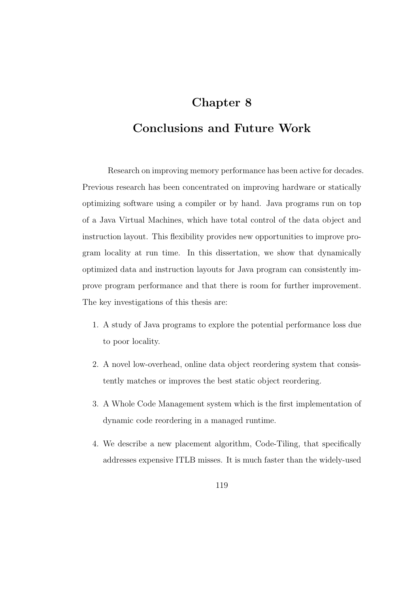# Chapter 8

## Conclusions and Future Work

Research on improving memory performance has been active for decades. Previous research has been concentrated on improving hardware or statically optimizing software using a compiler or by hand. Java programs run on top of a Java Virtual Machines, which have total control of the data object and instruction layout. This flexibility provides new opportunities to improve program locality at run time. In this dissertation, we show that dynamically optimized data and instruction layouts for Java program can consistently improve program performance and that there is room for further improvement. The key investigations of this thesis are:

- 1. A study of Java programs to explore the potential performance loss due to poor locality.
- 2. A novel low-overhead, online data object reordering system that consistently matches or improves the best static object reordering.
- 3. A Whole Code Management system which is the first implementation of dynamic code reordering in a managed runtime.
- 4. We describe a new placement algorithm, Code-Tiling, that specifically addresses expensive ITLB misses. It is much faster than the widely-used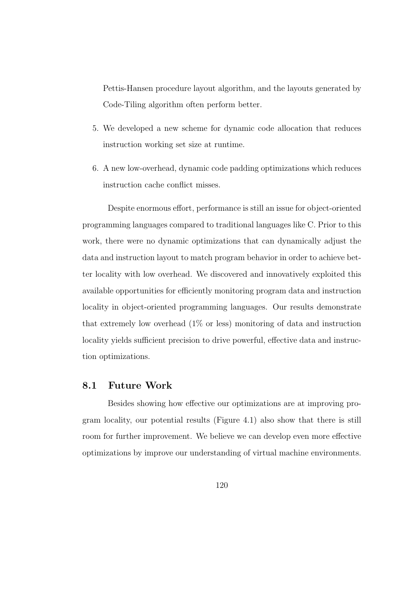Pettis-Hansen procedure layout algorithm, and the layouts generated by Code-Tiling algorithm often perform better.

- 5. We developed a new scheme for dynamic code allocation that reduces instruction working set size at runtime.
- 6. A new low-overhead, dynamic code padding optimizations which reduces instruction cache conflict misses.

Despite enormous effort, performance is still an issue for object-oriented programming languages compared to traditional languages like C. Prior to this work, there were no dynamic optimizations that can dynamically adjust the data and instruction layout to match program behavior in order to achieve better locality with low overhead. We discovered and innovatively exploited this available opportunities for efficiently monitoring program data and instruction locality in object-oriented programming languages. Our results demonstrate that extremely low overhead  $(1\% \text{ or } \text{less})$  monitoring of data and instruction locality yields sufficient precision to drive powerful, effective data and instruction optimizations.

### 8.1 Future Work

Besides showing how effective our optimizations are at improving program locality, our potential results (Figure 4.1) also show that there is still room for further improvement. We believe we can develop even more effective optimizations by improve our understanding of virtual machine environments.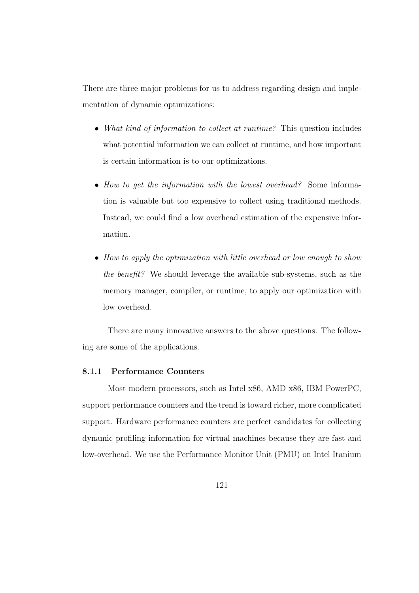There are three major problems for us to address regarding design and implementation of dynamic optimizations:

- What kind of information to collect at runtime? This question includes what potential information we can collect at runtime, and how important is certain information is to our optimizations.
- How to get the information with the lowest overhead? Some information is valuable but too expensive to collect using traditional methods. Instead, we could find a low overhead estimation of the expensive information.
- How to apply the optimization with little overhead or low enough to show the benefit? We should leverage the available sub-systems, such as the memory manager, compiler, or runtime, to apply our optimization with low overhead.

There are many innovative answers to the above questions. The following are some of the applications.

### 8.1.1 Performance Counters

Most modern processors, such as Intel x86, AMD x86, IBM PowerPC, support performance counters and the trend is toward richer, more complicated support. Hardware performance counters are perfect candidates for collecting dynamic profiling information for virtual machines because they are fast and low-overhead. We use the Performance Monitor Unit (PMU) on Intel Itanium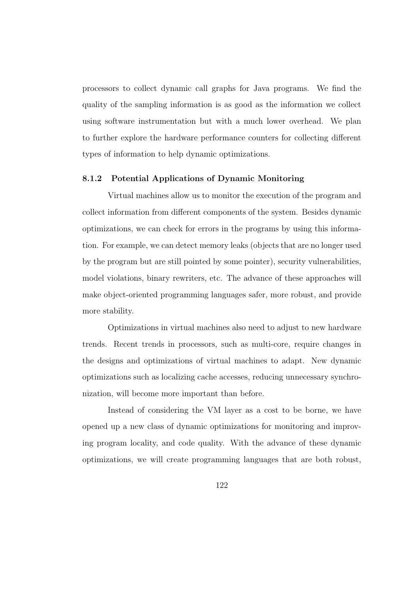processors to collect dynamic call graphs for Java programs. We find the quality of the sampling information is as good as the information we collect using software instrumentation but with a much lower overhead. We plan to further explore the hardware performance counters for collecting different types of information to help dynamic optimizations.

### 8.1.2 Potential Applications of Dynamic Monitoring

Virtual machines allow us to monitor the execution of the program and collect information from different components of the system. Besides dynamic optimizations, we can check for errors in the programs by using this information. For example, we can detect memory leaks (objects that are no longer used by the program but are still pointed by some pointer), security vulnerabilities, model violations, binary rewriters, etc. The advance of these approaches will make object-oriented programming languages safer, more robust, and provide more stability.

Optimizations in virtual machines also need to adjust to new hardware trends. Recent trends in processors, such as multi-core, require changes in the designs and optimizations of virtual machines to adapt. New dynamic optimizations such as localizing cache accesses, reducing unnecessary synchronization, will become more important than before.

Instead of considering the VM layer as a cost to be borne, we have opened up a new class of dynamic optimizations for monitoring and improving program locality, and code quality. With the advance of these dynamic optimizations, we will create programming languages that are both robust,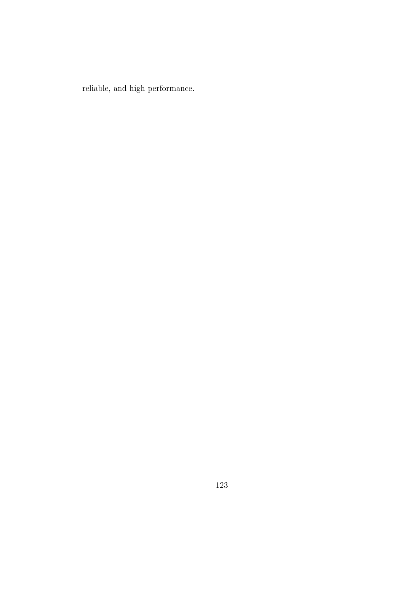reliable, and high performance.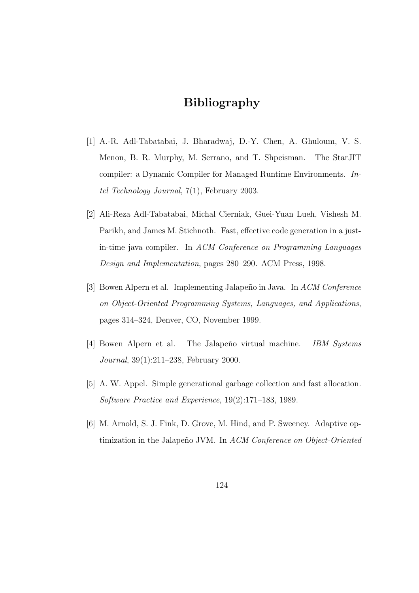# Bibliography

- [1] A.-R. Adl-Tabatabai, J. Bharadwaj, D.-Y. Chen, A. Ghuloum, V. S. Menon, B. R. Murphy, M. Serrano, and T. Shpeisman. The StarJIT compiler: a Dynamic Compiler for Managed Runtime Environments. Intel Technology Journal, 7(1), February 2003.
- [2] Ali-Reza Adl-Tabatabai, Michal Cierniak, Guei-Yuan Lueh, Vishesh M. Parikh, and James M. Stichnoth. Fast, effective code generation in a justin-time java compiler. In ACM Conference on Programming Languages Design and Implementation, pages 280–290. ACM Press, 1998.
- [3] Bowen Alpern et al. Implementing Jalapeño in Java. In ACM Conference on Object-Oriented Programming Systems, Languages, and Applications, pages 314–324, Denver, CO, November 1999.
- [4] Bowen Alpern et al. The Jalapeño virtual machine. *IBM Systems* Journal, 39(1):211–238, February 2000.
- [5] A. W. Appel. Simple generational garbage collection and fast allocation. Software Practice and Experience, 19(2):171–183, 1989.
- [6] M. Arnold, S. J. Fink, D. Grove, M. Hind, and P. Sweeney. Adaptive optimization in the Jalapeño JVM. In ACM Conference on Object-Oriented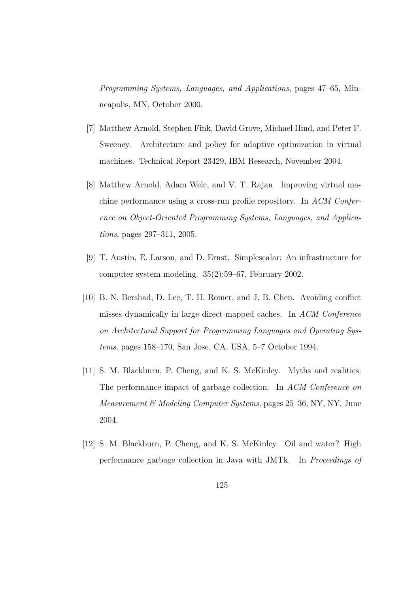Programming Systems, Languages, and Applications, pages 47–65, Minneapolis, MN, October 2000.

- [7] Matthew Arnold, Stephen Fink, David Grove, Michael Hind, and Peter F. Sweeney. Architecture and policy for adaptive optimization in virtual machines. Technical Report 23429, IBM Research, November 2004.
- [8] Matthew Arnold, Adam Welc, and V. T. Rajan. Improving virtual machine performance using a cross-run profile repository. In ACM Conference on Object-Oriented Programming Systems, Languages, and Applications, pages 297–311, 2005.
- [9] T. Austin, E. Larson, and D. Ernst. Simplescalar: An infrastructure for computer system modeling. 35(2):59–67, February 2002.
- [10] B. N. Bershad, D. Lee, T. H. Romer, and J. B. Chen. Avoiding conflict misses dynamically in large direct-mapped caches. In ACM Conference on Architectural Support for Programming Languages and Operating Systems, pages 158–170, San Jose, CA, USA, 5–7 October 1994.
- [11] S. M. Blackburn, P. Cheng, and K. S. McKinley. Myths and realities: The performance impact of garbage collection. In ACM Conference on Measurement & Modeling Computer Systems, pages 25–36, NY, NY, June 2004.
- [12] S. M. Blackburn, P. Cheng, and K. S. McKinley. Oil and water? High performance garbage collection in Java with JMTk. In Proceedings of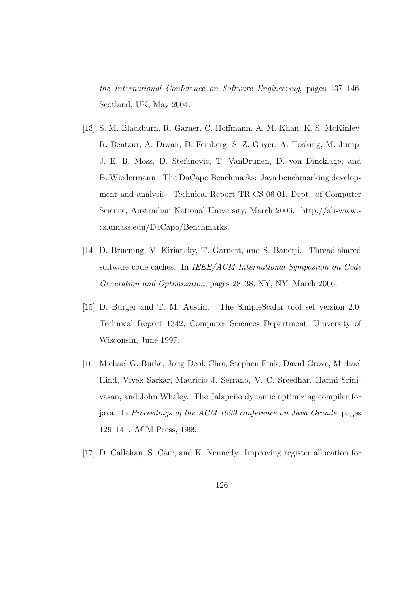the International Conference on Software Engineering, pages 137–146, Scotland, UK, May 2004.

- [13] S. M. Blackburn, R. Garner, C. Hoffmann, A. M. Khan, K. S. McKinley, R. Bentzur, A. Diwan, D. Feinberg, S. Z. Guyer, A. Hosking, M. Jump, J. E. B. Moss, D. Stefanović, T. VanDrunen, D. von Dincklage, and B. Wiedermann. The DaCapo Benchmarks: Java benchmarking development and analysis. Technical Report TR-CS-06-01, Dept. of Computer Science, Austrailian National University, March 2006. http://ali-www. cs.umass.edu/DaCapo/Benchmarks.
- [14] D. Bruening, V. Kiriansky, T. Garnett, and S. Banerji. Thread-shared software code caches. In IEEE/ACM International Symposium on Code Generation and Optimization, pages 28–38, NY, NY, March 2006.
- [15] D. Burger and T. M. Austin. The SimpleScalar tool set version 2.0. Technical Report 1342, Computer Sciences Department, University of Wisconsin, June 1997.
- [16] Michael G. Burke, Jong-Deok Choi, Stephen Fink, David Grove, Michael Hind, Vivek Sarkar, Mauricio J. Serrano, V. C. Sreedhar, Harini Srinivasan, and John Whaley. The Jalapeño dynamic optimizing compiler for java. In Proceedings of the ACM 1999 conference on Java Grande, pages 129–141. ACM Press, 1999.
- [17] D. Callahan, S. Carr, and K. Kennedy. Improving register allocation for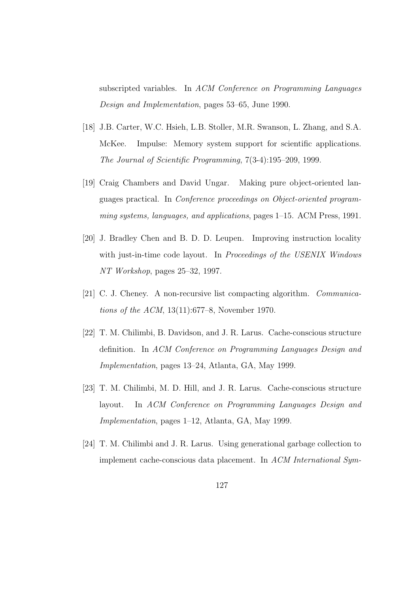subscripted variables. In ACM Conference on Programming Languages Design and Implementation, pages 53–65, June 1990.

- [18] J.B. Carter, W.C. Hsieh, L.B. Stoller, M.R. Swanson, L. Zhang, and S.A. McKee. Impulse: Memory system support for scientific applications. The Journal of Scientific Programming, 7(3-4):195–209, 1999.
- [19] Craig Chambers and David Ungar. Making pure object-oriented languages practical. In Conference proceedings on Object-oriented programming systems, languages, and applications, pages 1–15. ACM Press, 1991.
- [20] J. Bradley Chen and B. D. D. Leupen. Improving instruction locality with just-in-time code layout. In *Proceedings of the USENIX Windows* NT Workshop, pages 25–32, 1997.
- [21] C. J. Cheney. A non-recursive list compacting algorithm. Communications of the ACM, 13(11):677–8, November 1970.
- [22] T. M. Chilimbi, B. Davidson, and J. R. Larus. Cache-conscious structure definition. In ACM Conference on Programming Languages Design and Implementation, pages 13–24, Atlanta, GA, May 1999.
- [23] T. M. Chilimbi, M. D. Hill, and J. R. Larus. Cache-conscious structure layout. In ACM Conference on Programming Languages Design and Implementation, pages 1–12, Atlanta, GA, May 1999.
- [24] T. M. Chilimbi and J. R. Larus. Using generational garbage collection to implement cache-conscious data placement. In ACM International Sym-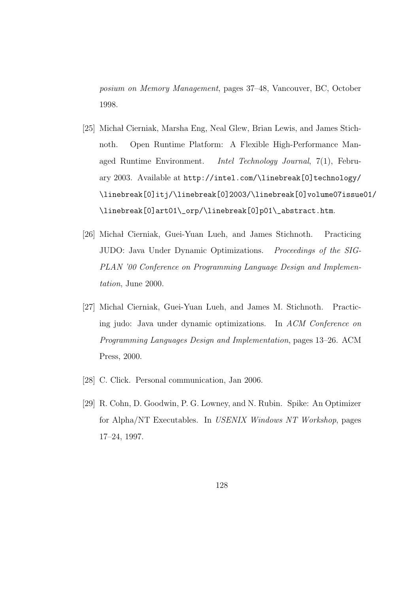posium on Memory Management, pages 37–48, Vancouver, BC, October 1998.

- [25] Michał Cierniak, Marsha Eng, Neal Glew, Brian Lewis, and James Stichnoth. Open Runtime Platform: A Flexible High-Performance Managed Runtime Environment. Intel Technology Journal, 7(1), February 2003. Available at http://intel.com/\linebreak[0]technology/ \linebreak[0]itj/\linebreak[0]2003/\linebreak[0]volume07issue01/ \linebreak[0]art01\\_orp/\linebreak[0]p01\\_abstract.htm.
- [26] Michał Cierniak, Guei-Yuan Lueh, and James Stichnoth. Practicing JUDO: Java Under Dynamic Optimizations. Proceedings of the SIG-PLAN '00 Conference on Programming Language Design and Implementation, June 2000.
- [27] Michal Cierniak, Guei-Yuan Lueh, and James M. Stichnoth. Practicing judo: Java under dynamic optimizations. In ACM Conference on Programming Languages Design and Implementation, pages 13–26. ACM Press, 2000.
- [28] C. Click. Personal communication, Jan 2006.
- [29] R. Cohn, D. Goodwin, P. G. Lowney, and N. Rubin. Spike: An Optimizer for Alpha/NT Executables. In USENIX Windows NT Workshop, pages 17–24, 1997.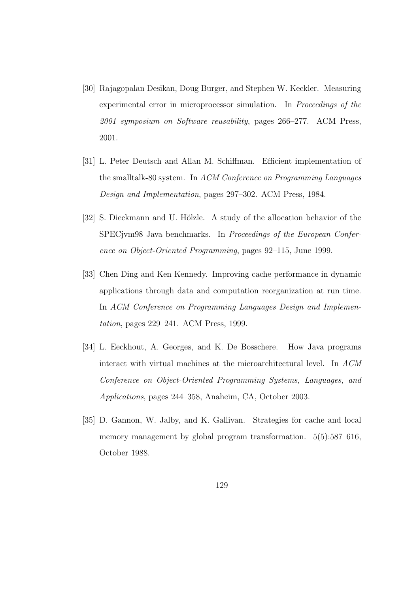- [30] Rajagopalan Desikan, Doug Burger, and Stephen W. Keckler. Measuring experimental error in microprocessor simulation. In Proceedings of the 2001 symposium on Software reusability, pages 266–277. ACM Press, 2001.
- [31] L. Peter Deutsch and Allan M. Schiffman. Efficient implementation of the smalltalk-80 system. In ACM Conference on Programming Languages Design and Implementation, pages 297–302. ACM Press, 1984.
- [32] S. Dieckmann and U. Hölzle. A study of the allocation behavior of the SPECjvm98 Java benchmarks. In Proceedings of the European Conference on Object-Oriented Programming, pages 92–115, June 1999.
- [33] Chen Ding and Ken Kennedy. Improving cache performance in dynamic applications through data and computation reorganization at run time. In ACM Conference on Programming Languages Design and Implementation, pages 229–241. ACM Press, 1999.
- [34] L. Eeckhout, A. Georges, and K. De Bosschere. How Java programs interact with virtual machines at the microarchitectural level. In ACM Conference on Object-Oriented Programming Systems, Languages, and Applications, pages 244–358, Anaheim, CA, October 2003.
- [35] D. Gannon, W. Jalby, and K. Gallivan. Strategies for cache and local memory management by global program transformation. 5(5):587–616, October 1988.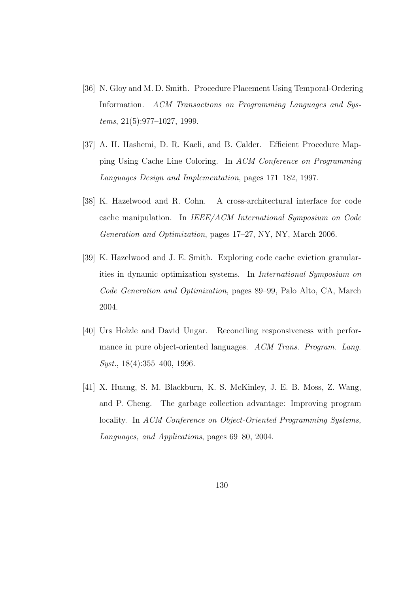- [36] N. Gloy and M. D. Smith. Procedure Placement Using Temporal-Ordering Information. ACM Transactions on Programming Languages and Systems, 21(5):977–1027, 1999.
- [37] A. H. Hashemi, D. R. Kaeli, and B. Calder. Efficient Procedure Mapping Using Cache Line Coloring. In ACM Conference on Programming Languages Design and Implementation, pages 171–182, 1997.
- [38] K. Hazelwood and R. Cohn. A cross-architectural interface for code cache manipulation. In IEEE/ACM International Symposium on Code Generation and Optimization, pages 17–27, NY, NY, March 2006.
- [39] K. Hazelwood and J. E. Smith. Exploring code cache eviction granularities in dynamic optimization systems. In International Symposium on Code Generation and Optimization, pages 89–99, Palo Alto, CA, March 2004.
- [40] Urs Holzle and David Ungar. Reconciling responsiveness with performance in pure object-oriented languages. ACM Trans. Program. Lang. Syst., 18(4):355–400, 1996.
- [41] X. Huang, S. M. Blackburn, K. S. McKinley, J. E. B. Moss, Z. Wang, and P. Cheng. The garbage collection advantage: Improving program locality. In ACM Conference on Object-Oriented Programming Systems, Languages, and Applications, pages 69–80, 2004.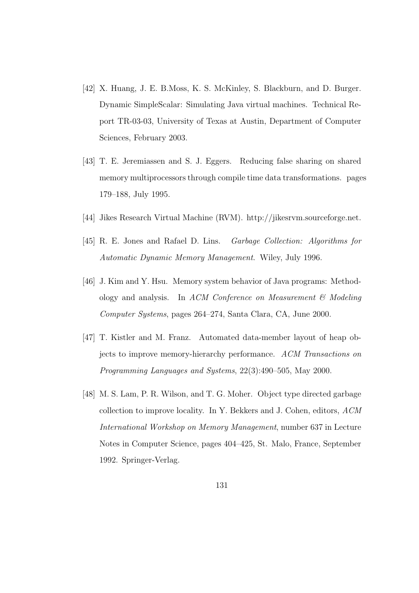- [42] X. Huang, J. E. B.Moss, K. S. McKinley, S. Blackburn, and D. Burger. Dynamic SimpleScalar: Simulating Java virtual machines. Technical Report TR-03-03, University of Texas at Austin, Department of Computer Sciences, February 2003.
- [43] T. E. Jeremiassen and S. J. Eggers. Reducing false sharing on shared memory multiprocessors through compile time data transformations. pages 179–188, July 1995.
- [44] Jikes Research Virtual Machine (RVM). http://jikesrvm.sourceforge.net.
- [45] R. E. Jones and Rafael D. Lins. Garbage Collection: Algorithms for Automatic Dynamic Memory Management. Wiley, July 1996.
- [46] J. Kim and Y. Hsu. Memory system behavior of Java programs: Methodology and analysis. In ACM Conference on Measurement  $\mathcal{C}$  Modeling Computer Systems, pages 264–274, Santa Clara, CA, June 2000.
- [47] T. Kistler and M. Franz. Automated data-member layout of heap objects to improve memory-hierarchy performance. ACM Transactions on Programming Languages and Systems, 22(3):490–505, May 2000.
- [48] M. S. Lam, P. R. Wilson, and T. G. Moher. Object type directed garbage collection to improve locality. In Y. Bekkers and J. Cohen, editors, ACM International Workshop on Memory Management, number 637 in Lecture Notes in Computer Science, pages 404–425, St. Malo, France, September 1992. Springer-Verlag.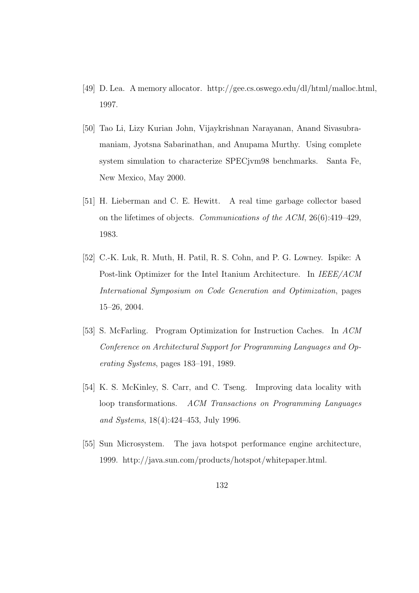- [49] D. Lea. A memory allocator. http://gee.cs.oswego.edu/dl/html/malloc.html, 1997.
- [50] Tao Li, Lizy Kurian John, Vijaykrishnan Narayanan, Anand Sivasubramaniam, Jyotsna Sabarinathan, and Anupama Murthy. Using complete system simulation to characterize SPECjvm98 benchmarks. Santa Fe, New Mexico, May 2000.
- [51] H. Lieberman and C. E. Hewitt. A real time garbage collector based on the lifetimes of objects. Communications of the ACM, 26(6):419–429, 1983.
- [52] C.-K. Luk, R. Muth, H. Patil, R. S. Cohn, and P. G. Lowney. Ispike: A Post-link Optimizer for the Intel Itanium Architecture. In IEEE/ACM International Symposium on Code Generation and Optimization, pages 15–26, 2004.
- [53] S. McFarling. Program Optimization for Instruction Caches. In ACM Conference on Architectural Support for Programming Languages and Operating Systems, pages 183–191, 1989.
- [54] K. S. McKinley, S. Carr, and C. Tseng. Improving data locality with loop transformations. ACM Transactions on Programming Languages and Systems, 18(4):424–453, July 1996.
- [55] Sun Microsystem. The java hotspot performance engine architecture, 1999. http://java.sun.com/products/hotspot/whitepaper.html.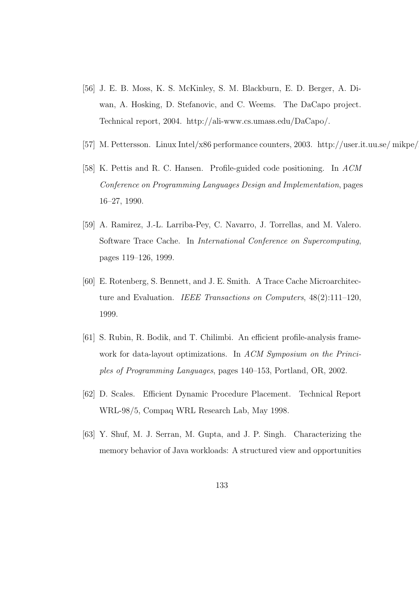- [56] J. E. B. Moss, K. S. McKinley, S. M. Blackburn, E. D. Berger, A. Diwan, A. Hosking, D. Stefanovic, and C. Weems. The DaCapo project. Technical report, 2004. http://ali-www.cs.umass.edu/DaCapo/.
- [57] M. Pettersson. Linux Intel/x86 performance counters, 2003. http://user.it.uu.se/mikpe/
- [58] K. Pettis and R. C. Hansen. Profile-guided code positioning. In ACM Conference on Programming Languages Design and Implementation, pages 16–27, 1990.
- [59] A. Ramirez, J.-L. Larriba-Pey, C. Navarro, J. Torrellas, and M. Valero. Software Trace Cache. In International Conference on Supercomputing, pages 119–126, 1999.
- [60] E. Rotenberg, S. Bennett, and J. E. Smith. A Trace Cache Microarchitecture and Evaluation. IEEE Transactions on Computers, 48(2):111–120, 1999.
- [61] S. Rubin, R. Bodik, and T. Chilimbi. An efficient profile-analysis framework for data-layout optimizations. In ACM Symposium on the Principles of Programming Languages, pages 140–153, Portland, OR, 2002.
- [62] D. Scales. Efficient Dynamic Procedure Placement. Technical Report WRL-98/5, Compaq WRL Research Lab, May 1998.
- [63] Y. Shuf, M. J. Serran, M. Gupta, and J. P. Singh. Characterizing the memory behavior of Java workloads: A structured view and opportunities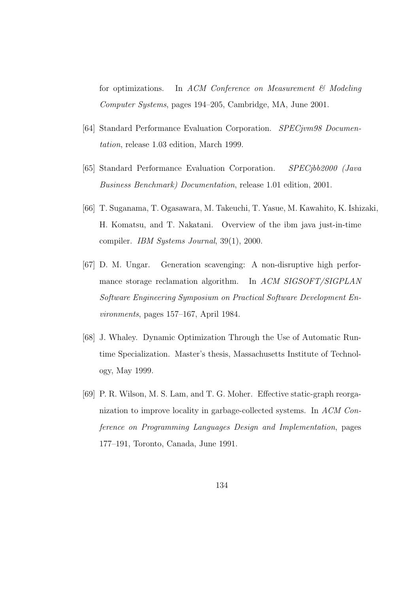for optimizations. In ACM Conference on Measurement  $\mathcal{C}$  Modeling Computer Systems, pages 194–205, Cambridge, MA, June 2001.

- [64] Standard Performance Evaluation Corporation. SPECjvm98 Documentation, release 1.03 edition, March 1999.
- [65] Standard Performance Evaluation Corporation. SPECjbb2000 (Java Business Benchmark) Documentation, release 1.01 edition, 2001.
- [66] T. Suganama, T. Ogasawara, M. Takeuchi, T. Yasue, M. Kawahito, K. Ishizaki, H. Komatsu, and T. Nakatani. Overview of the ibm java just-in-time compiler. IBM Systems Journal, 39(1), 2000.
- [67] D. M. Ungar. Generation scavenging: A non-disruptive high performance storage reclamation algorithm. In ACM SIGSOFT/SIGPLAN Software Engineering Symposium on Practical Software Development Environments, pages 157–167, April 1984.
- [68] J. Whaley. Dynamic Optimization Through the Use of Automatic Runtime Specialization. Master's thesis, Massachusetts Institute of Technology, May 1999.
- [69] P. R. Wilson, M. S. Lam, and T. G. Moher. Effective static-graph reorganization to improve locality in garbage-collected systems. In ACM Conference on Programming Languages Design and Implementation, pages 177–191, Toronto, Canada, June 1991.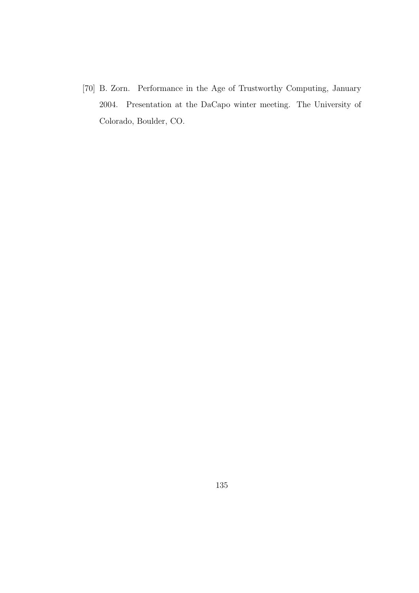[70] B. Zorn. Performance in the Age of Trustworthy Computing, January 2004. Presentation at the DaCapo winter meeting. The University of Colorado, Boulder, CO.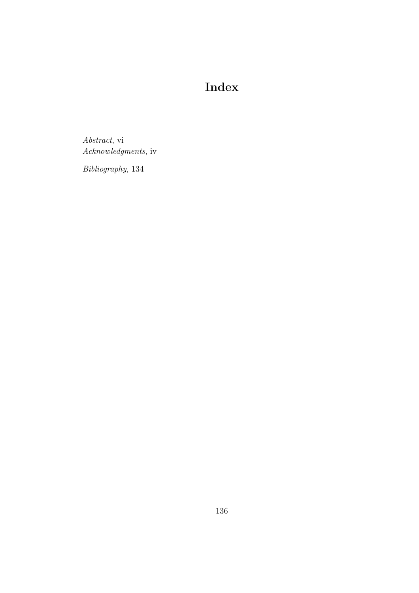## Index

Abstract, vi Acknowledgments, iv

Bibliography, 134